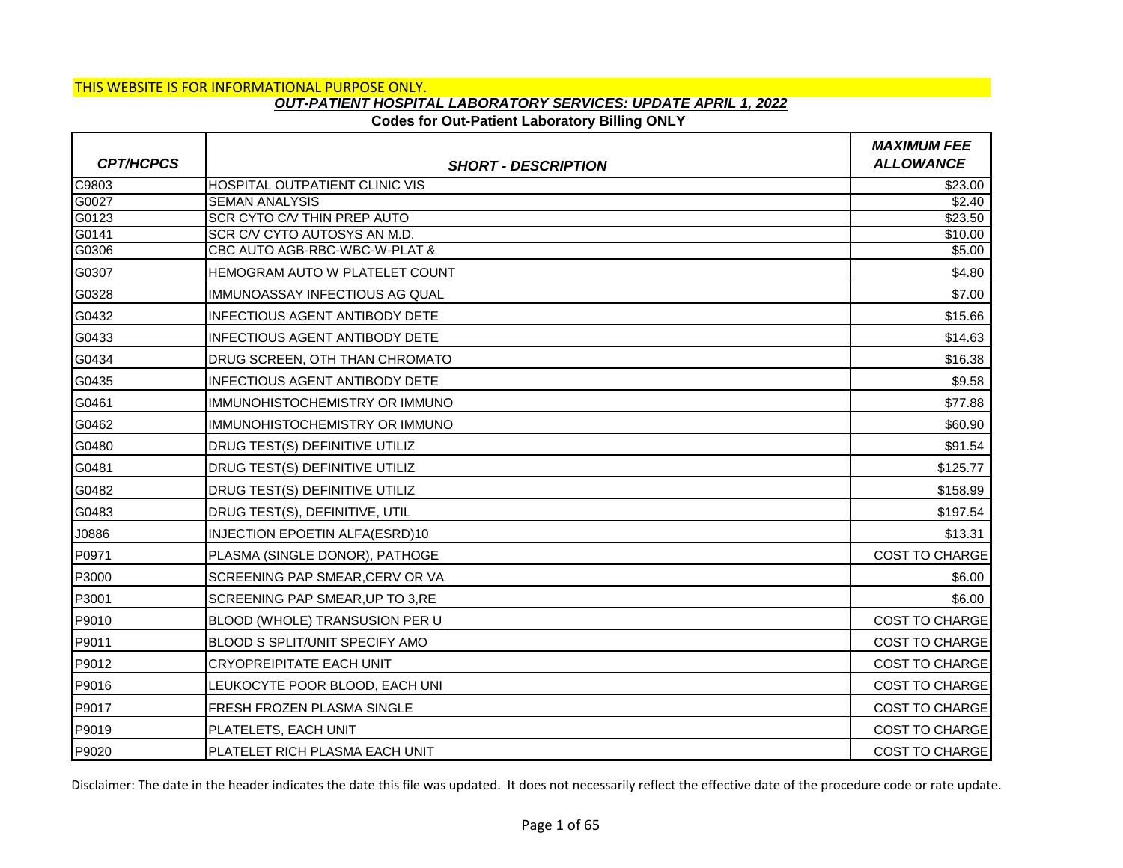## **Codes for Out-Patient Laboratory Billing ONLY**

|                  |                                       | <b>MAXIMUM FEE</b>    |
|------------------|---------------------------------------|-----------------------|
| <b>CPT/HCPCS</b> | <b>SHORT - DESCRIPTION</b>            | <b>ALLOWANCE</b>      |
| C9803            | <b>HOSPITAL OUTPATIENT CLINIC VIS</b> | $\overline{$}23.00$   |
| G0027            | <b>SEMAN ANALYSIS</b>                 | \$2.40                |
| G0123            | SCR CYTO C/V THIN PREP AUTO           | \$23.50               |
| G0141            | SCR C/V CYTO AUTOSYS AN M.D.          | \$10.00               |
| G0306            | CBC AUTO AGB-RBC-WBC-W-PLAT &         | $\frac{1}{15.00}$     |
| G0307            | <b>HEMOGRAM AUTO W PLATELET COUNT</b> | \$4.80                |
| G0328            | IMMUNOASSAY INFECTIOUS AG QUAL        | \$7.00                |
| G0432            | <b>INFECTIOUS AGENT ANTIBODY DETE</b> | \$15.66               |
| G0433            | INFECTIOUS AGENT ANTIBODY DETE        | \$14.63               |
| G0434            | <b>DRUG SCREEN, OTH THAN CHROMATO</b> | \$16.38               |
| G0435            | <b>INFECTIOUS AGENT ANTIBODY DETE</b> | \$9.58                |
| G0461            | IMMUNOHISTOCHEMISTRY OR IMMUNO        | \$77.88               |
| G0462            | <b>IMMUNOHISTOCHEMISTRY OR IMMUNO</b> | \$60.90               |
| G0480            | <b>DRUG TEST(S) DEFINITIVE UTILIZ</b> | \$91.54               |
| G0481            | DRUG TEST(S) DEFINITIVE UTILIZ        | \$125.77              |
| G0482            | DRUG TEST(S) DEFINITIVE UTILIZ        | \$158.99              |
| G0483            | DRUG TEST(S), DEFINITIVE, UTIL        | \$197.54              |
| J0886            | <b>INJECTION EPOETIN ALFA(ESRD)10</b> | \$13.31               |
| P0971            | PLASMA (SINGLE DONOR), PATHOGE        | <b>COST TO CHARGE</b> |
| P3000            | SCREENING PAP SMEAR, CERV OR VA       | \$6.00                |
| P3001            | SCREENING PAP SMEAR, UP TO 3, RE      | \$6.00                |
| P9010            | <b>BLOOD (WHOLE) TRANSUSION PER U</b> | <b>COST TO CHARGE</b> |
| P9011            | <b>BLOOD S SPLIT/UNIT SPECIFY AMO</b> | COST TO CHARGE        |
| P9012            | <b>CRYOPREIPITATE EACH UNIT</b>       | <b>COST TO CHARGE</b> |
| P9016            | LEUKOCYTE POOR BLOOD, EACH UNI        | <b>COST TO CHARGE</b> |
| P9017            | <b>FRESH FROZEN PLASMA SINGLE</b>     | <b>COST TO CHARGE</b> |
| P9019            | PLATELETS, EACH UNIT                  | <b>COST TO CHARGE</b> |
| P9020            | PLATELET RICH PLASMA EACH UNIT        | <b>COST TO CHARGE</b> |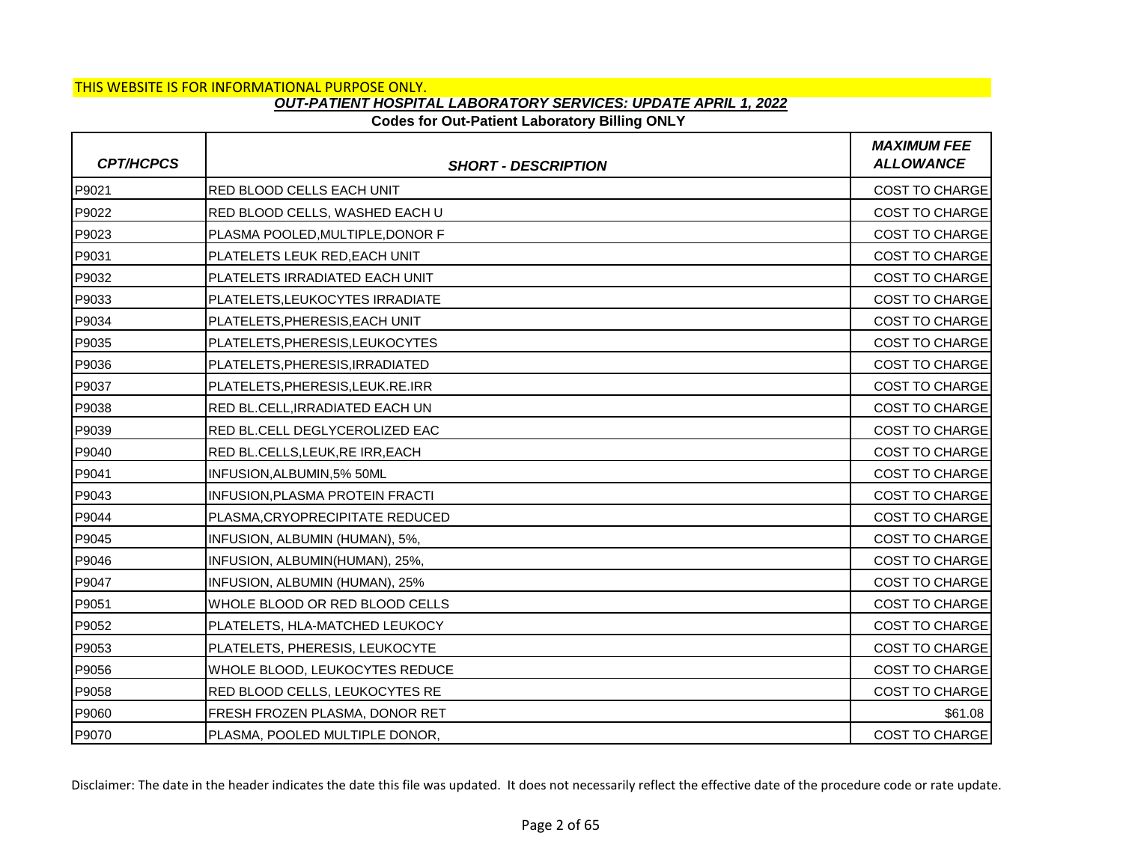### **Codes for Out-Patient Laboratory Billing ONLY**

| <b>CPT/HCPCS</b> | <b>SHORT - DESCRIPTION</b>       | <b>MAXIMUM FEE</b><br><b>ALLOWANCE</b> |
|------------------|----------------------------------|----------------------------------------|
| P9021            | RED BLOOD CELLS EACH UNIT        | COST TO CHARGE                         |
| P9022            | RED BLOOD CELLS, WASHED EACH U   | <b>COST TO CHARGE</b>                  |
| P9023            | PLASMA POOLED, MULTIPLE, DONOR F | <b>COST TO CHARGE</b>                  |
| P9031            | PLATELETS LEUK RED, EACH UNIT    | <b>COST TO CHARGE</b>                  |
| P9032            | PLATELETS IRRADIATED EACH UNIT   | <b>COST TO CHARGE</b>                  |
| P9033            | PLATELETS, LEUKOCYTES IRRADIATE  | <b>COST TO CHARGE</b>                  |
| P9034            | PLATELETS, PHERESIS, EACH UNIT   | <b>COST TO CHARGE</b>                  |
| P9035            | PLATELETS, PHERESIS, LEUKOCYTES  | <b>COST TO CHARGE</b>                  |
| P9036            | PLATELETS, PHERESIS, IRRADIATED  | <b>COST TO CHARGE</b>                  |
| P9037            | PLATELETS, PHERESIS, LEUK.RE.IRR | <b>COST TO CHARGE</b>                  |
| P9038            | RED BL.CELL, IRRADIATED EACH UN  | COST TO CHARGE                         |
| P9039            | RED BL.CELL DEGLYCEROLIZED EAC   | <b>COST TO CHARGE</b>                  |
| P9040            | RED BL.CELLS, LEUK, RE IRR, EACH | <b>COST TO CHARGE</b>                  |
| P9041            | INFUSION, ALBUMIN, 5% 50ML       | COST TO CHARGE                         |
| P9043            | INFUSION, PLASMA PROTEIN FRACTI  | <b>COST TO CHARGE</b>                  |
| P9044            | PLASMA, CRYOPRECIPITATE REDUCED  | <b>COST TO CHARGE</b>                  |
| P9045            | INFUSION, ALBUMIN (HUMAN), 5%,   | COST TO CHARGE                         |
| P9046            | INFUSION, ALBUMIN(HUMAN), 25%,   | <b>COST TO CHARGE</b>                  |
| P9047            | INFUSION, ALBUMIN (HUMAN), 25%   | <b>COST TO CHARGE</b>                  |
| P9051            | WHOLE BLOOD OR RED BLOOD CELLS   | COST TO CHARGE                         |
| P9052            | PLATELETS, HLA-MATCHED LEUKOCY   | COST TO CHARGE                         |
| P9053            | PLATELETS, PHERESIS, LEUKOCYTE   | <b>COST TO CHARGE</b>                  |
| P9056            | WHOLE BLOOD, LEUKOCYTES REDUCE   | <b>COST TO CHARGE</b>                  |
| P9058            | RED BLOOD CELLS, LEUKOCYTES RE   | <b>COST TO CHARGE</b>                  |
| P9060            | FRESH FROZEN PLASMA, DONOR RET   | \$61.08                                |
| P9070            | PLASMA, POOLED MULTIPLE DONOR,   | <b>COST TO CHARGE</b>                  |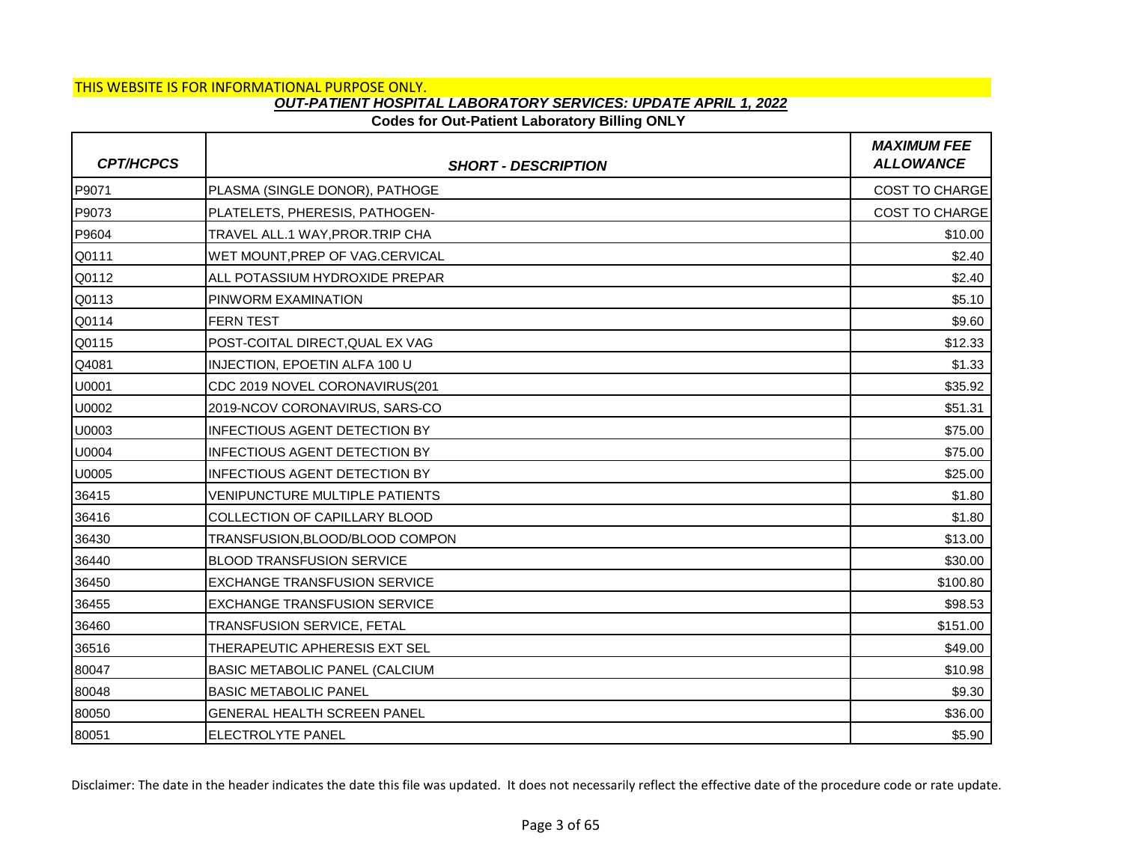## **Codes for Out-Patient Laboratory Billing ONLY**

| <b>CPT/HCPCS</b> | <b>SHORT - DESCRIPTION</b>            | <b>MAXIMUM FEE</b><br><b>ALLOWANCE</b> |
|------------------|---------------------------------------|----------------------------------------|
| P9071            | PLASMA (SINGLE DONOR), PATHOGE        | <b>COST TO CHARGE</b>                  |
| P9073            | PLATELETS, PHERESIS, PATHOGEN-        | <b>COST TO CHARGE</b>                  |
| P9604            | TRAVEL ALL.1 WAY, PROR. TRIP CHA      | \$10.00                                |
| Q0111            | WET MOUNT, PREP OF VAG.CERVICAL       | \$2.40                                 |
| Q0112            | ALL POTASSIUM HYDROXIDE PREPAR        | \$2.40                                 |
| Q0113            | PINWORM EXAMINATION                   | \$5.10                                 |
| Q0114            | <b>FERN TEST</b>                      | \$9.60                                 |
| Q0115            | POST-COITAL DIRECT, QUAL EX VAG       | \$12.33                                |
| Q4081            | INJECTION, EPOETIN ALFA 100 U         | \$1.33                                 |
| U0001            | CDC 2019 NOVEL CORONAVIRUS(201        | \$35.92                                |
| U0002            | 2019-NCOV CORONAVIRUS, SARS-CO        | \$51.31                                |
| U0003            | <b>INFECTIOUS AGENT DETECTION BY</b>  | \$75.00                                |
| U0004            | <b>INFECTIOUS AGENT DETECTION BY</b>  | \$75.00                                |
| U0005            | <b>INFECTIOUS AGENT DETECTION BY</b>  | \$25.00                                |
| 36415            | <b>VENIPUNCTURE MULTIPLE PATIENTS</b> | \$1.80                                 |
| 36416            | COLLECTION OF CAPILLARY BLOOD         | \$1.80                                 |
| 36430            | TRANSFUSION, BLOOD/BLOOD COMPON       | \$13.00                                |
| 36440            | <b>BLOOD TRANSFUSION SERVICE</b>      | \$30.00                                |
| 36450            | <b>EXCHANGE TRANSFUSION SERVICE</b>   | \$100.80                               |
| 36455            | <b>EXCHANGE TRANSFUSION SERVICE</b>   | \$98.53                                |
| 36460            | TRANSFUSION SERVICE, FETAL            | \$151.00                               |
| 36516            | THERAPEUTIC APHERESIS EXT SEL         | \$49.00                                |
| 80047            | BASIC METABOLIC PANEL (CALCIUM        | \$10.98                                |
| 80048            | <b>BASIC METABOLIC PANEL</b>          | \$9.30                                 |
| 80050            | GENERAL HEALTH SCREEN PANEL           | \$36.00                                |
| 80051            | ELECTROLYTE PANEL                     | \$5.90                                 |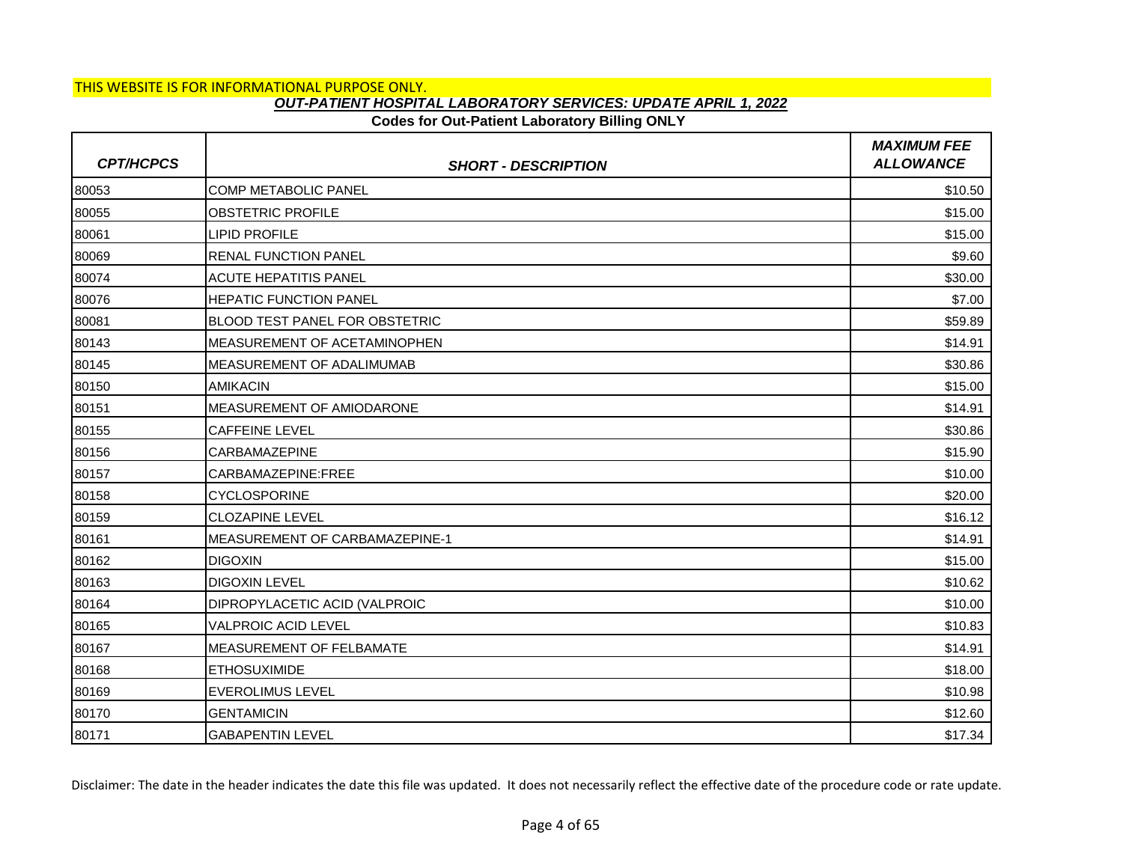# THIS WEBSITE IS FOR INFORMATIONAL PURPOSE ONLY.

## *OUT-PATIENT HOSPITAL LABORATORY SERVICES: UPDATE APRIL 1, 2022*

### **Codes for Out-Patient Laboratory Billing ONLY**

| <b>CPT/HCPCS</b> | <b>SHORT - DESCRIPTION</b>            | <b>MAXIMUM FEE</b><br><b>ALLOWANCE</b> |
|------------------|---------------------------------------|----------------------------------------|
| 80053            | <b>COMP METABOLIC PANEL</b>           | \$10.50                                |
| 80055            | <b>OBSTETRIC PROFILE</b>              | \$15.00                                |
| 80061            | <b>LIPID PROFILE</b>                  | \$15.00                                |
| 80069            | <b>RENAL FUNCTION PANEL</b>           | \$9.60                                 |
| 80074            | <b>ACUTE HEPATITIS PANEL</b>          | \$30.00                                |
| 80076            | <b>HEPATIC FUNCTION PANEL</b>         | \$7.00                                 |
| 80081            | <b>BLOOD TEST PANEL FOR OBSTETRIC</b> | \$59.89                                |
| 80143            | MEASUREMENT OF ACETAMINOPHEN          | \$14.91                                |
| 80145            | <b>MEASUREMENT OF ADALIMUMAB</b>      | \$30.86                                |
| 80150            | <b>AMIKACIN</b>                       | \$15.00                                |
| 80151            | MEASUREMENT OF AMIODARONE             | \$14.91                                |
| 80155            | <b>CAFFEINE LEVEL</b>                 | \$30.86                                |
| 80156            | <b>CARBAMAZEPINE</b>                  | \$15.90                                |
| 80157            | CARBAMAZEPINE:FREE                    | \$10.00                                |
| 80158            | <b>CYCLOSPORINE</b>                   | \$20.00                                |
| 80159            | <b>CLOZAPINE LEVEL</b>                | \$16.12                                |
| 80161            | MEASUREMENT OF CARBAMAZEPINE-1        | \$14.91                                |
| 80162            | <b>DIGOXIN</b>                        | \$15.00                                |
| 80163            | <b>DIGOXIN LEVEL</b>                  | \$10.62                                |
| 80164            | DIPROPYLACETIC ACID (VALPROIC         | \$10.00                                |
| 80165            | <b>VALPROIC ACID LEVEL</b>            | \$10.83                                |
| 80167            | MEASUREMENT OF FELBAMATE              | \$14.91                                |
| 80168            | <b>ETHOSUXIMIDE</b>                   | \$18.00                                |
| 80169            | <b>EVEROLIMUS LEVEL</b>               | \$10.98                                |
| 80170            | <b>GENTAMICIN</b>                     | \$12.60                                |
| 80171            | <b>GABAPENTIN LEVEL</b>               | \$17.34                                |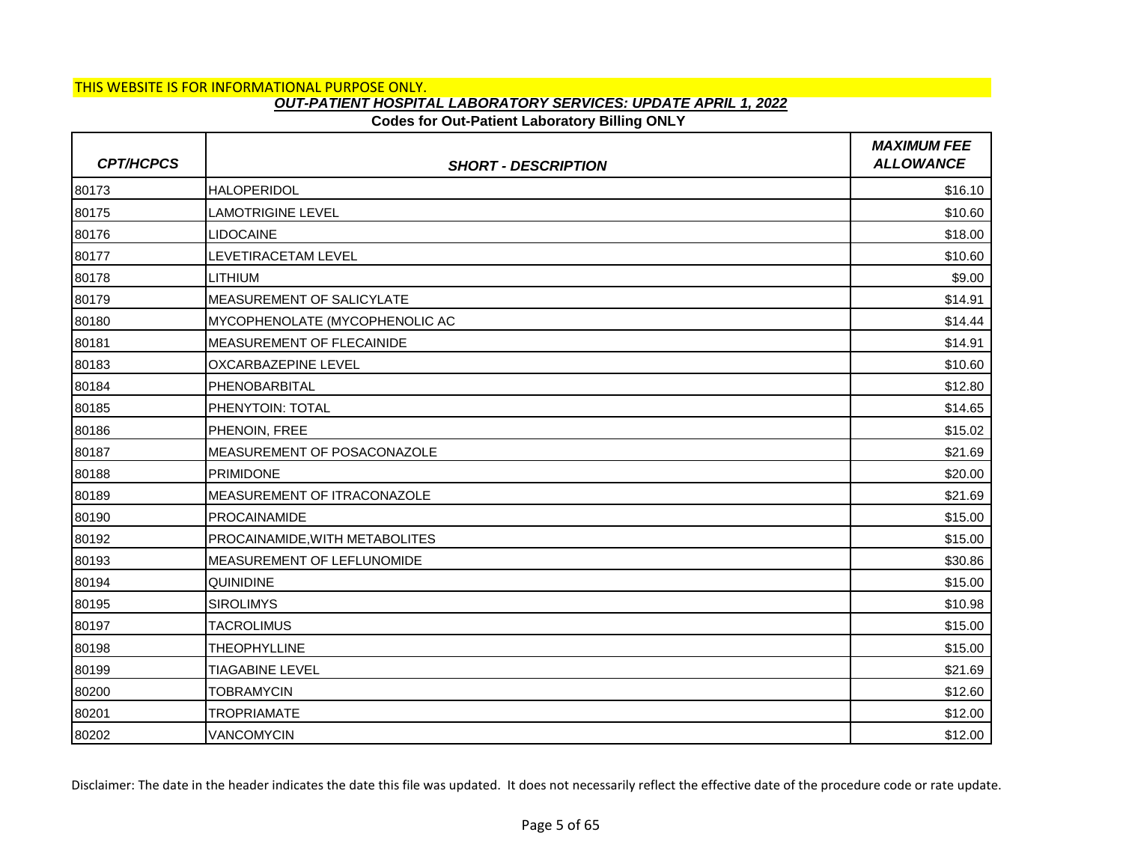## **Codes for Out-Patient Laboratory Billing ONLY**

| <b>CPT/HCPCS</b> | <b>SHORT - DESCRIPTION</b>       | <b>MAXIMUM FEE</b><br><b>ALLOWANCE</b> |
|------------------|----------------------------------|----------------------------------------|
| 80173            | <b>HALOPERIDOL</b>               | \$16.10                                |
| 80175            | <b>LAMOTRIGINE LEVEL</b>         | \$10.60                                |
| 80176            | <b>LIDOCAINE</b>                 | \$18.00                                |
| 80177            | LEVETIRACETAM LEVEL              | \$10.60                                |
| 80178            | LITHIUM                          | \$9.00                                 |
| 80179            | <b>MEASUREMENT OF SALICYLATE</b> | \$14.91                                |
| 80180            | MYCOPHENOLATE (MYCOPHENOLIC AC   | \$14.44                                |
| 80181            | MEASUREMENT OF FLECAINIDE        | \$14.91                                |
| 80183            | <b>OXCARBAZEPINE LEVEL</b>       | \$10.60                                |
| 80184            | PHENOBARBITAL                    | \$12.80                                |
| 80185            | PHENYTOIN: TOTAL                 | \$14.65                                |
| 80186            | PHENOIN, FREE                    | \$15.02                                |
| 80187            | MEASUREMENT OF POSACONAZOLE      | \$21.69                                |
| 80188            | <b>PRIMIDONE</b>                 | \$20.00                                |
| 80189            | MEASUREMENT OF ITRACONAZOLE      | \$21.69                                |
| 80190            | <b>PROCAINAMIDE</b>              | \$15.00                                |
| 80192            | PROCAINAMIDE, WITH METABOLITES   | \$15.00                                |
| 80193            | MEASUREMENT OF LEFLUNOMIDE       | \$30.86                                |
| 80194            | <b>QUINIDINE</b>                 | \$15.00                                |
| 80195            | <b>SIROLIMYS</b>                 | \$10.98                                |
| 80197            | <b>TACROLIMUS</b>                | \$15.00                                |
| 80198            | <b>THEOPHYLLINE</b>              | \$15.00                                |
| 80199            | <b>TIAGABINE LEVEL</b>           | \$21.69                                |
| 80200            | <b>TOBRAMYCIN</b>                | \$12.60                                |
| 80201            | TROPRIAMATE                      | \$12.00                                |
| 80202            | VANCOMYCIN                       | \$12.00                                |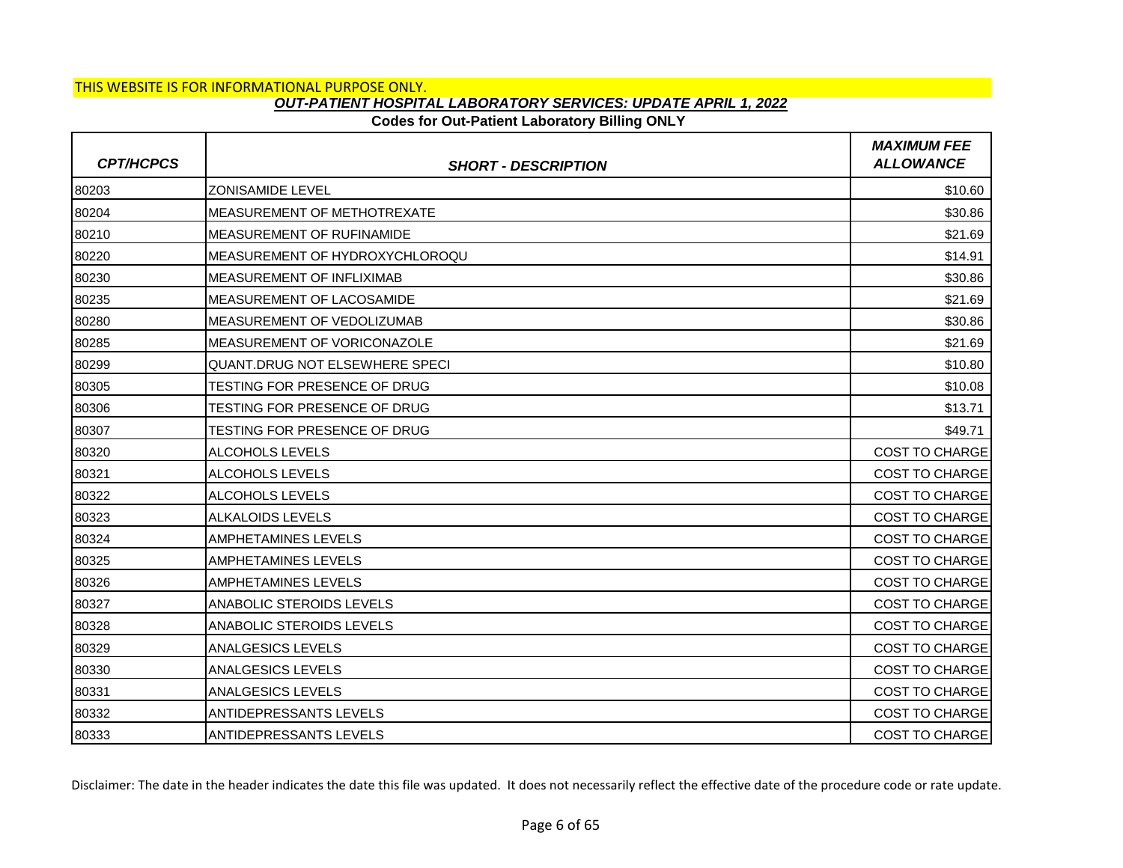## **Codes for Out-Patient Laboratory Billing ONLY**

| <b>CPT/HCPCS</b> | <b>SHORT - DESCRIPTION</b>            | <b>MAXIMUM FEE</b><br><b>ALLOWANCE</b> |
|------------------|---------------------------------------|----------------------------------------|
| 80203            | <b>ZONISAMIDE LEVEL</b>               | \$10.60                                |
| 80204            | MEASUREMENT OF METHOTREXATE           | \$30.86                                |
| 80210            | <b>IMEASUREMENT OF RUFINAMIDE</b>     | \$21.69                                |
| 80220            | MEASUREMENT OF HYDROXYCHLOROQU        | \$14.91                                |
| 80230            | MEASUREMENT OF INFLIXIMAB             | \$30.86                                |
| 80235            | <b>MEASUREMENT OF LACOSAMIDE</b>      | \$21.69                                |
| 80280            | MEASUREMENT OF VEDOLIZUMAB            | \$30.86                                |
| 80285            | MEASUREMENT OF VORICONAZOLE           | \$21.69                                |
| 80299            | <b>QUANT.DRUG NOT ELSEWHERE SPECI</b> | \$10.80                                |
| 80305            | TESTING FOR PRESENCE OF DRUG          | \$10.08                                |
| 80306            | TESTING FOR PRESENCE OF DRUG          | \$13.71                                |
| 80307            | TESTING FOR PRESENCE OF DRUG          | \$49.71                                |
| 80320            | ALCOHOLS LEVELS                       | COST TO CHARGE                         |
| 80321            | ALCOHOLS LEVELS                       | <b>COST TO CHARGE</b>                  |
| 80322            | <b>ALCOHOLS LEVELS</b>                | <b>COST TO CHARGE</b>                  |
| 80323            | <b>ALKALOIDS LEVELS</b>               | COST TO CHARGE                         |
| 80324            | AMPHETAMINES LEVELS                   | <b>COST TO CHARGE</b>                  |
| 80325            | <b>AMPHETAMINES LEVELS</b>            | <b>COST TO CHARGE</b>                  |
| 80326            | AMPHETAMINES LEVELS                   | COST TO CHARGE                         |
| 80327            | ANABOLIC STEROIDS LEVELS              | COST TO CHARGE                         |
| 80328            | ANABOLIC STEROIDS LEVELS              | <b>COST TO CHARGE</b>                  |
| 80329            | ANALGESICS LEVELS                     | <b>COST TO CHARGE</b>                  |
| 80330            | <b>ANALGESICS LEVELS</b>              | COST TO CHARGE                         |
| 80331            | <b>ANALGESICS LEVELS</b>              | <b>COST TO CHARGE</b>                  |
| 80332            | ANTIDEPRESSANTS LEVELS                | <b>COST TO CHARGE</b>                  |
| 80333            | ANTIDEPRESSANTS LEVELS                | <b>COST TO CHARGE</b>                  |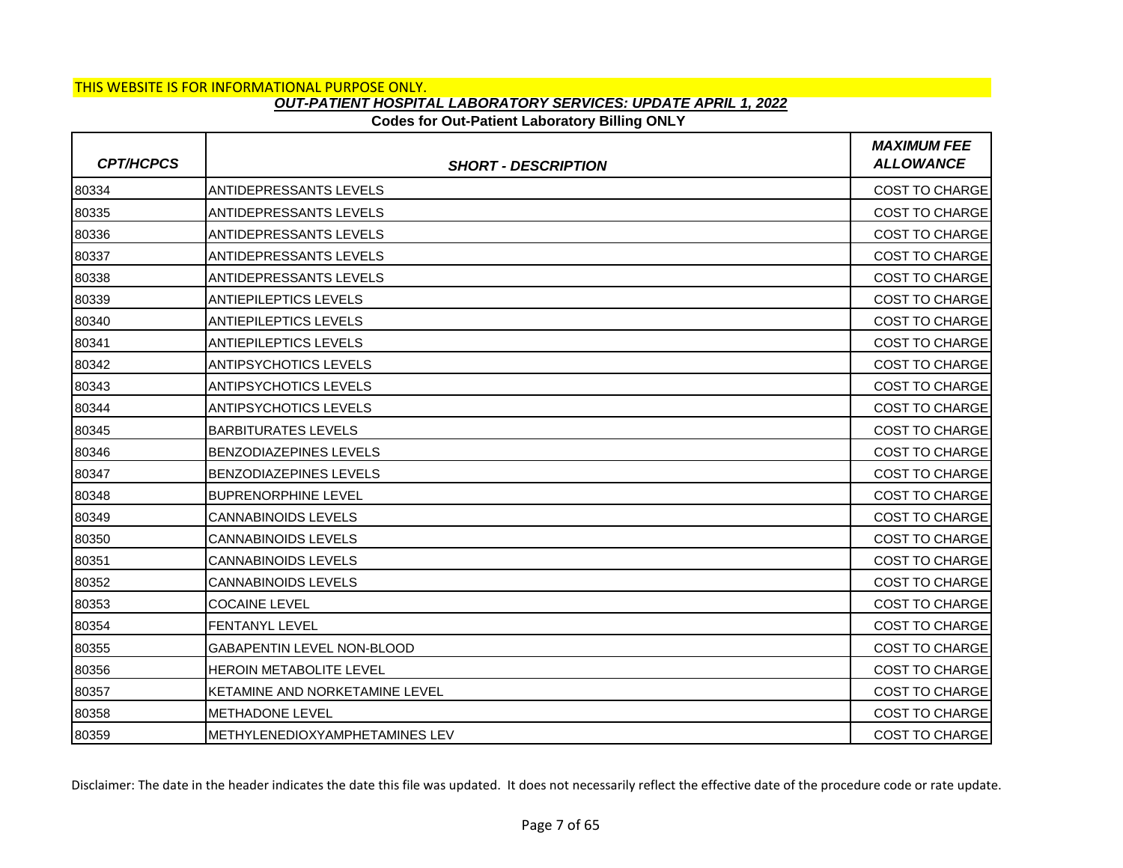### **Codes for Out-Patient Laboratory Billing ONLY**

| <b>CPT/HCPCS</b> | <b>SHORT - DESCRIPTION</b>        | <b>MAXIMUM FEE</b><br><b>ALLOWANCE</b> |
|------------------|-----------------------------------|----------------------------------------|
| 80334            | <b>ANTIDEPRESSANTS LEVELS</b>     | <b>COST TO CHARGE</b>                  |
| 80335            | <b>ANTIDEPRESSANTS LEVELS</b>     | <b>COST TO CHARGE</b>                  |
| 80336            | <b>ANTIDEPRESSANTS LEVELS</b>     | <b>COST TO CHARGE</b>                  |
| 80337            | ANTIDEPRESSANTS LEVELS            | <b>COST TO CHARGE</b>                  |
| 80338            | ANTIDEPRESSANTS LEVELS            | <b>COST TO CHARGE</b>                  |
| 80339            | <b>ANTIEPILEPTICS LEVELS</b>      | <b>COST TO CHARGE</b>                  |
| 80340            | <b>ANTIEPILEPTICS LEVELS</b>      | <b>COST TO CHARGE</b>                  |
| 80341            | <b>ANTIEPILEPTICS LEVELS</b>      | COST TO CHARGE                         |
| 80342            | <b>ANTIPSYCHOTICS LEVELS</b>      | <b>COST TO CHARGE</b>                  |
| 80343            | <b>ANTIPSYCHOTICS LEVELS</b>      | <b>COST TO CHARGE</b>                  |
| 80344            | <b>ANTIPSYCHOTICS LEVELS</b>      | <b>COST TO CHARGE</b>                  |
| 80345            | <b>BARBITURATES LEVELS</b>        | <b>COST TO CHARGE</b>                  |
| 80346            | <b>BENZODIAZEPINES LEVELS</b>     | <b>COST TO CHARGE</b>                  |
| 80347            | <b>BENZODIAZEPINES LEVELS</b>     | COST TO CHARGE                         |
| 80348            | <b>BUPRENORPHINE LEVEL</b>        | <b>COST TO CHARGE</b>                  |
| 80349            | <b>CANNABINOIDS LEVELS</b>        | <b>COST TO CHARGE</b>                  |
| 80350            | <b>CANNABINOIDS LEVELS</b>        | <b>COST TO CHARGE</b>                  |
| 80351            | <b>CANNABINOIDS LEVELS</b>        | <b>COST TO CHARGE</b>                  |
| 80352            | <b>CANNABINOIDS LEVELS</b>        | <b>COST TO CHARGE</b>                  |
| 80353            | <b>COCAINE LEVEL</b>              | COST TO CHARGE                         |
| 80354            | <b>FENTANYL LEVEL</b>             | <b>COST TO CHARGE</b>                  |
| 80355            | <b>GABAPENTIN LEVEL NON-BLOOD</b> | <b>COST TO CHARGE</b>                  |
| 80356            | <b>HEROIN METABOLITE LEVEL</b>    | <b>COST TO CHARGE</b>                  |
| 80357            | KETAMINE AND NORKETAMINE LEVEL    | <b>COST TO CHARGE</b>                  |
| 80358            | <b>METHADONE LEVEL</b>            | <b>COST TO CHARGE</b>                  |
| 80359            | IMETHYLENEDIOXYAMPHETAMINES LEV   | <b>COST TO CHARGE</b>                  |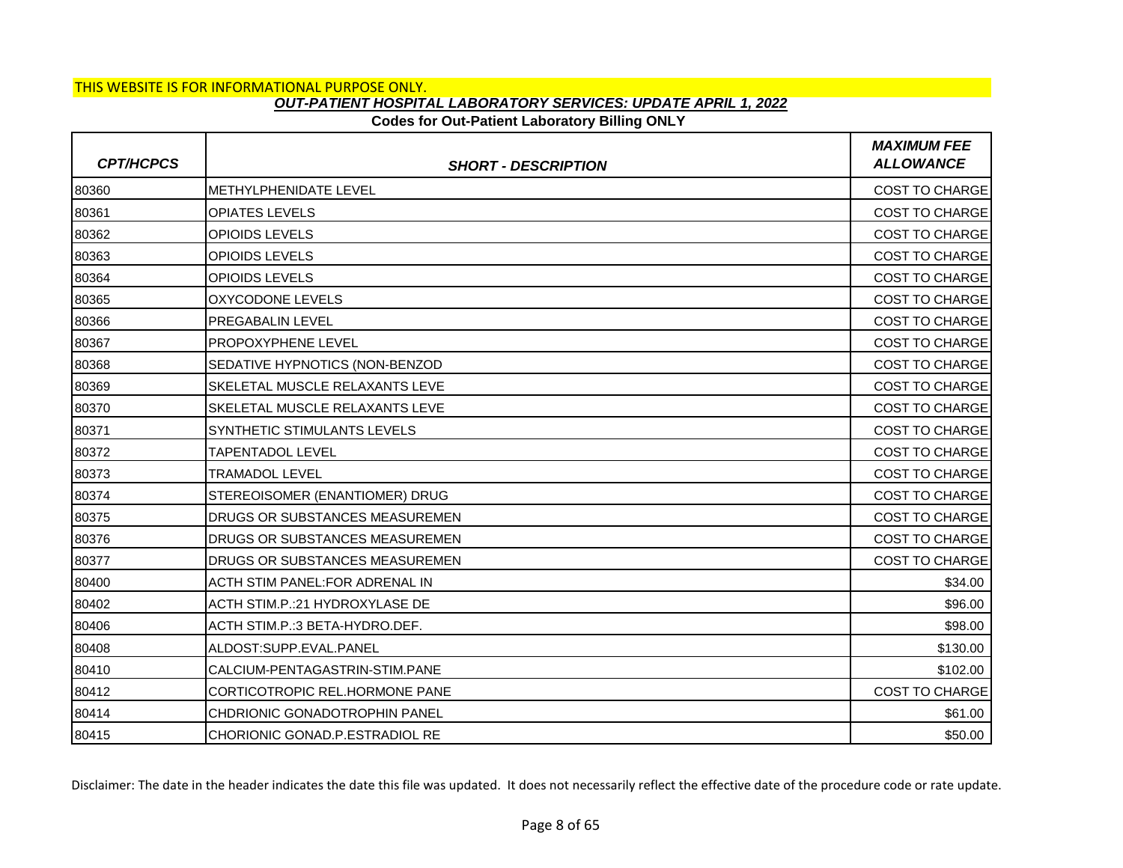# THIS WEBSITE IS FOR INFORMATIONAL PURPOSE ONLY.

### *OUT-PATIENT HOSPITAL LABORATORY SERVICES: UPDATE APRIL 1, 2022*

### **Codes for Out-Patient Laboratory Billing ONLY**

| <b>CPT/HCPCS</b> | <b>SHORT - DESCRIPTION</b>              | <b>MAXIMUM FEE</b><br><b>ALLOWANCE</b> |
|------------------|-----------------------------------------|----------------------------------------|
| 80360            | <b>IMETHYLPHENIDATE LEVEL</b>           | COST TO CHARGE                         |
| 80361            | <b>OPIATES LEVELS</b>                   | <b>COST TO CHARGE</b>                  |
| 80362            | OPIOIDS LEVELS                          | <b>COST TO CHARGE</b>                  |
| 80363            | <b>OPIOIDS LEVELS</b>                   | <b>COST TO CHARGE</b>                  |
| 80364            | <b>OPIOIDS LEVELS</b>                   | <b>COST TO CHARGE</b>                  |
| 80365            | OXYCODONE LEVELS                        | <b>COST TO CHARGE</b>                  |
| 80366            | <b>PREGABALIN LEVEL</b>                 | <b>COST TO CHARGE</b>                  |
| 80367            | <b>PROPOXYPHENE LEVEL</b>               | <b>COST TO CHARGE</b>                  |
| 80368            | SEDATIVE HYPNOTICS (NON-BENZOD          | <b>COST TO CHARGE</b>                  |
| 80369            | SKELETAL MUSCLE RELAXANTS LEVE          | <b>COST TO CHARGE</b>                  |
| 80370            | <b>SKELETAL MUSCLE RELAXANTS LEVE</b>   | <b>COST TO CHARGE</b>                  |
| 80371            | SYNTHETIC STIMULANTS LEVELS             | <b>COST TO CHARGE</b>                  |
| 80372            | <b>TAPENTADOL LEVEL</b>                 | <b>COST TO CHARGE</b>                  |
| 80373            | <b>TRAMADOL LEVEL</b>                   | <b>COST TO CHARGE</b>                  |
| 80374            | STEREOISOMER (ENANTIOMER) DRUG          | <b>COST TO CHARGE</b>                  |
| 80375            | DRUGS OR SUBSTANCES MEASUREMEN          | <b>COST TO CHARGE</b>                  |
| 80376            | <b>I</b> DRUGS OR SUBSTANCES MEASUREMEN | COST TO CHARGE                         |
| 80377            | DRUGS OR SUBSTANCES MEASUREMEN          | <b>COST TO CHARGE</b>                  |
| 80400            | ACTH STIM PANEL: FOR ADRENAL IN         | \$34.00                                |
| 80402            | ACTH STIM.P.:21 HYDROXYLASE DE          | \$96.00                                |
| 80406            | ACTH STIM.P.:3 BETA-HYDRO.DEF.          | \$98.00                                |
| 80408            | ALDOST:SUPP.EVAL.PANEL                  | \$130.00                               |
| 80410            | CALCIUM-PENTAGASTRIN-STIM.PANE          | \$102.00                               |
| 80412            | CORTICOTROPIC REL.HORMONE PANE          | COST TO CHARGE                         |
| 80414            | CHDRIONIC GONADOTROPHIN PANEL           | \$61.00                                |
| 80415            | CHORIONIC GONAD.P.ESTRADIOL RE          | \$50.00                                |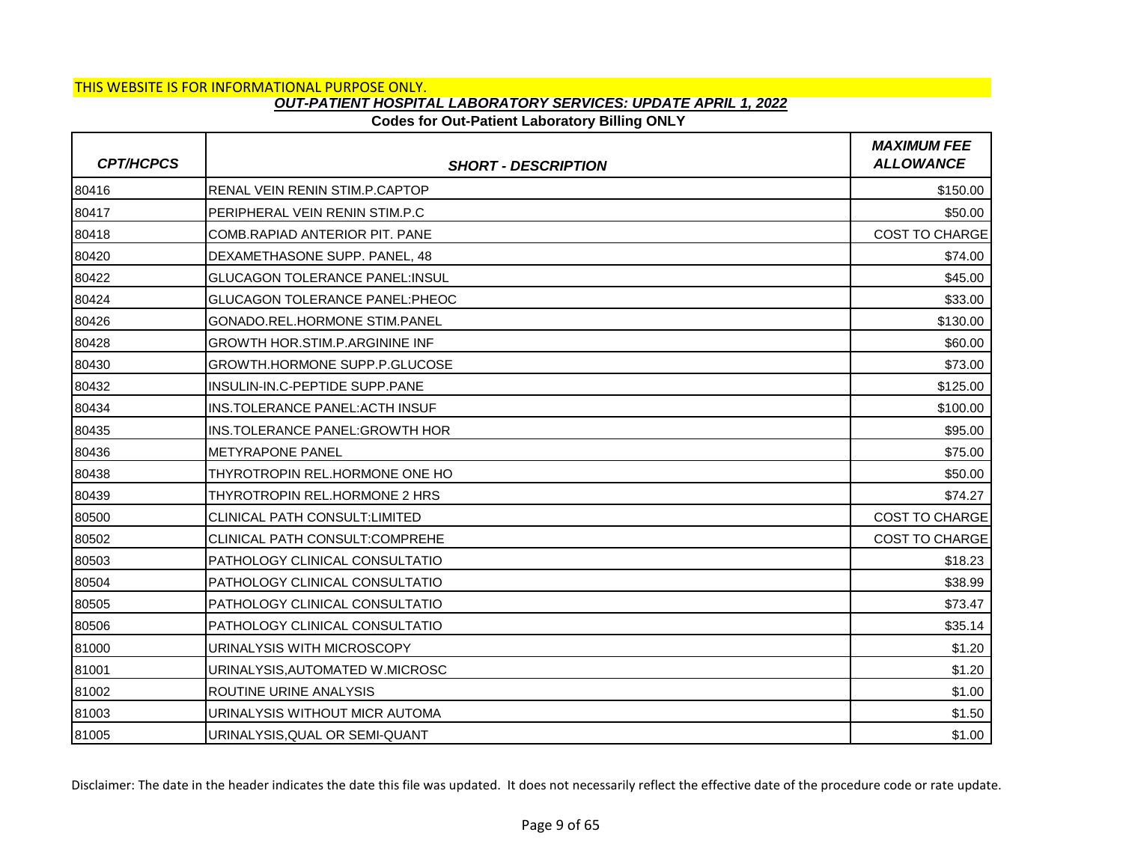## **Codes for Out-Patient Laboratory Billing ONLY**

| <b>CPT/HCPCS</b> | <b>SHORT - DESCRIPTION</b>            | <b>MAXIMUM FEE</b><br><b>ALLOWANCE</b> |
|------------------|---------------------------------------|----------------------------------------|
| 80416            | RENAL VEIN RENIN STIM.P.CAPTOP        | \$150.00                               |
| 80417            | PERIPHERAL VEIN RENIN STIM.P.C        | \$50.00                                |
| 80418            | COMB.RAPIAD ANTERIOR PIT. PANE        | <b>COST TO CHARGE</b>                  |
| 80420            | DEXAMETHASONE SUPP, PANEL, 48         | \$74.00                                |
| 80422            | <b>GLUCAGON TOLERANCE PANEL:INSUL</b> | \$45.00                                |
| 80424            | <b>GLUCAGON TOLERANCE PANEL:PHEOC</b> | \$33.00                                |
| 80426            | <b>GONADO.REL.HORMONE STIM.PANEL</b>  | \$130.00                               |
| 80428            | <b>GROWTH HOR.STIM.P.ARGININE INF</b> | \$60.00                                |
| 80430            | <b>GROWTH.HORMONE SUPP.P.GLUCOSE</b>  | \$73.00                                |
| 80432            | INSULIN-IN.C-PEPTIDE SUPP.PANE        | \$125.00                               |
| 80434            | INS.TOLERANCE PANEL: ACTH INSUF       | \$100.00                               |
| 80435            | INS.TOLERANCE PANEL:GROWTH HOR        | \$95.00                                |
| 80436            | METYRAPONE PANEL                      | \$75.00                                |
| 80438            | THYROTROPIN REL.HORMONE ONE HO        | \$50.00                                |
| 80439            | THYROTROPIN REL.HORMONE 2 HRS         | \$74.27                                |
| 80500            | CLINICAL PATH CONSULT:LIMITED         | <b>COST TO CHARGE</b>                  |
| 80502            | CLINICAL PATH CONSULT:COMPREHE        | <b>COST TO CHARGE</b>                  |
| 80503            | PATHOLOGY CLINICAL CONSULTATIO        | \$18.23                                |
| 80504            | PATHOLOGY CLINICAL CONSULTATIO        | \$38.99                                |
| 80505            | PATHOLOGY CLINICAL CONSULTATIO        | \$73.47                                |
| 80506            | PATHOLOGY CLINICAL CONSULTATIO        | \$35.14                                |
| 81000            | URINALYSIS WITH MICROSCOPY            | \$1.20                                 |
| 81001            | URINALYSIS, AUTOMATED W.MICROSC       | \$1.20                                 |
| 81002            | ROUTINE URINE ANALYSIS                | \$1.00                                 |
| 81003            | URINALYSIS WITHOUT MICR AUTOMA        | \$1.50                                 |
| 81005            | URINALYSIS, QUAL OR SEMI-QUANT        | \$1.00                                 |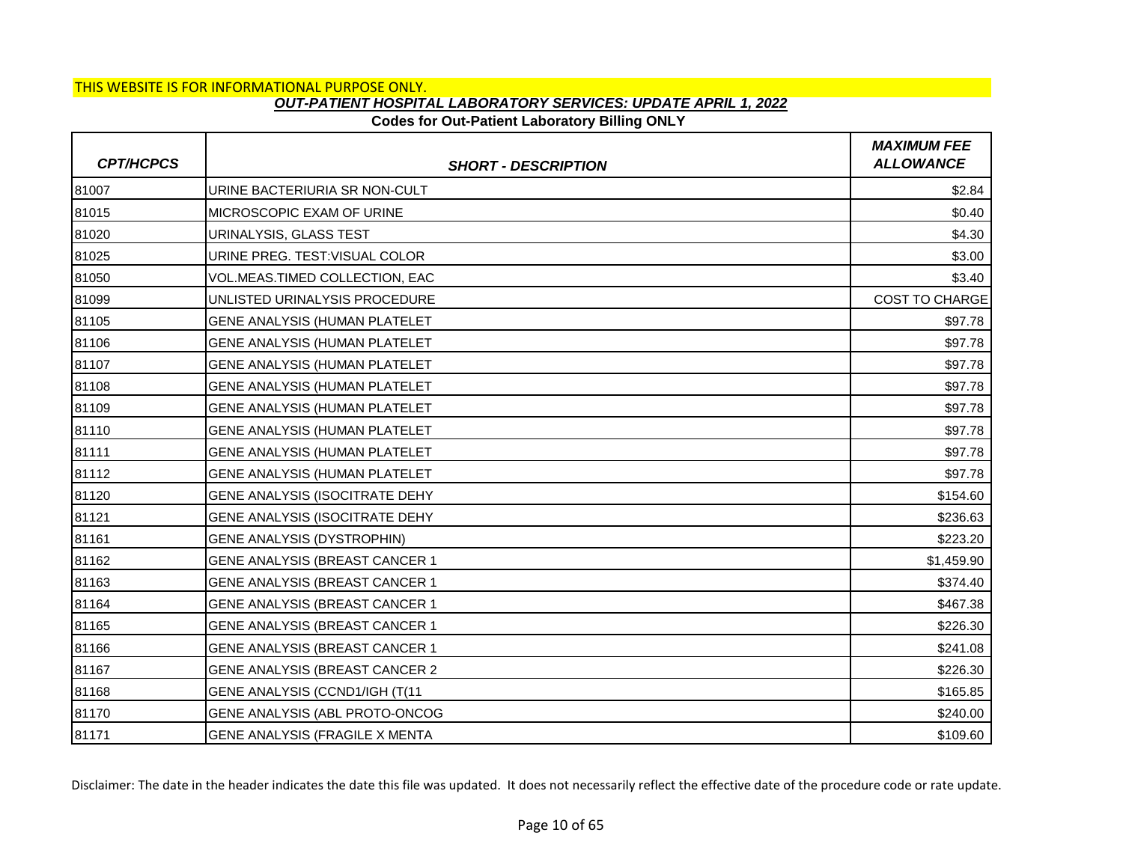## **Codes for Out-Patient Laboratory Billing ONLY**

| <b>CPT/HCPCS</b> | <b>SHORT - DESCRIPTION</b>            | <b>MAXIMUM FEE</b><br><b>ALLOWANCE</b> |
|------------------|---------------------------------------|----------------------------------------|
| 81007            | URINE BACTERIURIA SR NON-CULT         | \$2.84                                 |
| 81015            | MICROSCOPIC EXAM OF URINE             | \$0.40                                 |
| 81020            | URINALYSIS, GLASS TEST                | \$4.30                                 |
| 81025            | URINE PREG. TEST: VISUAL COLOR        | \$3.00                                 |
| 81050            | VOL.MEAS.TIMED COLLECTION, EAC        | \$3.40                                 |
| 81099            | UNLISTED URINALYSIS PROCEDURE         | <b>COST TO CHARGE</b>                  |
| 81105            | <b>GENE ANALYSIS (HUMAN PLATELET</b>  | \$97.78                                |
| 81106            | GENE ANALYSIS (HUMAN PLATELET         | \$97.78                                |
| 81107            | <b>GENE ANALYSIS (HUMAN PLATELET</b>  | \$97.78                                |
| 81108            | <b>GENE ANALYSIS (HUMAN PLATELET</b>  | \$97.78                                |
| 81109            | <b>GENE ANALYSIS (HUMAN PLATELET</b>  | \$97.78                                |
| 81110            | <b>GENE ANALYSIS (HUMAN PLATELET</b>  | \$97.78                                |
| 81111            | <b>GENE ANALYSIS (HUMAN PLATELET</b>  | \$97.78                                |
| 81112            | GENE ANALYSIS (HUMAN PLATELET         | \$97.78                                |
| 81120            | GENE ANALYSIS (ISOCITRATE DEHY        | \$154.60                               |
| 81121            | GENE ANALYSIS (ISOCITRATE DEHY        | \$236.63                               |
| 81161            | <b>GENE ANALYSIS (DYSTROPHIN)</b>     | \$223.20                               |
| 81162            | <b>GENE ANALYSIS (BREAST CANCER 1</b> | \$1,459.90                             |
| 81163            | <b>GENE ANALYSIS (BREAST CANCER 1</b> | \$374.40                               |
| 81164            | GENE ANALYSIS (BREAST CANCER 1        | \$467.38                               |
| 81165            | <b>GENE ANALYSIS (BREAST CANCER 1</b> | \$226.30                               |
| 81166            | GENE ANALYSIS (BREAST CANCER 1        | \$241.08                               |
| 81167            | GENE ANALYSIS (BREAST CANCER 2        | \$226.30                               |
| 81168            | GENE ANALYSIS (CCND1/IGH (T(11        | \$165.85                               |
| 81170            | GENE ANALYSIS (ABL PROTO-ONCOG        | \$240.00                               |
| 81171            | GENE ANALYSIS (FRAGILE X MENTA        | \$109.60                               |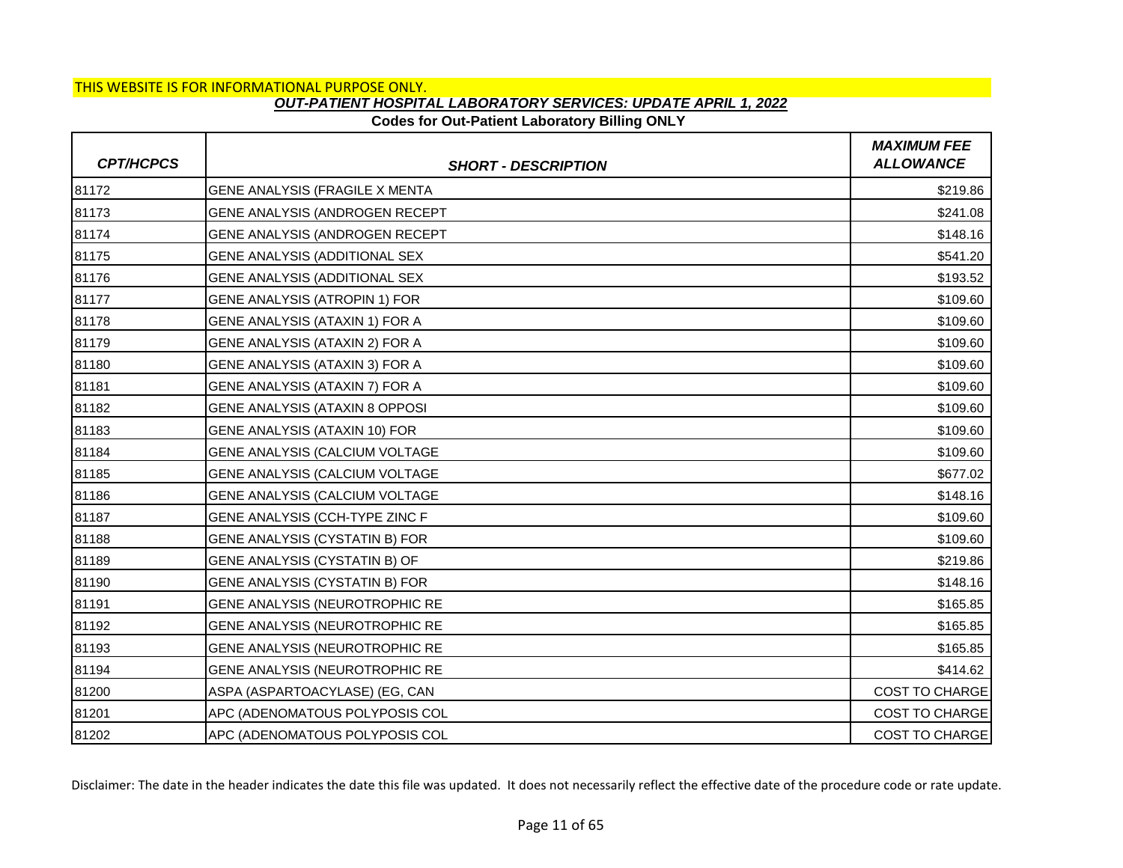## **Codes for Out-Patient Laboratory Billing ONLY**

| <b>CPT/HCPCS</b> | <b>SHORT - DESCRIPTION</b>     | <b>MAXIMUM FEE</b><br><b>ALLOWANCE</b> |
|------------------|--------------------------------|----------------------------------------|
| 81172            | GENE ANALYSIS (FRAGILE X MENTA | \$219.86                               |
| 81173            | GENE ANALYSIS (ANDROGEN RECEPT | \$241.08                               |
| 81174            | GENE ANALYSIS (ANDROGEN RECEPT | \$148.16                               |
| 81175            | GENE ANALYSIS (ADDITIONAL SEX  | \$541.20                               |
| 81176            | GENE ANALYSIS (ADDITIONAL SEX  | \$193.52                               |
| 81177            | GENE ANALYSIS (ATROPIN 1) FOR  | \$109.60                               |
| 81178            | GENE ANALYSIS (ATAXIN 1) FOR A | \$109.60                               |
| 81179            | GENE ANALYSIS (ATAXIN 2) FOR A | \$109.60                               |
| 81180            | GENE ANALYSIS (ATAXIN 3) FOR A | \$109.60                               |
| 81181            | GENE ANALYSIS (ATAXIN 7) FOR A | \$109.60                               |
| 81182            | GENE ANALYSIS (ATAXIN 8 OPPOSI | \$109.60                               |
| 81183            | GENE ANALYSIS (ATAXIN 10) FOR  | \$109.60                               |
| 81184            | GENE ANALYSIS (CALCIUM VOLTAGE | \$109.60                               |
| 81185            | GENE ANALYSIS (CALCIUM VOLTAGE | \$677.02                               |
| 81186            | GENE ANALYSIS (CALCIUM VOLTAGE | \$148.16                               |
| 81187            | GENE ANALYSIS (CCH-TYPE ZINC F | \$109.60                               |
| 81188            | GENE ANALYSIS (CYSTATIN B) FOR | \$109.60                               |
| 81189            | GENE ANALYSIS (CYSTATIN B) OF  | \$219.86                               |
| 81190            | GENE ANALYSIS (CYSTATIN B) FOR | \$148.16                               |
| 81191            | GENE ANALYSIS (NEUROTROPHIC RE | \$165.85                               |
| 81192            | GENE ANALYSIS (NEUROTROPHIC RE | \$165.85                               |
| 81193            | GENE ANALYSIS (NEUROTROPHIC RE | \$165.85                               |
| 81194            | GENE ANALYSIS (NEUROTROPHIC RE | \$414.62                               |
| 81200            | ASPA (ASPARTOACYLASE) (EG, CAN | COST TO CHARGE                         |
| 81201            | APC (ADENOMATOUS POLYPOSIS COL | <b>COST TO CHARGE</b>                  |
| 81202            | APC (ADENOMATOUS POLYPOSIS COL | <b>COST TO CHARGE</b>                  |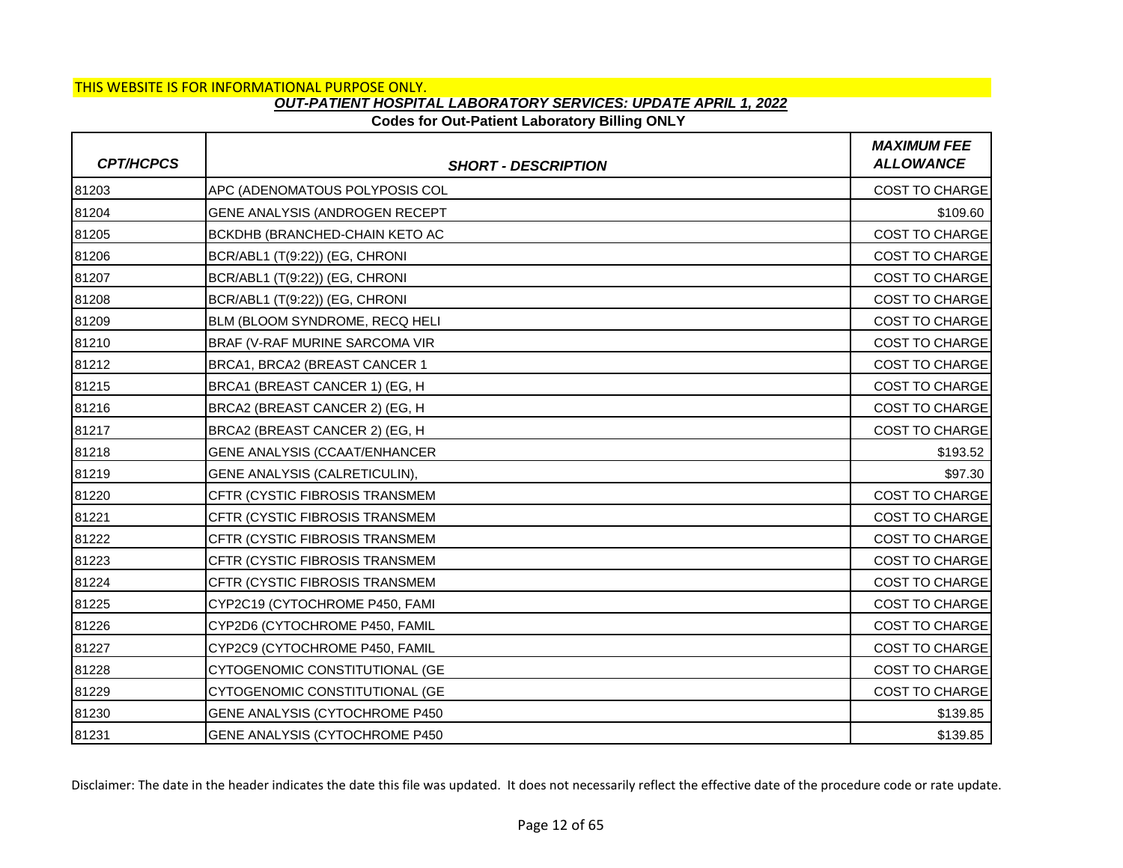### **Codes for Out-Patient Laboratory Billing ONLY**

| <b>CPT/HCPCS</b> | <b>SHORT - DESCRIPTION</b>            | <b>MAXIMUM FEE</b><br><b>ALLOWANCE</b> |
|------------------|---------------------------------------|----------------------------------------|
| 81203            | APC (ADENOMATOUS POLYPOSIS COL        | <b>COST TO CHARGE</b>                  |
| 81204            | GENE ANALYSIS (ANDROGEN RECEPT        | \$109.60                               |
| 81205            | BCKDHB (BRANCHED-CHAIN KETO AC        | <b>COST TO CHARGE</b>                  |
| 81206            | BCR/ABL1 (T(9:22)) (EG, CHRONI        | COST TO CHARGE                         |
| 81207            | BCR/ABL1 (T(9:22)) (EG, CHRONI        | <b>COST TO CHARGE</b>                  |
| 81208            | BCR/ABL1 (T(9:22)) (EG, CHRONI        | <b>COST TO CHARGE</b>                  |
| 81209            | BLM (BLOOM SYNDROME, RECQ HELI        | <b>COST TO CHARGE</b>                  |
| 81210            | BRAF (V-RAF MURINE SARCOMA VIR        | <b>COST TO CHARGE</b>                  |
| 81212            | BRCA1, BRCA2 (BREAST CANCER 1         | <b>COST TO CHARGE</b>                  |
| 81215            | BRCA1 (BREAST CANCER 1) (EG, H        | <b>COST TO CHARGE</b>                  |
| 81216            | BRCA2 (BREAST CANCER 2) (EG, H        | <b>COST TO CHARGE</b>                  |
| 81217            | BRCA2 (BREAST CANCER 2) (EG, H        | <b>COST TO CHARGE</b>                  |
| 81218            | <b>GENE ANALYSIS (CCAAT/ENHANCER</b>  | \$193.52                               |
| 81219            | GENE ANALYSIS (CALRETICULIN),         | \$97.30                                |
| 81220            | CFTR (CYSTIC FIBROSIS TRANSMEM        | <b>COST TO CHARGE</b>                  |
| 81221            | CFTR (CYSTIC FIBROSIS TRANSMEM        | <b>COST TO CHARGE</b>                  |
| 81222            | CFTR (CYSTIC FIBROSIS TRANSMEM        | <b>COST TO CHARGE</b>                  |
| 81223            | <b>CFTR (CYSTIC FIBROSIS TRANSMEM</b> | <b>COST TO CHARGE</b>                  |
| 81224            | <b>CFTR (CYSTIC FIBROSIS TRANSMEM</b> | <b>COST TO CHARGE</b>                  |
| 81225            | CYP2C19 (CYTOCHROME P450, FAMI        | <b>COST TO CHARGE</b>                  |
| 81226            | CYP2D6 (CYTOCHROME P450, FAMIL        | <b>COST TO CHARGE</b>                  |
| 81227            | CYP2C9 (CYTOCHROME P450, FAMIL        | <b>COST TO CHARGE</b>                  |
| 81228            | CYTOGENOMIC CONSTITUTIONAL (GE        | <b>COST TO CHARGE</b>                  |
| 81229            | CYTOGENOMIC CONSTITUTIONAL (GE        | <b>COST TO CHARGE</b>                  |
| 81230            | GENE ANALYSIS (CYTOCHROME P450        | \$139.85                               |
| 81231            | GENE ANALYSIS (CYTOCHROME P450        | \$139.85                               |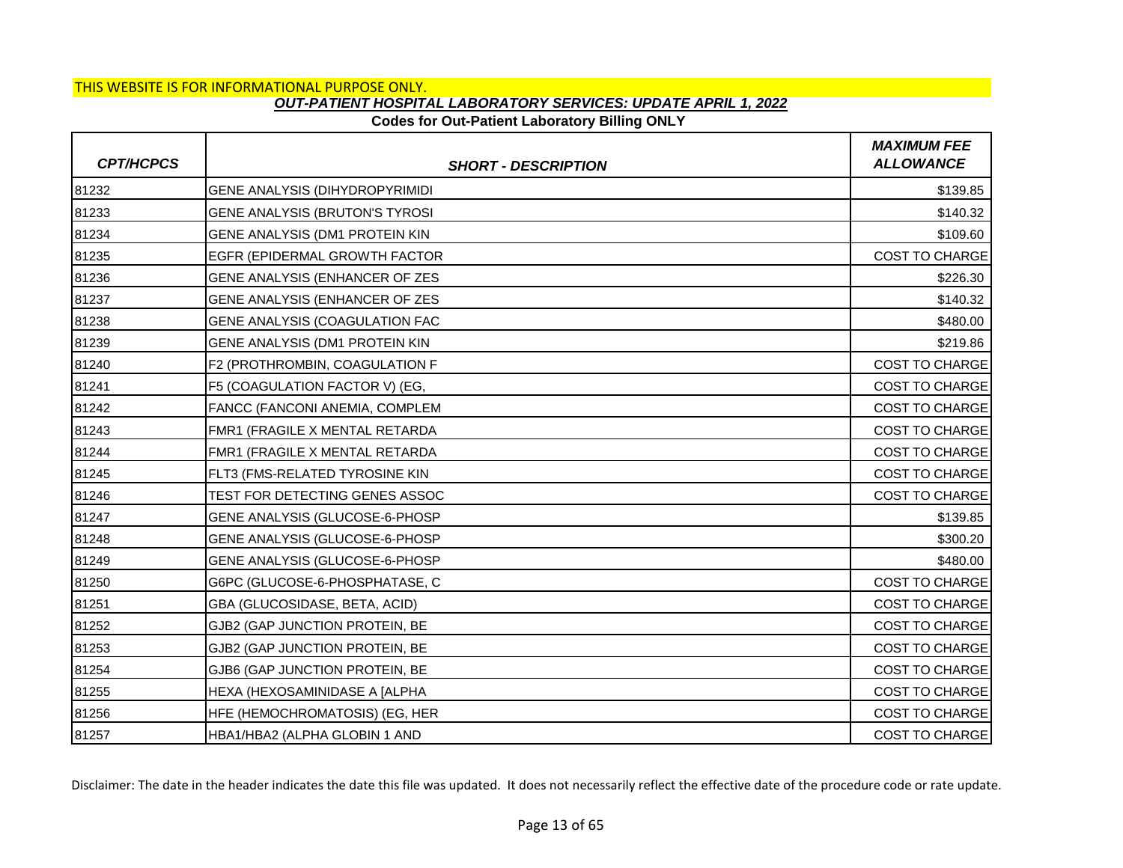## **Codes for Out-Patient Laboratory Billing ONLY**

| <b>CPT/HCPCS</b> | <b>SHORT - DESCRIPTION</b>     | <b>MAXIMUM FEE</b><br><b>ALLOWANCE</b> |
|------------------|--------------------------------|----------------------------------------|
| 81232            | GENE ANALYSIS (DIHYDROPYRIMIDI | \$139.85                               |
| 81233            | GENE ANALYSIS (BRUTON'S TYROSI | \$140.32                               |
| 81234            | GENE ANALYSIS (DM1 PROTEIN KIN | \$109.60                               |
| 81235            | EGFR (EPIDERMAL GROWTH FACTOR  | COST TO CHARGE                         |
| 81236            | GENE ANALYSIS (ENHANCER OF ZES | \$226.30                               |
| 81237            | GENE ANALYSIS (ENHANCER OF ZES | \$140.32                               |
| 81238            | GENE ANALYSIS (COAGULATION FAC | \$480.00                               |
| 81239            | GENE ANALYSIS (DM1 PROTEIN KIN | \$219.86                               |
| 81240            | F2 (PROTHROMBIN, COAGULATION F | <b>COST TO CHARGE</b>                  |
| 81241            | F5 (COAGULATION FACTOR V) (EG, | <b>COST TO CHARGE</b>                  |
| 81242            | FANCC (FANCONI ANEMIA, COMPLEM | COST TO CHARGE                         |
| 81243            | FMR1 (FRAGILE X MENTAL RETARDA | <b>COST TO CHARGE</b>                  |
| 81244            | FMR1 (FRAGILE X MENTAL RETARDA | <b>COST TO CHARGE</b>                  |
| 81245            | FLT3 (FMS-RELATED TYROSINE KIN | COST TO CHARGE                         |
| 81246            | TEST FOR DETECTING GENES ASSOC | <b>COST TO CHARGE</b>                  |
| 81247            | GENE ANALYSIS (GLUCOSE-6-PHOSP | \$139.85                               |
| 81248            | GENE ANALYSIS (GLUCOSE-6-PHOSP | \$300.20                               |
| 81249            | GENE ANALYSIS (GLUCOSE-6-PHOSP | \$480.00                               |
| 81250            | G6PC (GLUCOSE-6-PHOSPHATASE, C | <b>COST TO CHARGE</b>                  |
| 81251            | GBA (GLUCOSIDASE, BETA, ACID)  | COST TO CHARGE                         |
| 81252            | GJB2 (GAP JUNCTION PROTEIN, BE | <b>COST TO CHARGE</b>                  |
| 81253            | GJB2 (GAP JUNCTION PROTEIN, BE | <b>COST TO CHARGE</b>                  |
| 81254            | GJB6 (GAP JUNCTION PROTEIN, BE | COST TO CHARGE                         |
| 81255            | HEXA (HEXOSAMINIDASE A [ALPHA  | COST TO CHARGE                         |
| 81256            | HFE (HEMOCHROMATOSIS) (EG, HER | <b>COST TO CHARGE</b>                  |
| 81257            | HBA1/HBA2 (ALPHA GLOBIN 1 AND  | <b>COST TO CHARGE</b>                  |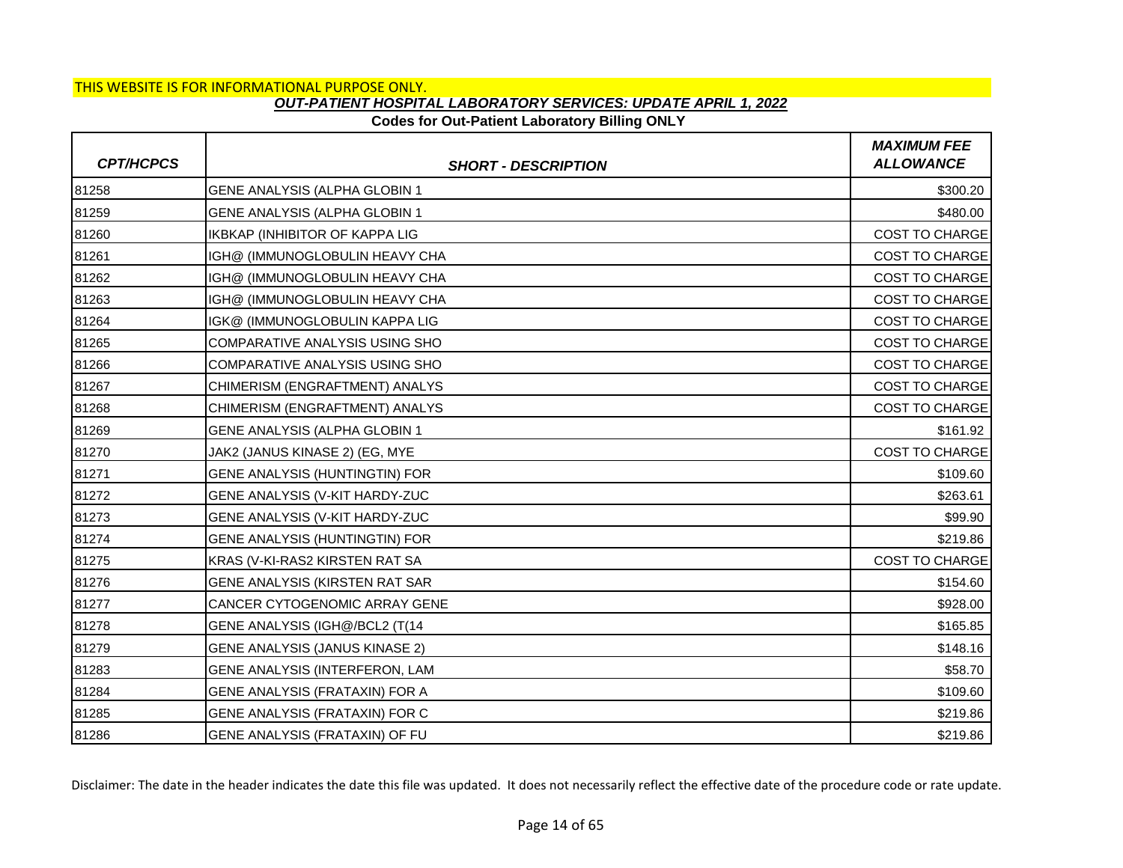## **Codes for Out-Patient Laboratory Billing ONLY**

| <b>CPT/HCPCS</b> | <b>SHORT - DESCRIPTION</b>            | <b>MAXIMUM FEE</b><br><b>ALLOWANCE</b> |
|------------------|---------------------------------------|----------------------------------------|
| 81258            | GENE ANALYSIS (ALPHA GLOBIN 1         | \$300.20                               |
| 81259            | GENE ANALYSIS (ALPHA GLOBIN 1         | \$480.00                               |
| 81260            | <b>IKBKAP (INHIBITOR OF KAPPA LIG</b> | <b>COST TO CHARGE</b>                  |
| 81261            | IGH@ (IMMUNOGLOBULIN HEAVY CHA        | <b>COST TO CHARGE</b>                  |
| 81262            | IGH@ (IMMUNOGLOBULIN HEAVY CHA        | COST TO CHARGE                         |
| 81263            | IGH@ (IMMUNOGLOBULIN HEAVY CHA        | <b>COST TO CHARGE</b>                  |
| 81264            | IGK@ (IMMUNOGLOBULIN KAPPA LIG        | <b>COST TO CHARGE</b>                  |
| 81265            | COMPARATIVE ANALYSIS USING SHO        | COST TO CHARGE                         |
| 81266            | <b>COMPARATIVE ANALYSIS USING SHO</b> | <b>COST TO CHARGE</b>                  |
| 81267            | CHIMERISM (ENGRAFTMENT) ANALYS        | <b>COST TO CHARGE</b>                  |
| 81268            | CHIMERISM (ENGRAFTMENT) ANALYS        | COST TO CHARGE                         |
| 81269            | GENE ANALYSIS (ALPHA GLOBIN 1         | \$161.92                               |
| 81270            | JAK2 (JANUS KINASE 2) (EG, MYE        | <b>COST TO CHARGE</b>                  |
| 81271            | GENE ANALYSIS (HUNTINGTIN) FOR        | \$109.60                               |
| 81272            | GENE ANALYSIS (V-KIT HARDY-ZUC        | \$263.61                               |
| 81273            | GENE ANALYSIS (V-KIT HARDY-ZUC        | \$99.90                                |
| 81274            | GENE ANALYSIS (HUNTINGTIN) FOR        | \$219.86                               |
| 81275            | KRAS (V-KI-RAS2 KIRSTEN RAT SA        | <b>COST TO CHARGE</b>                  |
| 81276            | GENE ANALYSIS (KIRSTEN RAT SAR        | \$154.60                               |
| 81277            | CANCER CYTOGENOMIC ARRAY GENE         | \$928.00                               |
| 81278            | GENE ANALYSIS (IGH@/BCL2 (T(14        | \$165.85                               |
| 81279            | GENE ANALYSIS (JANUS KINASE 2)        | \$148.16                               |
| 81283            | GENE ANALYSIS (INTERFERON, LAM        | \$58.70                                |
| 81284            | GENE ANALYSIS (FRATAXIN) FOR A        | \$109.60                               |
| 81285            | GENE ANALYSIS (FRATAXIN) FOR C        | \$219.86                               |
| 81286            | GENE ANALYSIS (FRATAXIN) OF FU        | \$219.86                               |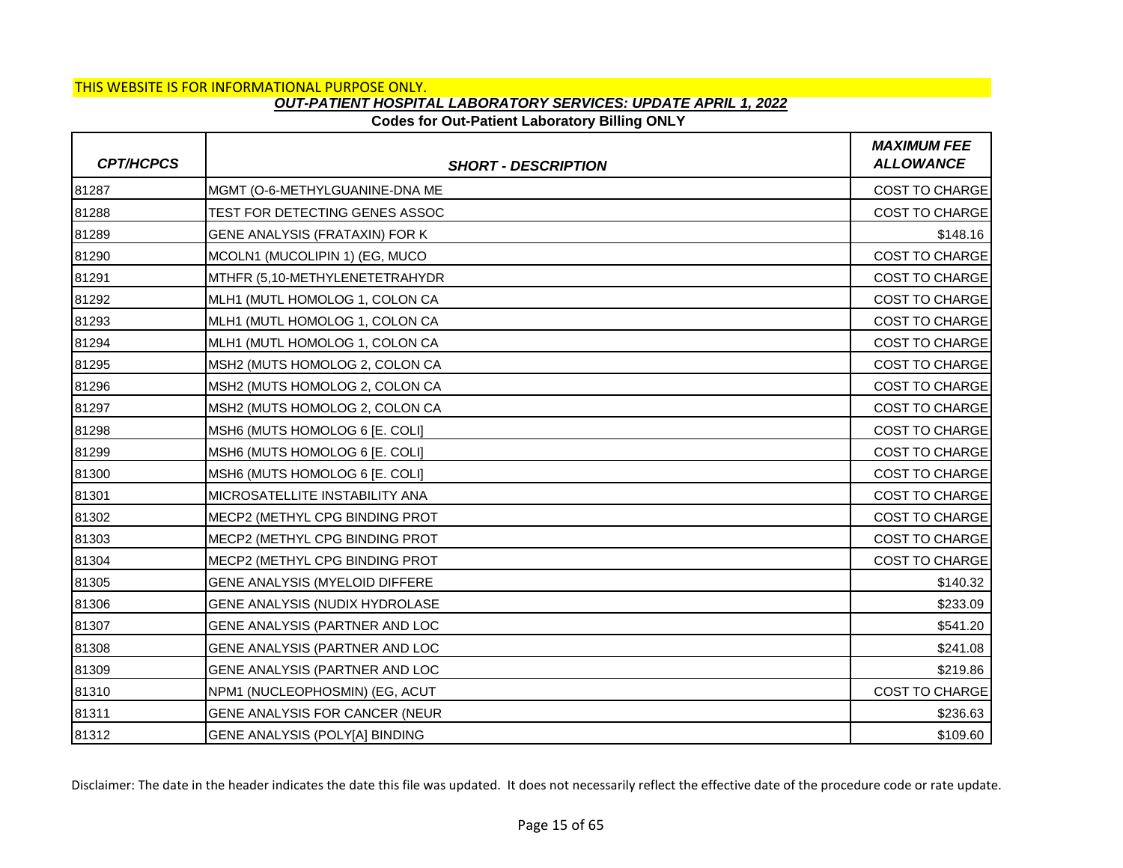### **Codes for Out-Patient Laboratory Billing ONLY**

| <b>CPT/HCPCS</b> | <b>SHORT - DESCRIPTION</b>     | <b>MAXIMUM FEE</b><br><b>ALLOWANCE</b> |
|------------------|--------------------------------|----------------------------------------|
| 81287            | MGMT (O-6-METHYLGUANINE-DNA ME | <b>COST TO CHARGE</b>                  |
| 81288            | TEST FOR DETECTING GENES ASSOC | <b>COST TO CHARGE</b>                  |
| 81289            | GENE ANALYSIS (FRATAXIN) FOR K | \$148.16                               |
| 81290            | MCOLN1 (MUCOLIPIN 1) (EG, MUCO | <b>COST TO CHARGE</b>                  |
| 81291            | MTHFR (5,10-METHYLENETETRAHYDR | COST TO CHARGE                         |
| 81292            | MLH1 (MUTL HOMOLOG 1, COLON CA | <b>COST TO CHARGE</b>                  |
| 81293            | MLH1 (MUTL HOMOLOG 1, COLON CA | <b>COST TO CHARGE</b>                  |
| 81294            | MLH1 (MUTL HOMOLOG 1, COLON CA | <b>COST TO CHARGE</b>                  |
| 81295            | MSH2 (MUTS HOMOLOG 2, COLON CA | <b>COST TO CHARGE</b>                  |
| 81296            | MSH2 (MUTS HOMOLOG 2, COLON CA | <b>COST TO CHARGE</b>                  |
| 81297            | MSH2 (MUTS HOMOLOG 2, COLON CA | COST TO CHARGE                         |
| 81298            | MSH6 (MUTS HOMOLOG 6 [E. COLI] | <b>COST TO CHARGE</b>                  |
| 81299            | MSH6 (MUTS HOMOLOG 6 [E. COLI] | <b>COST TO CHARGE</b>                  |
| 81300            | MSH6 (MUTS HOMOLOG 6 [E. COLI] | COST TO CHARGE                         |
| 81301            | MICROSATELLITE INSTABILITY ANA | <b>COST TO CHARGE</b>                  |
| 81302            | MECP2 (METHYL CPG BINDING PROT | <b>COST TO CHARGE</b>                  |
| 81303            | MECP2 (METHYL CPG BINDING PROT | COST TO CHARGE                         |
| 81304            | MECP2 (METHYL CPG BINDING PROT | <b>COST TO CHARGE</b>                  |
| 81305            | GENE ANALYSIS (MYELOID DIFFERE | \$140.32                               |
| 81306            | GENE ANALYSIS (NUDIX HYDROLASE | \$233.09                               |
| 81307            | GENE ANALYSIS (PARTNER AND LOC | \$541.20                               |
| 81308            | GENE ANALYSIS (PARTNER AND LOC | \$241.08                               |
| 81309            | GENE ANALYSIS (PARTNER AND LOC | \$219.86                               |
| 81310            | NPM1 (NUCLEOPHOSMIN) (EG, ACUT | <b>COST TO CHARGE</b>                  |
| 81311            | GENE ANALYSIS FOR CANCER (NEUR | \$236.63                               |
| 81312            | GENE ANALYSIS (POLY[A] BINDING | \$109.60                               |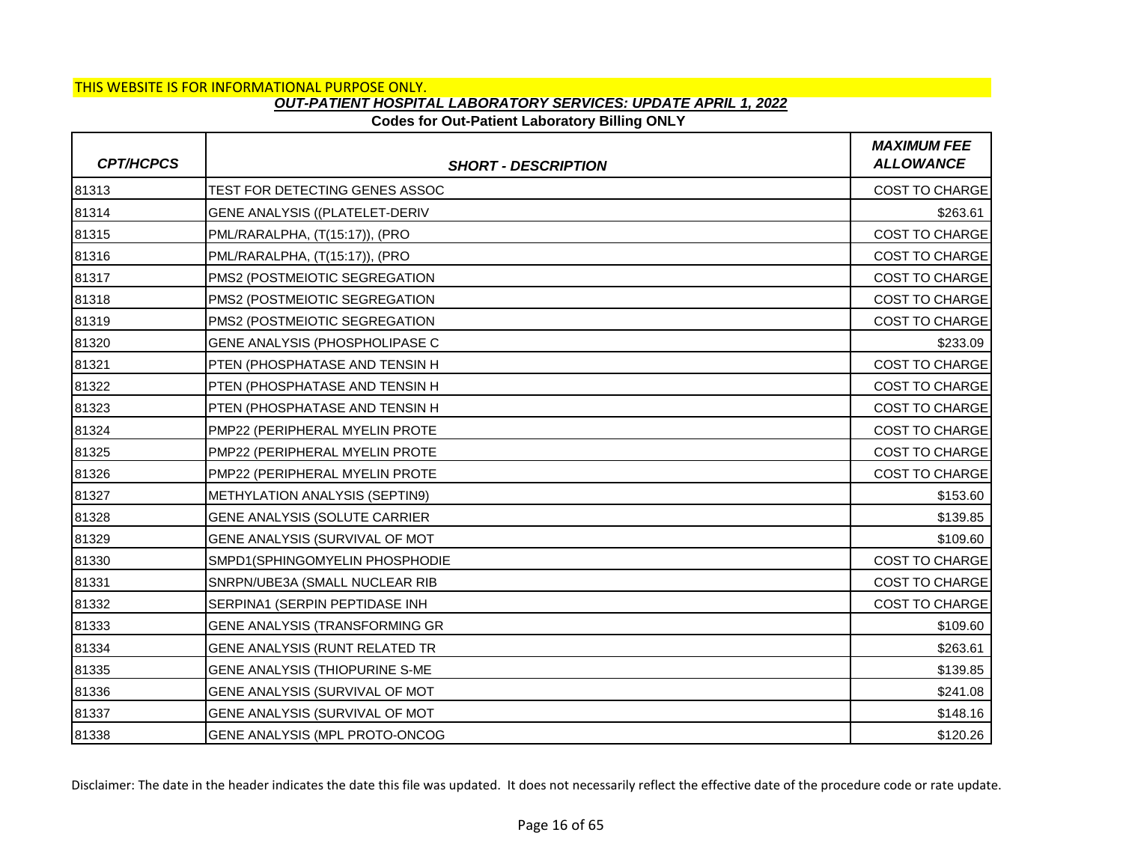### **Codes for Out-Patient Laboratory Billing ONLY**

| <b>CPT/HCPCS</b> | <b>SHORT - DESCRIPTION</b>            | <b>MAXIMUM FEE</b><br><b>ALLOWANCE</b> |
|------------------|---------------------------------------|----------------------------------------|
| 81313            | TEST FOR DETECTING GENES ASSOC        | <b>COST TO CHARGE</b>                  |
| 81314            | <b>GENE ANALYSIS ((PLATELET-DERIV</b> | \$263.61                               |
| 81315            | PML/RARALPHA, (T(15:17)), (PRO        | <b>COST TO CHARGE</b>                  |
| 81316            | PML/RARALPHA, (T(15:17)), (PRO        | COST TO CHARGE                         |
| 81317            | PMS2 (POSTMEIOTIC SEGREGATION         | <b>COST TO CHARGE</b>                  |
| 81318            | PMS2 (POSTMEIOTIC SEGREGATION         | <b>COST TO CHARGE</b>                  |
| 81319            | PMS2 (POSTMEIOTIC SEGREGATION         | <b>COST TO CHARGE</b>                  |
| 81320            | GENE ANALYSIS (PHOSPHOLIPASE C        | \$233.09                               |
| 81321            | PTEN (PHOSPHATASE AND TENSIN H        | <b>COST TO CHARGE</b>                  |
| 81322            | PTEN (PHOSPHATASE AND TENSIN H        | <b>COST TO CHARGE</b>                  |
| 81323            | PTEN (PHOSPHATASE AND TENSIN H        | COST TO CHARGE                         |
| 81324            | PMP22 (PERIPHERAL MYELIN PROTE        | <b>COST TO CHARGE</b>                  |
| 81325            | PMP22 (PERIPHERAL MYELIN PROTE        | <b>COST TO CHARGE</b>                  |
| 81326            | PMP22 (PERIPHERAL MYELIN PROTE        | COST TO CHARGE                         |
| 81327            | <b>METHYLATION ANALYSIS (SEPTIN9)</b> | \$153.60                               |
| 81328            | GENE ANALYSIS (SOLUTE CARRIER         | \$139.85                               |
| 81329            | GENE ANALYSIS (SURVIVAL OF MOT        | \$109.60                               |
| 81330            | SMPD1(SPHINGOMYELIN PHOSPHODIE        | <b>COST TO CHARGE</b>                  |
| 81331            | SNRPN/UBE3A (SMALL NUCLEAR RIB        | <b>COST TO CHARGE</b>                  |
| 81332            | SERPINA1 (SERPIN PEPTIDASE INH        | COST TO CHARGE                         |
| 81333            | <b>GENE ANALYSIS (TRANSFORMING GR</b> | \$109.60                               |
| 81334            | GENE ANALYSIS (RUNT RELATED TR        | \$263.61                               |
| 81335            | GENE ANALYSIS (THIOPURINE S-ME        | \$139.85                               |
| 81336            | GENE ANALYSIS (SURVIVAL OF MOT        | \$241.08                               |
| 81337            | GENE ANALYSIS (SURVIVAL OF MOT        | \$148.16                               |
| 81338            | GENE ANALYSIS (MPL PROTO-ONCOG        | \$120.26                               |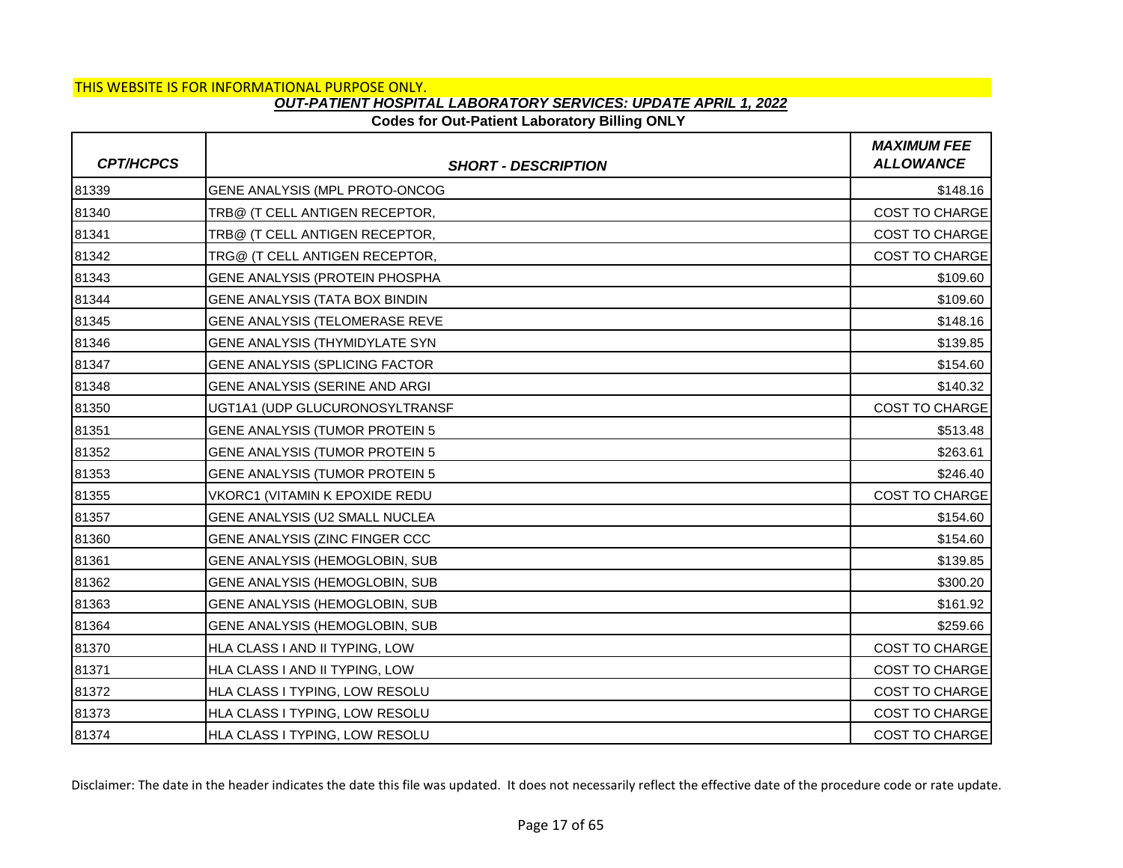## **Codes for Out-Patient Laboratory Billing ONLY**

| <b>CPT/HCPCS</b> | <b>SHORT - DESCRIPTION</b>            | <b>MAXIMUM FEE</b><br><b>ALLOWANCE</b> |
|------------------|---------------------------------------|----------------------------------------|
| 81339            | GENE ANALYSIS (MPL PROTO-ONCOG        | \$148.16                               |
| 81340            | TRB@ (T CELL ANTIGEN RECEPTOR,        | COST TO CHARGE                         |
| 81341            | TRB@ (T CELL ANTIGEN RECEPTOR,        | <b>COST TO CHARGE</b>                  |
| 81342            | TRG@ (T CELL ANTIGEN RECEPTOR,        | <b>COST TO CHARGE</b>                  |
| 81343            | GENE ANALYSIS (PROTEIN PHOSPHA        | \$109.60                               |
| 81344            | GENE ANALYSIS (TATA BOX BINDIN        | \$109.60                               |
| 81345            | GENE ANALYSIS (TELOMERASE REVE        | \$148.16                               |
| 81346            | GENE ANALYSIS (THYMIDYLATE SYN        | \$139.85                               |
| 81347            | <b>GENE ANALYSIS (SPLICING FACTOR</b> | \$154.60                               |
| 81348            | GENE ANALYSIS (SERINE AND ARGI        | \$140.32                               |
| 81350            | UGT1A1 (UDP GLUCURONOSYLTRANSF        | COST TO CHARGE                         |
| 81351            | <b>GENE ANALYSIS (TUMOR PROTEIN 5</b> | \$513.48                               |
| 81352            | <b>GENE ANALYSIS (TUMOR PROTEIN 5</b> | \$263.61                               |
| 81353            | GENE ANALYSIS (TUMOR PROTEIN 5        | \$246.40                               |
| 81355            | VKORC1 (VITAMIN K EPOXIDE REDU        | <b>COST TO CHARGE</b>                  |
| 81357            | GENE ANALYSIS (U2 SMALL NUCLEA        | \$154.60                               |
| 81360            | GENE ANALYSIS (ZINC FINGER CCC        | \$154.60                               |
| 81361            | GENE ANALYSIS (HEMOGLOBIN, SUB        | \$139.85                               |
| 81362            | GENE ANALYSIS (HEMOGLOBIN, SUB        | \$300.20                               |
| 81363            | GENE ANALYSIS (HEMOGLOBIN, SUB        | \$161.92                               |
| 81364            | GENE ANALYSIS (HEMOGLOBIN, SUB        | \$259.66                               |
| 81370            | HLA CLASS I AND II TYPING, LOW        | COST TO CHARGE                         |
| 81371            | HLA CLASS I AND II TYPING, LOW        | <b>COST TO CHARGE</b>                  |
| 81372            | HLA CLASS I TYPING, LOW RESOLU        | <b>COST TO CHARGE</b>                  |
| 81373            | HLA CLASS I TYPING, LOW RESOLU        | <b>COST TO CHARGE</b>                  |
| 81374            | HLA CLASS I TYPING, LOW RESOLU        | <b>COST TO CHARGE</b>                  |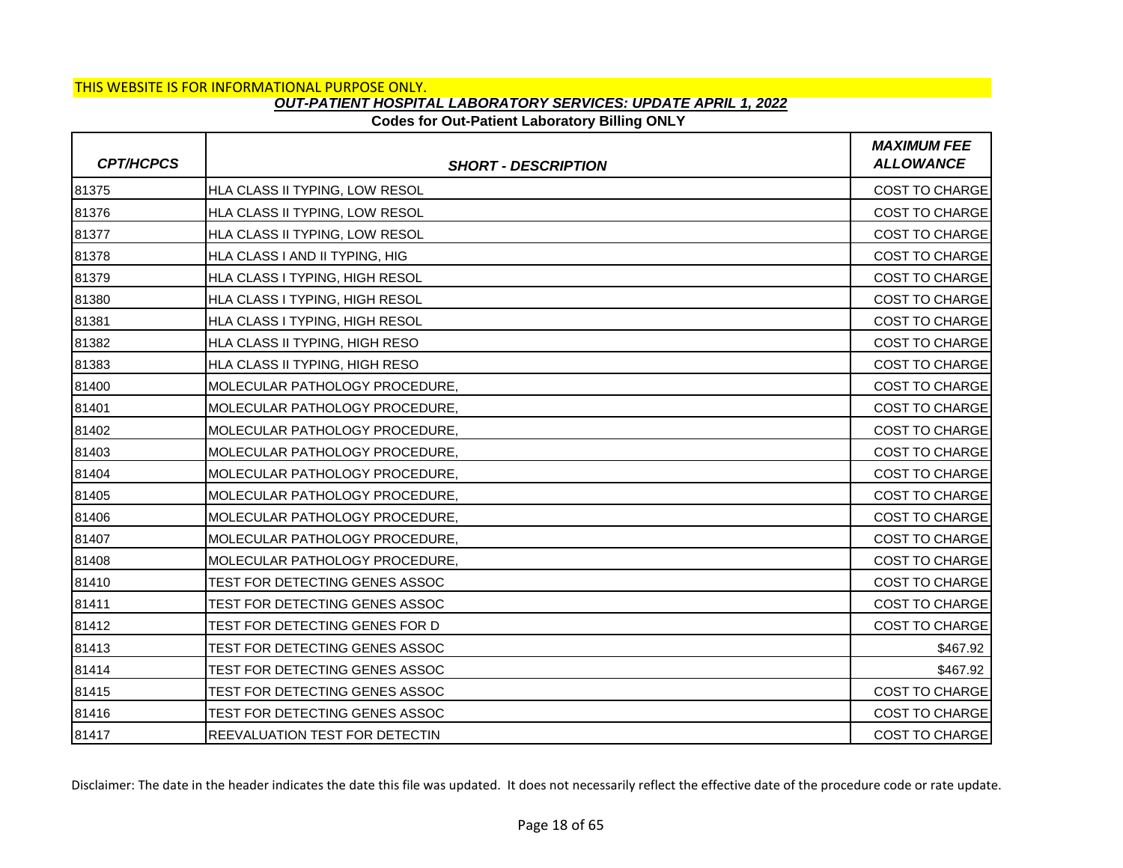## **Codes for Out-Patient Laboratory Billing ONLY**

| <b>CPT/HCPCS</b> | <b>SHORT - DESCRIPTION</b>            | <b>MAXIMUM FEE</b><br><b>ALLOWANCE</b> |
|------------------|---------------------------------------|----------------------------------------|
| 81375            | HLA CLASS II TYPING, LOW RESOL        | COST TO CHARGE                         |
| 81376            | HLA CLASS II TYPING, LOW RESOL        | <b>COST TO CHARGE</b>                  |
| 81377            | HLA CLASS II TYPING, LOW RESOL        | COST TO CHARGE                         |
| 81378            | HLA CLASS I AND II TYPING, HIG        | COST TO CHARGE                         |
| 81379            | HLA CLASS I TYPING, HIGH RESOL        | <b>COST TO CHARGE</b>                  |
| 81380            | HLA CLASS I TYPING, HIGH RESOL        | <b>COST TO CHARGE</b>                  |
| 81381            | HLA CLASS I TYPING, HIGH RESOL        | COST TO CHARGE                         |
| 81382            | HLA CLASS II TYPING, HIGH RESO        | COST TO CHARGE                         |
| 81383            | HLA CLASS II TYPING, HIGH RESO        | <b>COST TO CHARGE</b>                  |
| 81400            | MOLECULAR PATHOLOGY PROCEDURE,        | COST TO CHARGE                         |
| 81401            | MOLECULAR PATHOLOGY PROCEDURE,        | <b>COST TO CHARGE</b>                  |
| 81402            | MOLECULAR PATHOLOGY PROCEDURE,        | <b>COST TO CHARGE</b>                  |
| 81403            | MOLECULAR PATHOLOGY PROCEDURE,        | COST TO CHARGE                         |
| 81404            | MOLECULAR PATHOLOGY PROCEDURE,        | COST TO CHARGE                         |
| 81405            | IMOLECULAR PATHOLOGY PROCEDURE.       | <b>COST TO CHARGE</b>                  |
| 81406            | MOLECULAR PATHOLOGY PROCEDURE,        | COST TO CHARGE                         |
| 81407            | MOLECULAR PATHOLOGY PROCEDURE,        | COST TO CHARGE                         |
| 81408            | MOLECULAR PATHOLOGY PROCEDURE,        | <b>COST TO CHARGE</b>                  |
| 81410            | TEST FOR DETECTING GENES ASSOC        | COST TO CHARGE                         |
| 81411            | TEST FOR DETECTING GENES ASSOC        | COST TO CHARGE                         |
| 81412            | TEST FOR DETECTING GENES FOR D        | <b>COST TO CHARGE</b>                  |
| 81413            | TEST FOR DETECTING GENES ASSOC        | \$467.92                               |
| 81414            | TEST FOR DETECTING GENES ASSOC        | \$467.92                               |
| 81415            | TEST FOR DETECTING GENES ASSOC        | <b>COST TO CHARGE</b>                  |
| 81416            | TEST FOR DETECTING GENES ASSOC        | <b>COST TO CHARGE</b>                  |
| 81417            | <b>REEVALUATION TEST FOR DETECTIN</b> | <b>COST TO CHARGE</b>                  |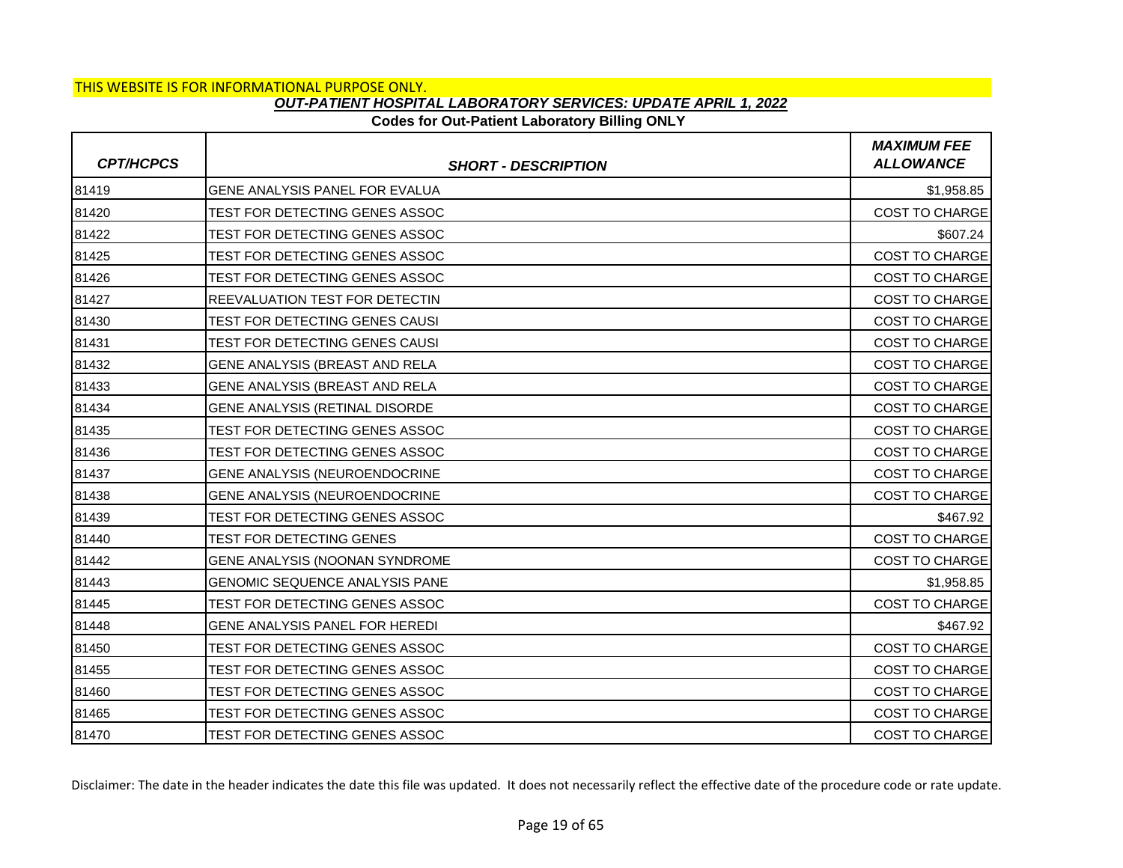## **Codes for Out-Patient Laboratory Billing ONLY**

| <b>CPT/HCPCS</b> | <b>SHORT - DESCRIPTION</b>            | <b>MAXIMUM FEE</b><br><b>ALLOWANCE</b> |
|------------------|---------------------------------------|----------------------------------------|
| 81419            | GENE ANALYSIS PANEL FOR EVALUA        | \$1,958.85                             |
| 81420            | TEST FOR DETECTING GENES ASSOC        | COST TO CHARGE                         |
| 81422            | TEST FOR DETECTING GENES ASSOC        | \$607.24                               |
| 81425            | TEST FOR DETECTING GENES ASSOC        | COST TO CHARGE                         |
| 81426            | TEST FOR DETECTING GENES ASSOC        | <b>COST TO CHARGE</b>                  |
| 81427            | <b>REEVALUATION TEST FOR DETECTIN</b> | <b>COST TO CHARGE</b>                  |
| 81430            | TEST FOR DETECTING GENES CAUSI        | <b>COST TO CHARGE</b>                  |
| 81431            | TEST FOR DETECTING GENES CAUSI        | <b>COST TO CHARGE</b>                  |
| 81432            | GENE ANALYSIS (BREAST AND RELA        | <b>COST TO CHARGE</b>                  |
| 81433            | GENE ANALYSIS (BREAST AND RELA        | <b>COST TO CHARGE</b>                  |
| 81434            | GENE ANALYSIS (RETINAL DISORDE        | <b>COST TO CHARGE</b>                  |
| 81435            | TEST FOR DETECTING GENES ASSOC        | <b>COST TO CHARGE</b>                  |
| 81436            | TEST FOR DETECTING GENES ASSOC        | COST TO CHARGE                         |
| 81437            | GENE ANALYSIS (NEUROENDOCRINE         | <b>COST TO CHARGE</b>                  |
| 81438            | GENE ANALYSIS (NEUROENDOCRINE         | COST TO CHARGE                         |
| 81439            | TEST FOR DETECTING GENES ASSOC        | \$467.92                               |
| 81440            | TEST FOR DETECTING GENES              | <b>COST TO CHARGE</b>                  |
| 81442            | GENE ANALYSIS (NOONAN SYNDROME        | <b>COST TO CHARGE</b>                  |
| 81443            | <b>GENOMIC SEQUENCE ANALYSIS PANE</b> | \$1,958.85                             |
| 81445            | TEST FOR DETECTING GENES ASSOC        | COST TO CHARGE                         |
| 81448            | GENE ANALYSIS PANEL FOR HEREDI        | \$467.92                               |
| 81450            | TEST FOR DETECTING GENES ASSOC        | COST TO CHARGE                         |
| 81455            | TEST FOR DETECTING GENES ASSOC        | COST TO CHARGE                         |
| 81460            | TEST FOR DETECTING GENES ASSOC        | <b>COST TO CHARGE</b>                  |
| 81465            | TEST FOR DETECTING GENES ASSOC        | <b>COST TO CHARGE</b>                  |
| 81470            | TEST FOR DETECTING GENES ASSOC        | <b>COST TO CHARGE</b>                  |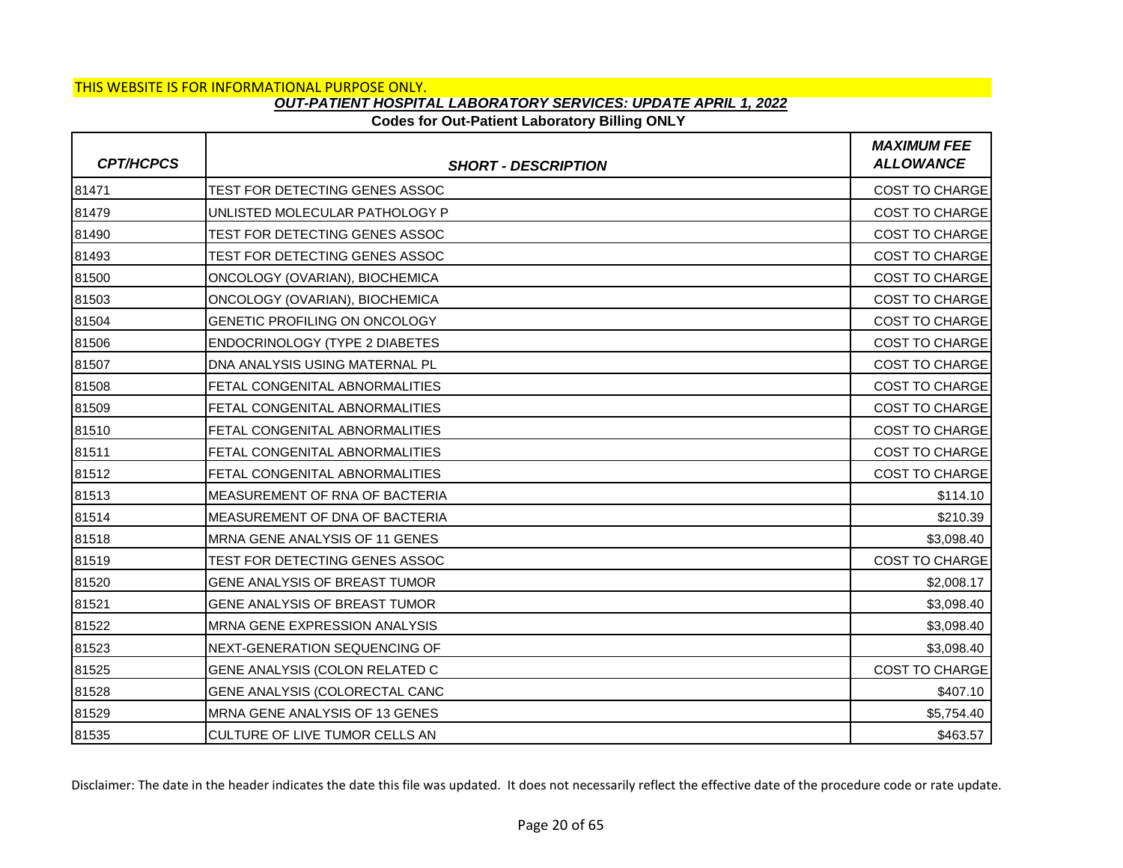## **Codes for Out-Patient Laboratory Billing ONLY**

| <b>CPT/HCPCS</b> | <b>SHORT - DESCRIPTION</b>     | <b>MAXIMUM FEE</b><br><b>ALLOWANCE</b> |
|------------------|--------------------------------|----------------------------------------|
| 81471            | TEST FOR DETECTING GENES ASSOC | COST TO CHARGE                         |
| 81479            | UNLISTED MOLECULAR PATHOLOGY P | <b>COST TO CHARGE</b>                  |
| 81490            | TEST FOR DETECTING GENES ASSOC | <b>COST TO CHARGE</b>                  |
| 81493            | TEST FOR DETECTING GENES ASSOC | <b>COST TO CHARGE</b>                  |
| 81500            | ONCOLOGY (OVARIAN), BIOCHEMICA | <b>COST TO CHARGE</b>                  |
| 81503            | ONCOLOGY (OVARIAN), BIOCHEMICA | <b>COST TO CHARGE</b>                  |
| 81504            | GENETIC PROFILING ON ONCOLOGY  | <b>COST TO CHARGE</b>                  |
| 81506            | ENDOCRINOLOGY (TYPE 2 DIABETES | COST TO CHARGE                         |
| 81507            | DNA ANALYSIS USING MATERNAL PL | <b>COST TO CHARGE</b>                  |
| 81508            | FETAL CONGENITAL ABNORMALITIES | <b>COST TO CHARGE</b>                  |
| 81509            | FETAL CONGENITAL ABNORMALITIES | COST TO CHARGE                         |
| 81510            | FETAL CONGENITAL ABNORMALITIES | <b>COST TO CHARGE</b>                  |
| 81511            | FETAL CONGENITAL ABNORMALITIES | <b>COST TO CHARGE</b>                  |
| 81512            | FETAL CONGENITAL ABNORMALITIES | COST TO CHARGE                         |
| 81513            | MEASUREMENT OF RNA OF BACTERIA | \$114.10                               |
| 81514            | MEASUREMENT OF DNA OF BACTERIA | \$210.39                               |
| 81518            | MRNA GENE ANALYSIS OF 11 GENES | \$3,098.40                             |
| 81519            | TEST FOR DETECTING GENES ASSOC | <b>COST TO CHARGE</b>                  |
| 81520            | GENE ANALYSIS OF BREAST TUMOR  | \$2,008.17                             |
| 81521            | GENE ANALYSIS OF BREAST TUMOR  | \$3,098.40                             |
| 81522            | MRNA GENE EXPRESSION ANALYSIS  | \$3,098.40                             |
| 81523            | NEXT-GENERATION SEQUENCING OF  | \$3,098.40                             |
| 81525            | GENE ANALYSIS (COLON RELATED C | COST TO CHARGE                         |
| 81528            | GENE ANALYSIS (COLORECTAL CANC | \$407.10                               |
| 81529            | MRNA GENE ANALYSIS OF 13 GENES | \$5,754.40                             |
| 81535            | CULTURE OF LIVE TUMOR CELLS AN | \$463.57                               |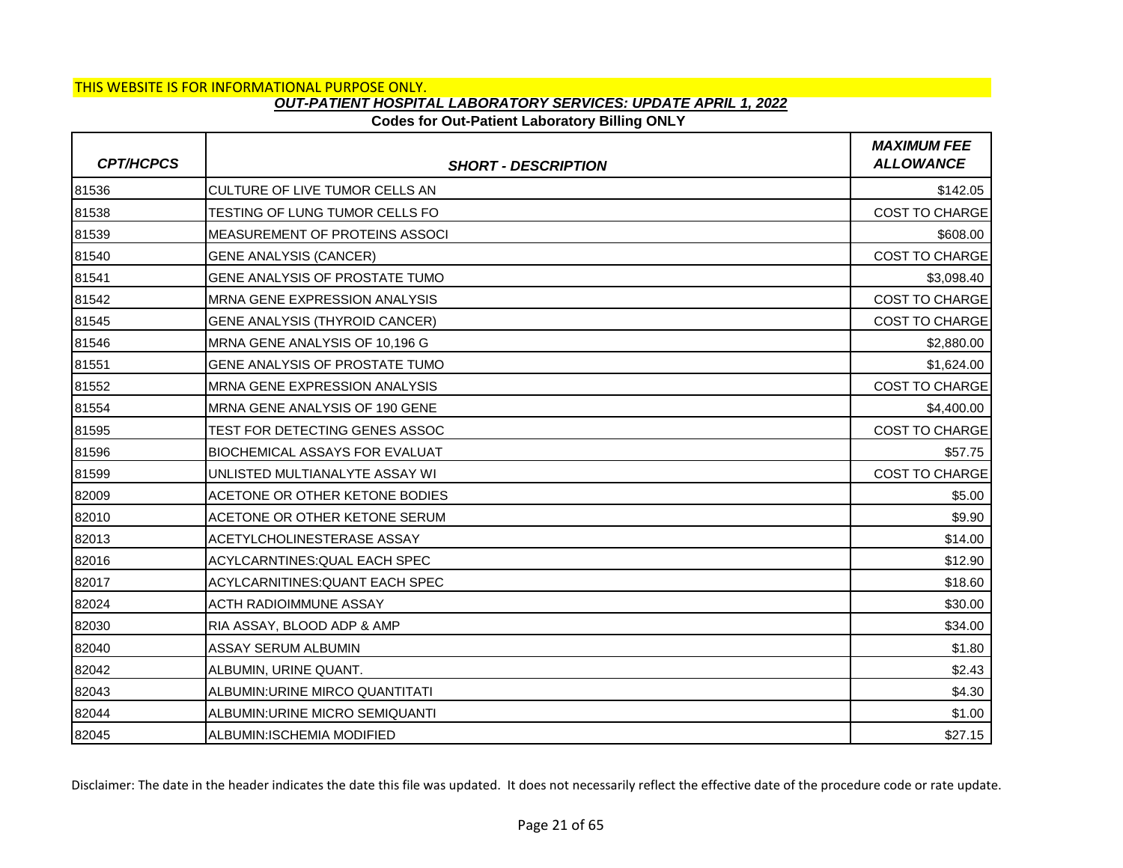## **Codes for Out-Patient Laboratory Billing ONLY**

| <b>CPT/HCPCS</b> | <b>SHORT - DESCRIPTION</b>            | <b>MAXIMUM FEE</b><br><b>ALLOWANCE</b> |
|------------------|---------------------------------------|----------------------------------------|
| 81536            | CULTURE OF LIVE TUMOR CELLS AN        | \$142.05                               |
| 81538            | TESTING OF LUNG TUMOR CELLS FO        | <b>COST TO CHARGE</b>                  |
| 81539            | MEASUREMENT OF PROTEINS ASSOCI        | \$608.00                               |
| 81540            | <b>GENE ANALYSIS (CANCER)</b>         | <b>COST TO CHARGE</b>                  |
| 81541            | GENE ANALYSIS OF PROSTATE TUMO        | \$3,098.40                             |
| 81542            | <b>MRNA GENE EXPRESSION ANALYSIS</b>  | <b>COST TO CHARGE</b>                  |
| 81545            | <b>GENE ANALYSIS (THYROID CANCER)</b> | <b>COST TO CHARGE</b>                  |
| 81546            | MRNA GENE ANALYSIS OF 10,196 G        | \$2,880.00                             |
| 81551            | <b>GENE ANALYSIS OF PROSTATE TUMO</b> | \$1,624.00                             |
| 81552            | <b>MRNA GENE EXPRESSION ANALYSIS</b>  | <b>COST TO CHARGE</b>                  |
| 81554            | MRNA GENE ANALYSIS OF 190 GENE        | \$4,400.00                             |
| 81595            | TEST FOR DETECTING GENES ASSOC        | <b>COST TO CHARGE</b>                  |
| 81596            | <b>BIOCHEMICAL ASSAYS FOR EVALUAT</b> | \$57.75                                |
| 81599            | UNLISTED MULTIANALYTE ASSAY WI        | <b>COST TO CHARGE</b>                  |
| 82009            | ACETONE OR OTHER KETONE BODIES        | \$5.00                                 |
| 82010            | ACETONE OR OTHER KETONE SERUM         | \$9.90                                 |
| 82013            | ACETYLCHOLINESTERASE ASSAY            | \$14.00                                |
| 82016            | ACYLCARNTINES: QUAL EACH SPEC         | \$12.90                                |
| 82017            | ACYLCARNITINES: QUANT EACH SPEC       | \$18.60                                |
| 82024            | <b>ACTH RADIOIMMUNE ASSAY</b>         | \$30.00                                |
| 82030            | RIA ASSAY, BLOOD ADP & AMP            | \$34.00                                |
| 82040            | ASSAY SERUM ALBUMIN                   | \$1.80                                 |
| 82042            | ALBUMIN, URINE QUANT.                 | \$2.43                                 |
| 82043            | ALBUMIN: URINE MIRCO QUANTITATI       | \$4.30                                 |
| 82044            | ALBUMIN: URINE MICRO SEMIQUANTI       | \$1.00                                 |
| 82045            | ALBUMIN:ISCHEMIA MODIFIED             | \$27.15                                |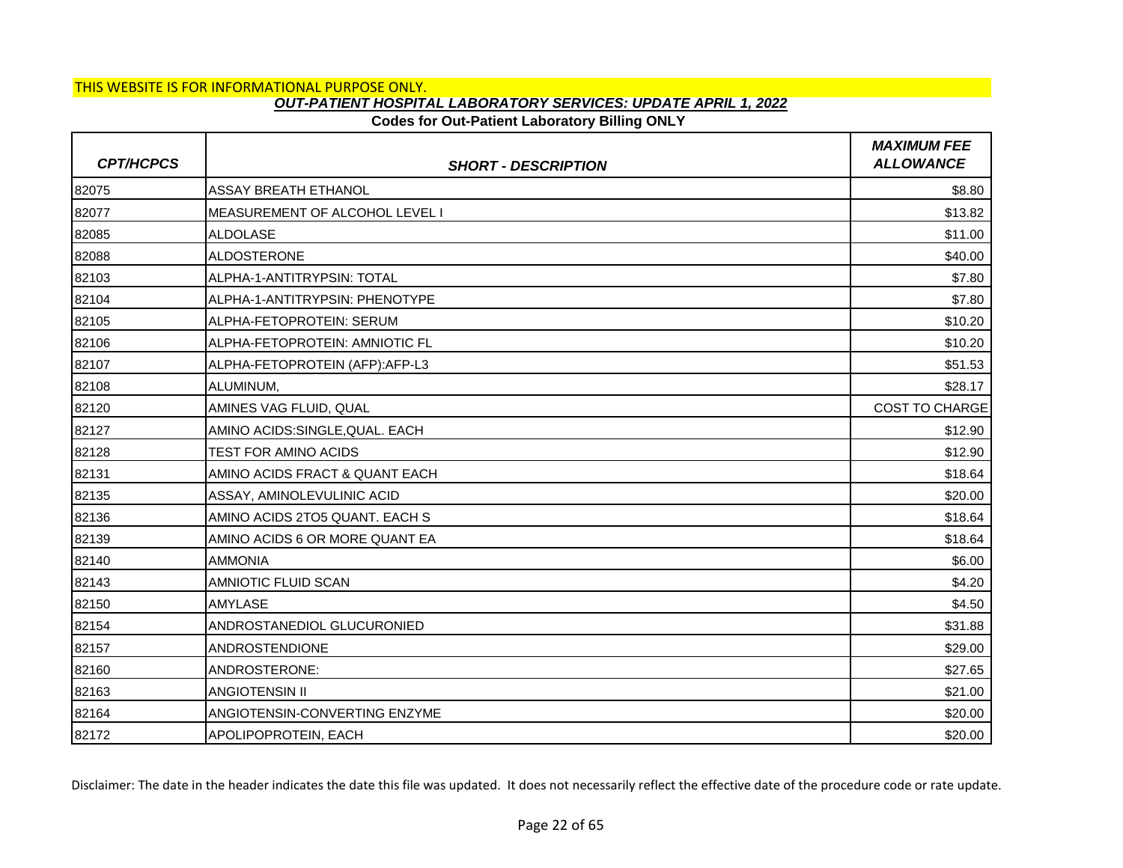# THIS WEBSITE IS FOR INFORMATIONAL PURPOSE ONLY.

### *OUT-PATIENT HOSPITAL LABORATORY SERVICES: UPDATE APRIL 1, 2022*

### **Codes for Out-Patient Laboratory Billing ONLY**

| <b>CPT/HCPCS</b> | <b>SHORT - DESCRIPTION</b>     | <b>MAXIMUM FEE</b><br><b>ALLOWANCE</b> |
|------------------|--------------------------------|----------------------------------------|
| 82075            | <b>ASSAY BREATH ETHANOL</b>    | \$8.80                                 |
| 82077            | MEASUREMENT OF ALCOHOL LEVEL I | \$13.82                                |
| 82085            | <b>ALDOLASE</b>                | \$11.00                                |
| 82088            | <b>ALDOSTERONE</b>             | \$40.00                                |
| 82103            | ALPHA-1-ANTITRYPSIN: TOTAL     | \$7.80                                 |
| 82104            | ALPHA-1-ANTITRYPSIN: PHENOTYPE | \$7.80                                 |
| 82105            | ALPHA-FETOPROTEIN: SERUM       | \$10.20                                |
| 82106            | ALPHA-FETOPROTEIN: AMNIOTIC FL | \$10.20                                |
| 82107            | ALPHA-FETOPROTEIN (AFP):AFP-L3 | \$51.53                                |
| 82108            | ALUMINUM,                      | \$28.17                                |
| 82120            | AMINES VAG FLUID, QUAL         | <b>COST TO CHARGE</b>                  |
| 82127            | AMINO ACIDS:SINGLE, QUAL. EACH | \$12.90                                |
| 82128            | TEST FOR AMINO ACIDS           | \$12.90                                |
| 82131            | AMINO ACIDS FRACT & QUANT EACH | \$18.64                                |
| 82135            | ASSAY, AMINOLEVULINIC ACID     | \$20.00                                |
| 82136            | AMINO ACIDS 2TO5 QUANT. EACH S | \$18.64                                |
| 82139            | AMINO ACIDS 6 OR MORE QUANT EA | \$18.64                                |
| 82140            | <b>AMMONIA</b>                 | \$6.00                                 |
| 82143            | AMNIOTIC FLUID SCAN            | \$4.20                                 |
| 82150            | <b>AMYLASE</b>                 | \$4.50                                 |
| 82154            | ANDROSTANEDIOL GLUCURONIED     | \$31.88                                |
| 82157            | <b>ANDROSTENDIONE</b>          | \$29.00                                |
| 82160            | ANDROSTERONE:                  | \$27.65                                |
| 82163            | <b>ANGIOTENSIN II</b>          | \$21.00                                |
| 82164            | ANGIOTENSIN-CONVERTING ENZYME  | \$20.00                                |
| 82172            | APOLIPOPROTEIN, EACH           | \$20.00                                |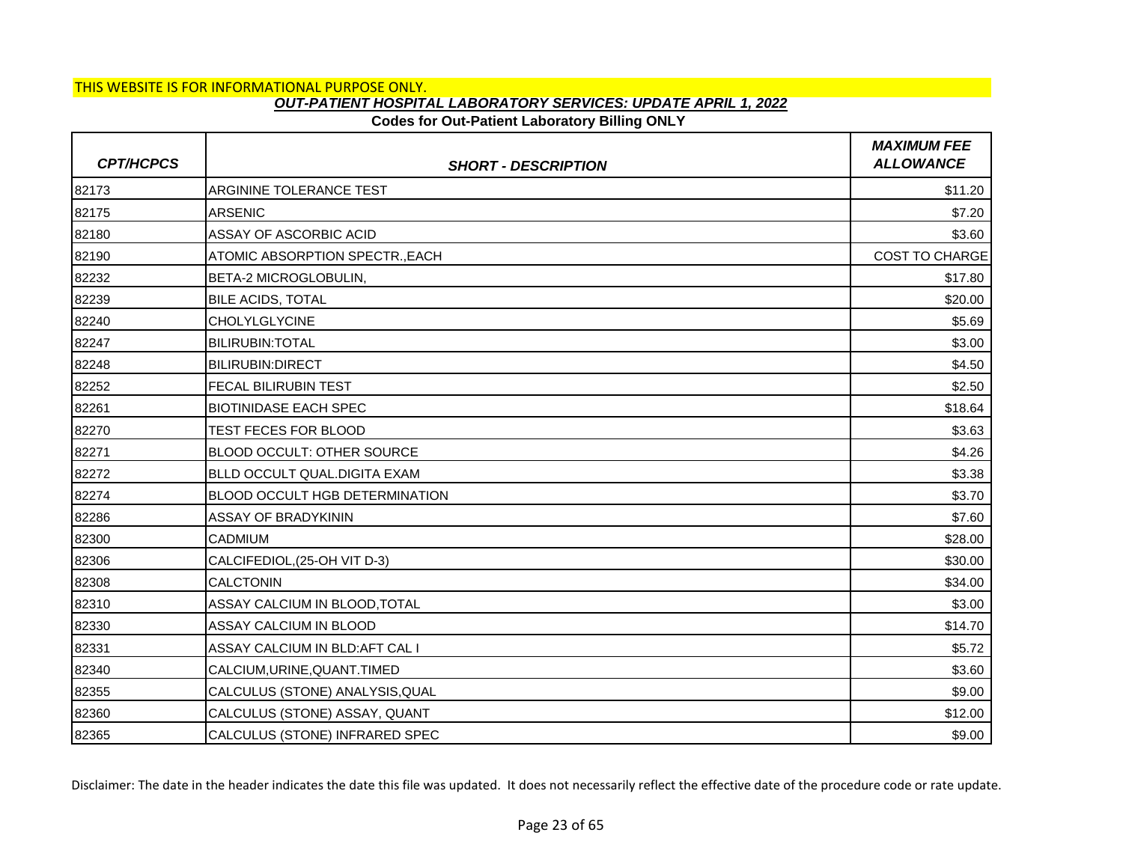## **Codes for Out-Patient Laboratory Billing ONLY**

| <b>CPT/HCPCS</b> | <b>SHORT - DESCRIPTION</b>            | <b>MAXIMUM FEE</b><br><b>ALLOWANCE</b> |
|------------------|---------------------------------------|----------------------------------------|
| 82173            | ARGININE TOLERANCE TEST               | \$11.20                                |
| 82175            | <b>ARSENIC</b>                        | \$7.20                                 |
| 82180            | ASSAY OF ASCORBIC ACID                | \$3.60                                 |
| 82190            | ATOMIC ABSORPTION SPECTR., EACH       | <b>COST TO CHARGE</b>                  |
| 82232            | BETA-2 MICROGLOBULIN,                 | \$17.80                                |
| 82239            | <b>BILE ACIDS, TOTAL</b>              | \$20.00                                |
| 82240            | <b>CHOLYLGLYCINE</b>                  | \$5.69                                 |
| 82247            | <b>BILIRUBIN: TOTAL</b>               | \$3.00                                 |
| 82248            | <b>BILIRUBIN:DIRECT</b>               | \$4.50                                 |
| 82252            | FECAL BILIRUBIN TEST                  | \$2.50                                 |
| 82261            | <b>BIOTINIDASE EACH SPEC</b>          | \$18.64                                |
| 82270            | TEST FECES FOR BLOOD                  | \$3.63                                 |
| 82271            | BLOOD OCCULT: OTHER SOURCE            | \$4.26                                 |
| 82272            | BLLD OCCULT QUAL.DIGITA EXAM          | \$3.38                                 |
| 82274            | <b>BLOOD OCCULT HGB DETERMINATION</b> | \$3.70                                 |
| 82286            | ASSAY OF BRADYKININ                   | \$7.60                                 |
| 82300            | CADMIUM                               | \$28.00                                |
| 82306            | CALCIFEDIOL, (25-OH VIT D-3)          | \$30.00                                |
| 82308            | <b>CALCTONIN</b>                      | \$34.00                                |
| 82310            | ASSAY CALCIUM IN BLOOD, TOTAL         | \$3.00                                 |
| 82330            | ASSAY CALCIUM IN BLOOD                | \$14.70                                |
| 82331            | ASSAY CALCIUM IN BLD:AFT CAL I        | \$5.72                                 |
| 82340            | CALCIUM, URINE, QUANT. TIMED          | \$3.60                                 |
| 82355            | CALCULUS (STONE) ANALYSIS, QUAL       | \$9.00                                 |
| 82360            | CALCULUS (STONE) ASSAY, QUANT         | \$12.00                                |
| 82365            | CALCULUS (STONE) INFRARED SPEC        | \$9.00                                 |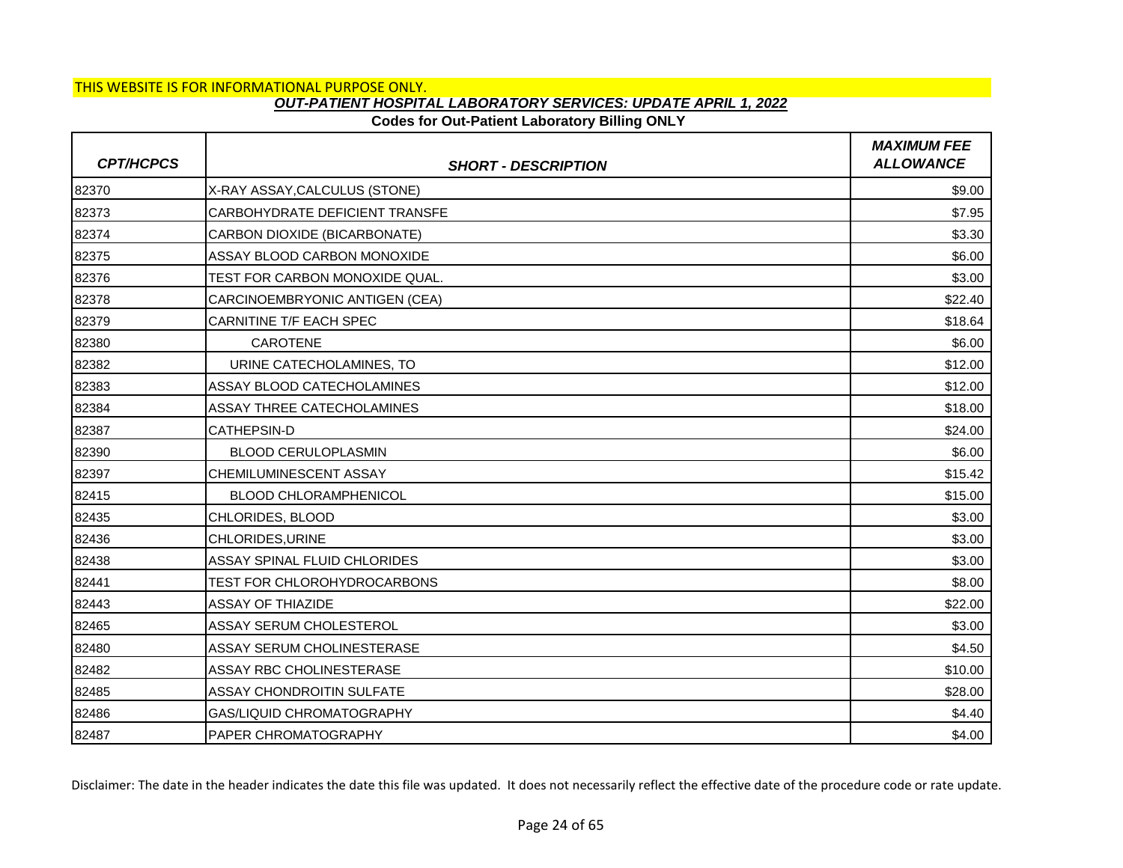## **Codes for Out-Patient Laboratory Billing ONLY**

| <b>CPT/HCPCS</b> | <b>SHORT - DESCRIPTION</b>       | <b>MAXIMUM FEE</b><br><b>ALLOWANCE</b> |
|------------------|----------------------------------|----------------------------------------|
| 82370            | X-RAY ASSAY, CALCULUS (STONE)    | \$9.00                                 |
| 82373            | CARBOHYDRATE DEFICIENT TRANSFE   | \$7.95                                 |
| 82374            | CARBON DIOXIDE (BICARBONATE)     | \$3.30                                 |
| 82375            | ASSAY BLOOD CARBON MONOXIDE      | \$6.00                                 |
| 82376            | TEST FOR CARBON MONOXIDE QUAL.   | \$3.00                                 |
| 82378            | CARCINOEMBRYONIC ANTIGEN (CEA)   | \$22.40                                |
| 82379            | CARNITINE T/F EACH SPEC          | \$18.64                                |
| 82380            | CAROTENE                         | \$6.00                                 |
| 82382            | URINE CATECHOLAMINES, TO         | \$12.00                                |
| 82383            | ASSAY BLOOD CATECHOLAMINES       | \$12.00                                |
| 82384            | ASSAY THREE CATECHOLAMINES       | \$18.00                                |
| 82387            | <b>CATHEPSIN-D</b>               | \$24.00                                |
| 82390            | <b>BLOOD CERULOPLASMIN</b>       | \$6.00                                 |
| 82397            | CHEMILUMINESCENT ASSAY           | \$15.42                                |
| 82415            | <b>BLOOD CHLORAMPHENICOL</b>     | \$15.00                                |
| 82435            | CHLORIDES, BLOOD                 | \$3.00                                 |
| 82436            | CHLORIDES, URINE                 | \$3.00                                 |
| 82438            | ASSAY SPINAL FLUID CHLORIDES     | \$3.00                                 |
| 82441            | TEST FOR CHLOROHYDROCARBONS      | \$8.00                                 |
| 82443            | <b>ASSAY OF THIAZIDE</b>         | \$22.00                                |
| 82465            | ASSAY SERUM CHOLESTEROL          | \$3.00                                 |
| 82480            | ASSAY SERUM CHOLINESTERASE       | \$4.50                                 |
| 82482            | ASSAY RBC CHOLINESTERASE         | \$10.00                                |
| 82485            | <b>ASSAY CHONDROITIN SULFATE</b> | \$28.00                                |
| 82486            | GAS/LIQUID CHROMATOGRAPHY        | \$4.40                                 |
| 82487            | PAPER CHROMATOGRAPHY             | \$4.00                                 |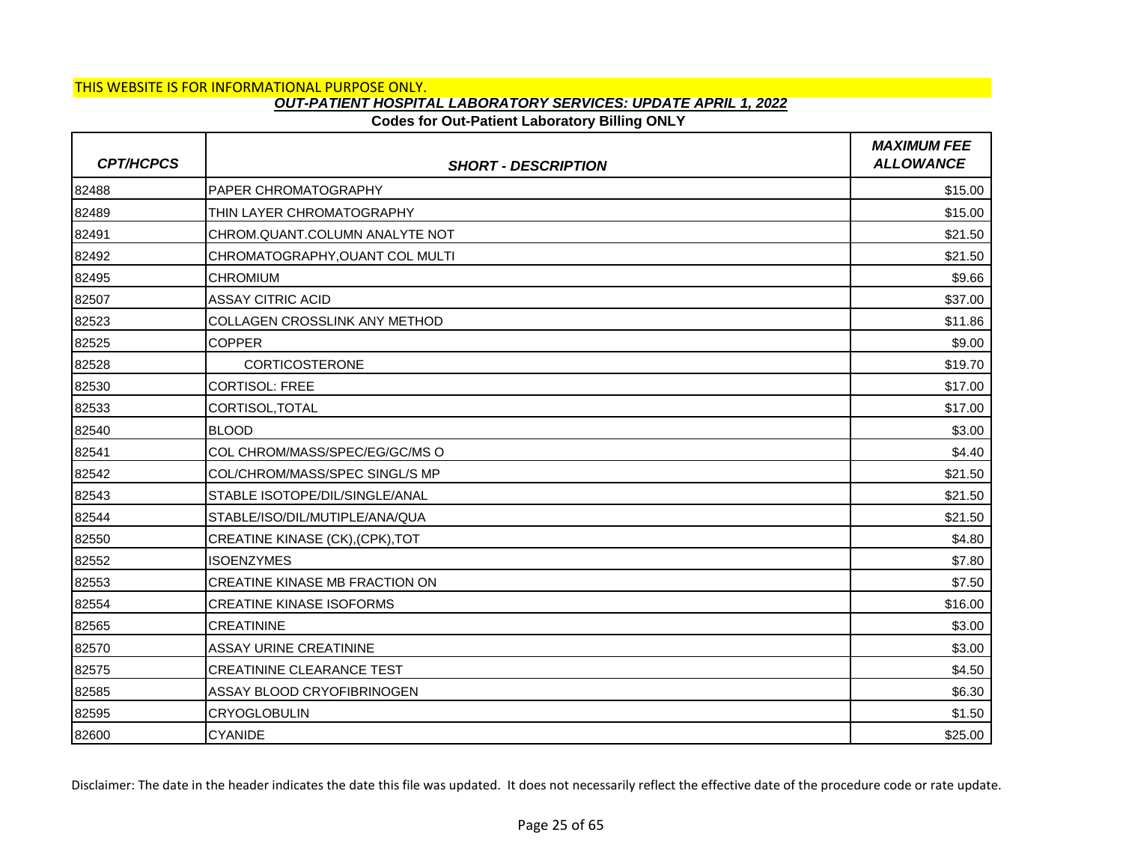## **Codes for Out-Patient Laboratory Billing ONLY**

| <b>CPT/HCPCS</b> | <b>SHORT - DESCRIPTION</b>           | <b>MAXIMUM FEE</b><br><b>ALLOWANCE</b> |
|------------------|--------------------------------------|----------------------------------------|
| 82488            | <b>PAPER CHROMATOGRAPHY</b>          | \$15.00                                |
| 82489            | THIN LAYER CHROMATOGRAPHY            | \$15.00                                |
| 82491            | CHROM.QUANT.COLUMN ANALYTE NOT       | \$21.50                                |
| 82492            | CHROMATOGRAPHY, OUANT COL MULTI      | \$21.50                                |
| 82495            | <b>CHROMIUM</b>                      | \$9.66                                 |
| 82507            | <b>ASSAY CITRIC ACID</b>             | \$37.00                                |
| 82523            | <b>COLLAGEN CROSSLINK ANY METHOD</b> | \$11.86                                |
| 82525            | <b>COPPER</b>                        | \$9.00                                 |
| 82528            | <b>CORTICOSTERONE</b>                | \$19.70                                |
| 82530            | <b>CORTISOL: FREE</b>                | \$17.00                                |
| 82533            | CORTISOL, TOTAL                      | \$17.00                                |
| 82540            | <b>BLOOD</b>                         | \$3.00                                 |
| 82541            | COL CHROM/MASS/SPEC/EG/GC/MS O       | \$4.40                                 |
| 82542            | COL/CHROM/MASS/SPEC SINGL/S MP       | \$21.50                                |
| 82543            | STABLE ISOTOPE/DIL/SINGLE/ANAL       | \$21.50                                |
| 82544            | STABLE/ISO/DIL/MUTIPLE/ANA/QUA       | \$21.50                                |
| 82550            | CREATINE KINASE (CK), (CPK), TOT     | \$4.80                                 |
| 82552            | <b>ISOENZYMES</b>                    | \$7.80                                 |
| 82553            | CREATINE KINASE MB FRACTION ON       | \$7.50                                 |
| 82554            | <b>CREATINE KINASE ISOFORMS</b>      | \$16.00                                |
| 82565            | <b>CREATININE</b>                    | \$3.00                                 |
| 82570            | <b>ASSAY URINE CREATININE</b>        | \$3.00                                 |
| 82575            | <b>CREATININE CLEARANCE TEST</b>     | \$4.50                                 |
| 82585            | ASSAY BLOOD CRYOFIBRINOGEN           | \$6.30                                 |
| 82595            | <b>CRYOGLOBULIN</b>                  | \$1.50                                 |
| 82600            | <b>CYANIDE</b>                       | \$25.00                                |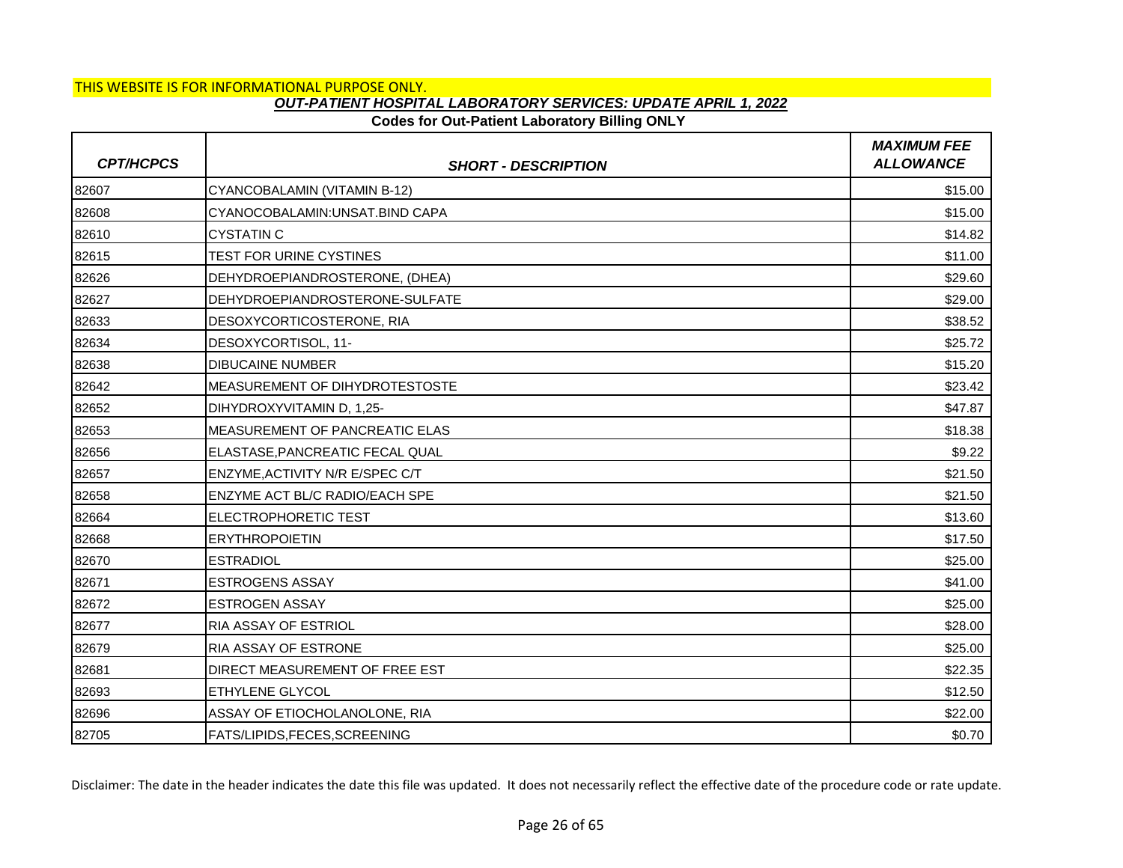## **Codes for Out-Patient Laboratory Billing ONLY**

| <b>CPT/HCPCS</b> | <b>SHORT - DESCRIPTION</b>             | <b>MAXIMUM FEE</b><br><b>ALLOWANCE</b> |
|------------------|----------------------------------------|----------------------------------------|
| 82607            | CYANCOBALAMIN (VITAMIN B-12)           | \$15.00                                |
| 82608            | CYANOCOBALAMIN: UNSAT. BIND CAPA       | \$15.00                                |
| 82610            | <b>CYSTATIN C</b>                      | \$14.82                                |
| 82615            | TEST FOR URINE CYSTINES                | \$11.00                                |
| 82626            | DEHYDROEPIANDROSTERONE, (DHEA)         | \$29.60                                |
| 82627            | DEHYDROEPIANDROSTERONE-SULFATE         | \$29.00                                |
| 82633            | DESOXYCORTICOSTERONE, RIA              | \$38.52                                |
| 82634            | DESOXYCORTISOL, 11-                    | \$25.72                                |
| 82638            | <b>DIBUCAINE NUMBER</b>                | \$15.20                                |
| 82642            | MEASUREMENT OF DIHYDROTESTOSTE         | \$23.42                                |
| 82652            | DIHYDROXYVITAMIN D, 1,25-              | \$47.87                                |
| 82653            | <b>IMEASUREMENT OF PANCREATIC ELAS</b> | \$18.38                                |
| 82656            | ELASTASE,PANCREATIC FECAL QUAL         | \$9.22                                 |
| 82657            | ENZYME, ACTIVITY N/R E/SPEC C/T        | \$21.50                                |
| 82658            | <b>ENZYME ACT BL/C RADIO/EACH SPE</b>  | \$21.50                                |
| 82664            | ELECTROPHORETIC TEST                   | \$13.60                                |
| 82668            | <b>ERYTHROPOIETIN</b>                  | \$17.50                                |
| 82670            | <b>ESTRADIOL</b>                       | \$25.00                                |
| 82671            | <b>ESTROGENS ASSAY</b>                 | \$41.00                                |
| 82672            | <b>ESTROGEN ASSAY</b>                  | \$25.00                                |
| 82677            | <b>RIA ASSAY OF ESTRIOL</b>            | \$28.00                                |
| 82679            | RIA ASSAY OF ESTRONE                   | \$25.00                                |
| 82681            | DIRECT MEASUREMENT OF FREE EST         | \$22.35                                |
| 82693            | <b>ETHYLENE GLYCOL</b>                 | \$12.50                                |
| 82696            | ASSAY OF ETIOCHOLANOLONE, RIA          | \$22.00                                |
| 82705            | <b>FATS/LIPIDS,FECES,SCREENING</b>     | \$0.70                                 |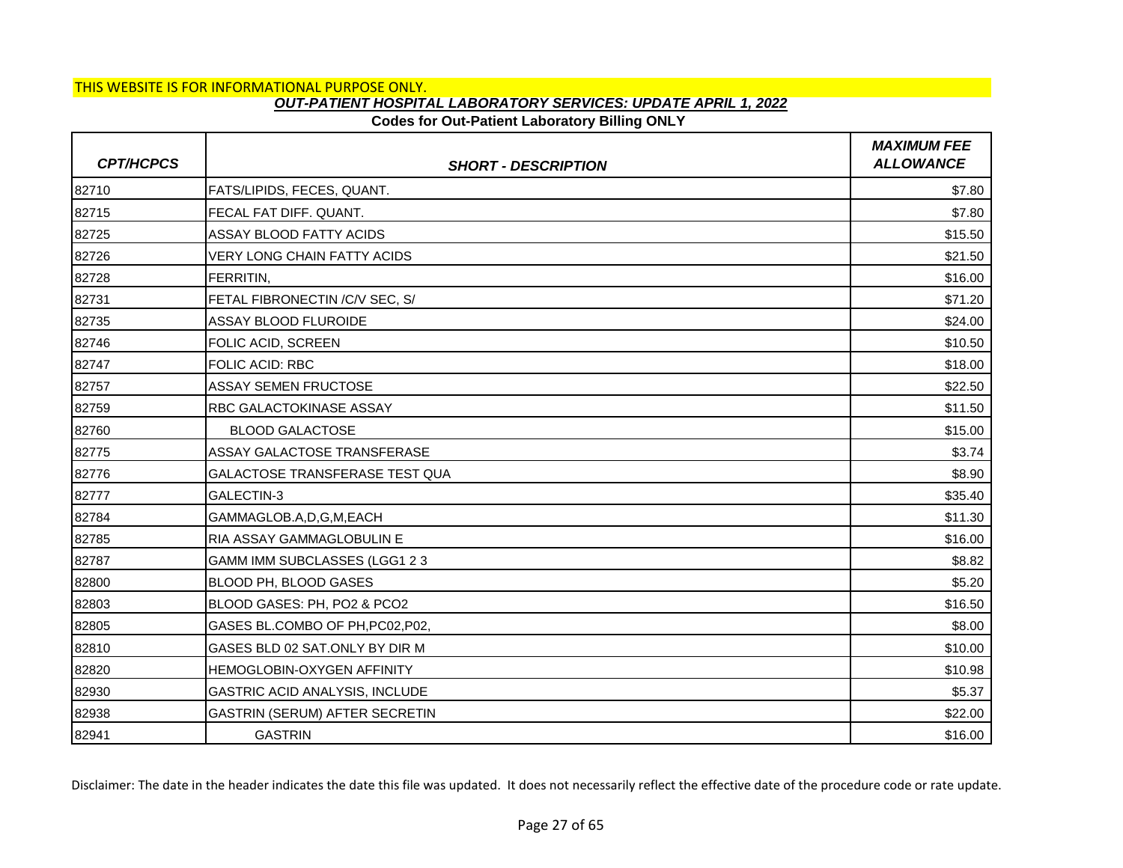#### **Codes for Out-Patient Laboratory Billing ONLY**

| <b>CPT/HCPCS</b> | <b>SHORT - DESCRIPTION</b>         | <b>MAXIMUM FEE</b><br><b>ALLOWANCE</b> |
|------------------|------------------------------------|----------------------------------------|
| 82710            | FATS/LIPIDS, FECES, QUANT.         | \$7.80                                 |
| 82715            | FECAL FAT DIFF. QUANT.             | \$7.80                                 |
| 82725            | <b>ASSAY BLOOD FATTY ACIDS</b>     | \$15.50                                |
| 82726            | <b>VERY LONG CHAIN FATTY ACIDS</b> | \$21.50                                |
| 82728            | FERRITIN,                          | \$16.00                                |
| 82731            | FETAL FIBRONECTIN / C/V SEC, S/    | \$71.20                                |
| 82735            | <b>ASSAY BLOOD FLUROIDE</b>        | \$24.00                                |
| 82746            | FOLIC ACID, SCREEN                 | \$10.50                                |
| 82747            | <b>FOLIC ACID: RBC</b>             | \$18.00                                |
| 82757            | <b>ASSAY SEMEN FRUCTOSE</b>        | \$22.50                                |
| 82759            | RBC GALACTOKINASE ASSAY            | \$11.50                                |
| 82760            | <b>BLOOD GALACTOSE</b>             | \$15.00                                |
| 82775            | ASSAY GALACTOSE TRANSFERASE        | \$3.74                                 |
| 82776            | GALACTOSE TRANSFERASE TEST QUA     | \$8.90                                 |
| 82777            | GALECTIN-3                         | \$35.40                                |
| 82784            | GAMMAGLOB.A,D,G,M,EACH             | \$11.30                                |
| 82785            | RIA ASSAY GAMMAGLOBULIN E          | \$16.00                                |
| 82787            | GAMM IMM SUBCLASSES (LGG1 2 3      | \$8.82                                 |
| 82800            | BLOOD PH, BLOOD GASES              | \$5.20                                 |
| 82803            | BLOOD GASES: PH, PO2 & PCO2        | \$16.50                                |
| 82805            | GASES BL.COMBO OF PH, PC02, P02,   | \$8.00                                 |
| 82810            | GASES BLD 02 SAT.ONLY BY DIR M     | \$10.00                                |
| 82820            | HEMOGLOBIN-OXYGEN AFFINITY         | \$10.98                                |
| 82930            | GASTRIC ACID ANALYSIS, INCLUDE     | \$5.37                                 |
| 82938            | GASTRIN (SERUM) AFTER SECRETIN     | \$22.00                                |
| 82941            | <b>GASTRIN</b>                     | \$16.00                                |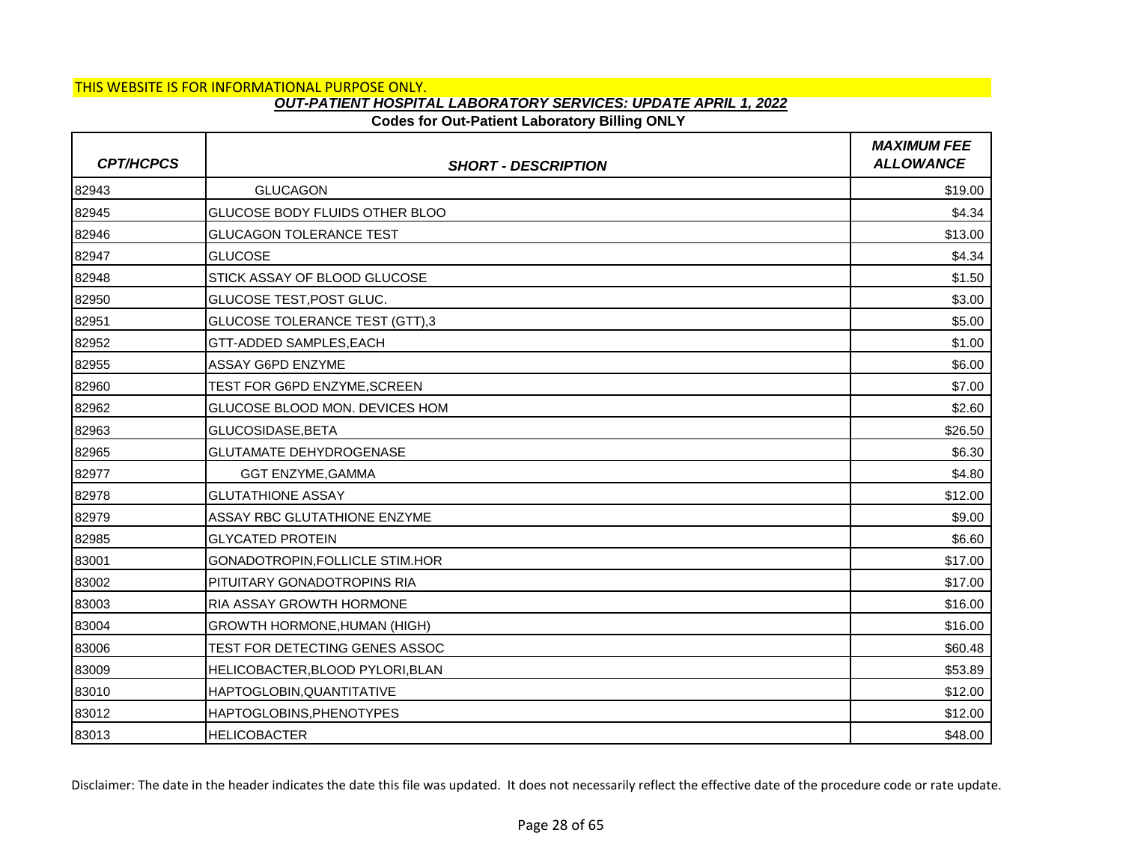## **Codes for Out-Patient Laboratory Billing ONLY**

| <b>CPT/HCPCS</b> | <b>SHORT - DESCRIPTION</b>            | <b>MAXIMUM FEE</b><br><b>ALLOWANCE</b> |
|------------------|---------------------------------------|----------------------------------------|
| 82943            | <b>GLUCAGON</b>                       | \$19.00                                |
| 82945            | GLUCOSE BODY FLUIDS OTHER BLOO        | \$4.34                                 |
| 82946            | <b>GLUCAGON TOLERANCE TEST</b>        | \$13.00                                |
| 82947            | <b>GLUCOSE</b>                        | \$4.34                                 |
| 82948            | STICK ASSAY OF BLOOD GLUCOSE          | \$1.50                                 |
| 82950            | GLUCOSE TEST, POST GLUC.              | \$3.00                                 |
| 82951            | <b>GLUCOSE TOLERANCE TEST (GTT),3</b> | \$5.00                                 |
| 82952            | GTT-ADDED SAMPLES, EACH               | \$1.00                                 |
| 82955            | <b>ASSAY G6PD ENZYME</b>              | \$6.00                                 |
| 82960            | TEST FOR G6PD ENZYME,SCREEN           | \$7.00                                 |
| 82962            | GLUCOSE BLOOD MON. DEVICES HOM        | \$2.60                                 |
| 82963            | GLUCOSIDASE, BETA                     | \$26.50                                |
| 82965            | <b>GLUTAMATE DEHYDROGENASE</b>        | \$6.30                                 |
| 82977            | <b>GGT ENZYME, GAMMA</b>              | \$4.80                                 |
| 82978            | <b>GLUTATHIONE ASSAY</b>              | \$12.00                                |
| 82979            | ASSAY RBC GLUTATHIONE ENZYME          | \$9.00                                 |
| 82985            | <b>GLYCATED PROTEIN</b>               | \$6.60                                 |
| 83001            | GONADOTROPIN, FOLLICLE STIM.HOR       | \$17.00                                |
| 83002            | PITUITARY GONADOTROPINS RIA           | \$17.00                                |
| 83003            | <b>RIA ASSAY GROWTH HORMONE</b>       | \$16.00                                |
| 83004            | <b>GROWTH HORMONE, HUMAN (HIGH)</b>   | \$16.00                                |
| 83006            | TEST FOR DETECTING GENES ASSOC        | \$60.48                                |
| 83009            | HELICOBACTER, BLOOD PYLORI, BLAN      | \$53.89                                |
| 83010            | HAPTOGLOBIN, QUANTITATIVE             | \$12.00                                |
| 83012            | HAPTOGLOBINS, PHENOTYPES              | \$12.00                                |
| 83013            | <b>HELICOBACTER</b>                   | \$48.00                                |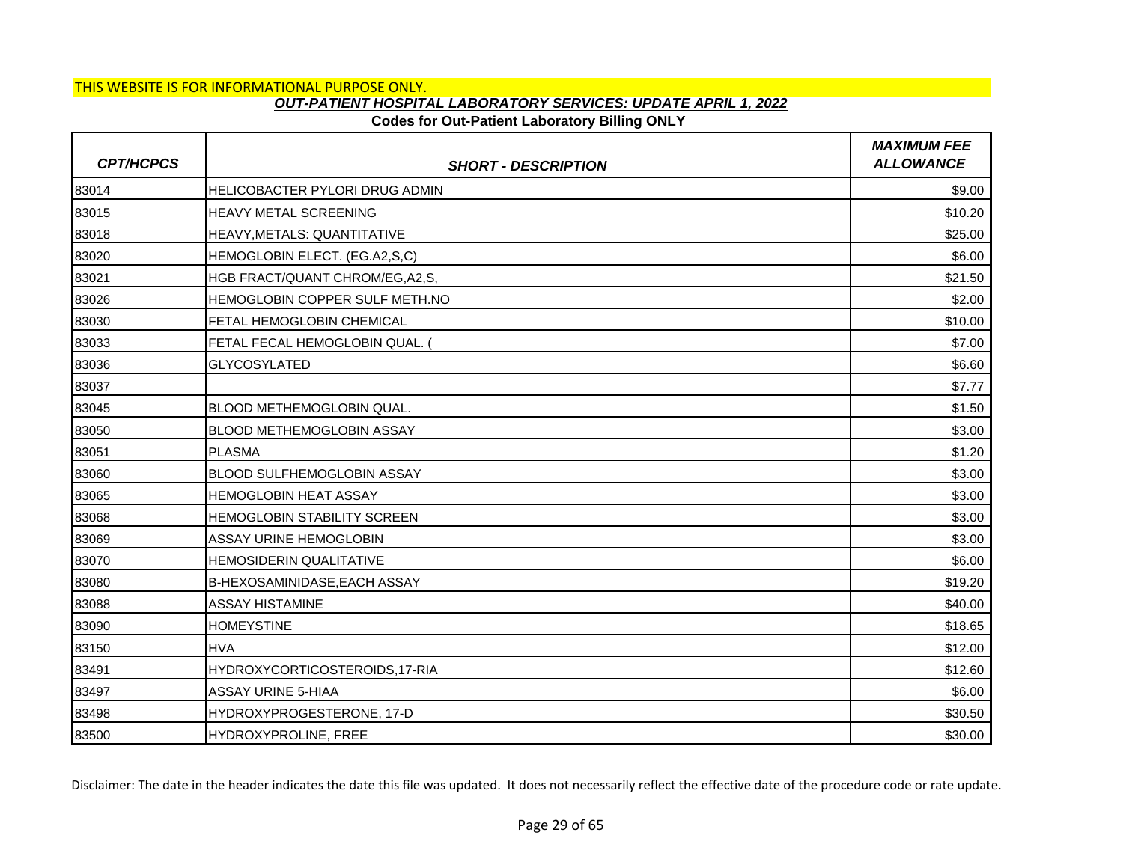### **Codes for Out-Patient Laboratory Billing ONLY**

| <b>CPT/HCPCS</b> | <b>SHORT - DESCRIPTION</b>          | <b>MAXIMUM FEE</b><br><b>ALLOWANCE</b> |
|------------------|-------------------------------------|----------------------------------------|
| 83014            | HELICOBACTER PYLORI DRUG ADMIN      | \$9.00                                 |
| 83015            | <b>HEAVY METAL SCREENING</b>        | \$10.20                                |
| 83018            | HEAVY, METALS: QUANTITATIVE         | \$25.00                                |
| 83020            | HEMOGLOBIN ELECT. (EG.A2,S,C)       | \$6.00                                 |
| 83021            | HGB FRACT/QUANT CHROM/EG, A2, S,    | \$21.50                                |
| 83026            | HEMOGLOBIN COPPER SULF METH.NO      | \$2.00                                 |
| 83030            | FETAL HEMOGLOBIN CHEMICAL           | \$10.00                                |
| 83033            | FETAL FECAL HEMOGLOBIN QUAL.        | \$7.00                                 |
| 83036            | <b>GLYCOSYLATED</b>                 | \$6.60                                 |
| 83037            |                                     | \$7.77                                 |
| 83045            | BLOOD METHEMOGLOBIN QUAL.           | \$1.50                                 |
| 83050            | <b>BLOOD METHEMOGLOBIN ASSAY</b>    | \$3.00                                 |
| 83051            | <b>PLASMA</b>                       | \$1.20                                 |
| 83060            | <b>BLOOD SULFHEMOGLOBIN ASSAY</b>   | \$3.00                                 |
| 83065            | <b>HEMOGLOBIN HEAT ASSAY</b>        | \$3.00                                 |
| 83068            | <b>HEMOGLOBIN STABILITY SCREEN</b>  | \$3.00                                 |
| 83069            | ASSAY URINE HEMOGLOBIN              | \$3.00                                 |
| 83070            | <b>HEMOSIDERIN QUALITATIVE</b>      | \$6.00                                 |
| 83080            | <b>B-HEXOSAMINIDASE, EACH ASSAY</b> | \$19.20                                |
| 83088            | <b>ASSAY HISTAMINE</b>              | \$40.00                                |
| 83090            | <b>HOMEYSTINE</b>                   | \$18.65                                |
| 83150            | <b>HVA</b>                          | \$12.00                                |
| 83491            | HYDROXYCORTICOSTEROIDS,17-RIA       | \$12.60                                |
| 83497            | <b>ASSAY URINE 5-HIAA</b>           | \$6.00                                 |
| 83498            | HYDROXYPROGESTERONE, 17-D           | \$30.50                                |
| 83500            | HYDROXYPROLINE, FREE                | \$30.00                                |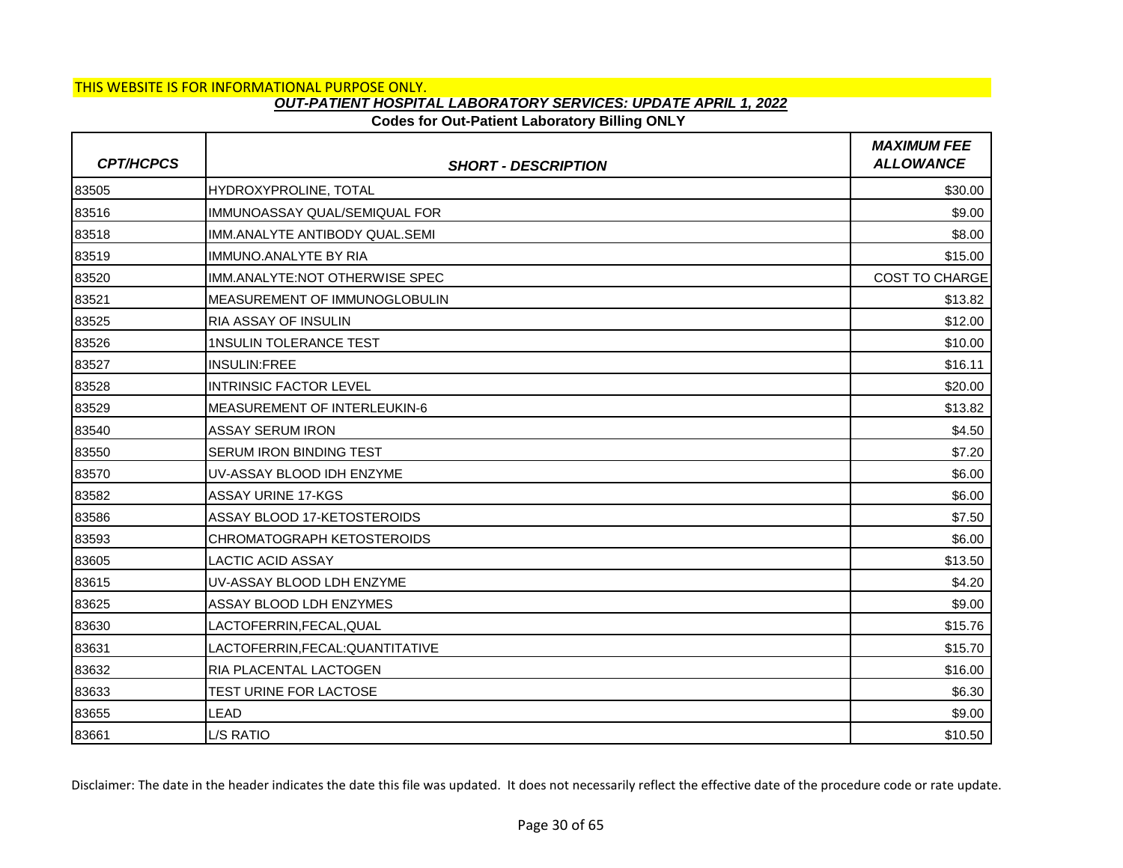## **Codes for Out-Patient Laboratory Billing ONLY**

| <b>CPT/HCPCS</b> | <b>SHORT - DESCRIPTION</b>            | <b>MAXIMUM FEE</b><br><b>ALLOWANCE</b> |
|------------------|---------------------------------------|----------------------------------------|
| 83505            | HYDROXYPROLINE, TOTAL                 | \$30.00                                |
| 83516            | IMMUNOASSAY QUAL/SEMIQUAL FOR         | \$9.00                                 |
| 83518            | IMM.ANALYTE ANTIBODY QUAL.SEMI        | \$8.00                                 |
| 83519            | <b>IMMUNO.ANALYTE BY RIA</b>          | \$15.00                                |
| 83520            | IMM.ANALYTE:NOT OTHERWISE SPEC        | <b>COST TO CHARGE</b>                  |
| 83521            | <b>IMEASUREMENT OF IMMUNOGLOBULIN</b> | \$13.82                                |
| 83525            | RIA ASSAY OF INSULIN                  | \$12.00                                |
| 83526            | <b>1NSULIN TOLERANCE TEST</b>         | \$10.00                                |
| 83527            | <b>INSULIN:FREE</b>                   | \$16.11                                |
| 83528            | <b>INTRINSIC FACTOR LEVEL</b>         | \$20.00                                |
| 83529            | MEASUREMENT OF INTERLEUKIN-6          | \$13.82                                |
| 83540            | <b>ASSAY SERUM IRON</b>               | \$4.50                                 |
| 83550            | <b>SERUM IRON BINDING TEST</b>        | \$7.20                                 |
| 83570            | UV-ASSAY BLOOD IDH ENZYME             | \$6.00                                 |
| 83582            | ASSAY URINE 17-KGS                    | \$6.00                                 |
| 83586            | ASSAY BLOOD 17-KETOSTEROIDS           | \$7.50                                 |
| 83593            | <b>CHROMATOGRAPH KETOSTEROIDS</b>     | \$6.00                                 |
| 83605            | <b>LACTIC ACID ASSAY</b>              | \$13.50                                |
| 83615            | UV-ASSAY BLOOD LDH ENZYME             | \$4.20                                 |
| 83625            | ASSAY BLOOD LDH ENZYMES               | \$9.00                                 |
| 83630            | LACTOFERRIN, FECAL, QUAL              | \$15.76                                |
| 83631            | LACTOFERRIN, FECAL: QUANTITATIVE      | \$15.70                                |
| 83632            | RIA PLACENTAL LACTOGEN                | \$16.00                                |
| 83633            | TEST URINE FOR LACTOSE                | \$6.30                                 |
| 83655            | LEAD                                  | \$9.00                                 |
| 83661            | L/S RATIO                             | \$10.50                                |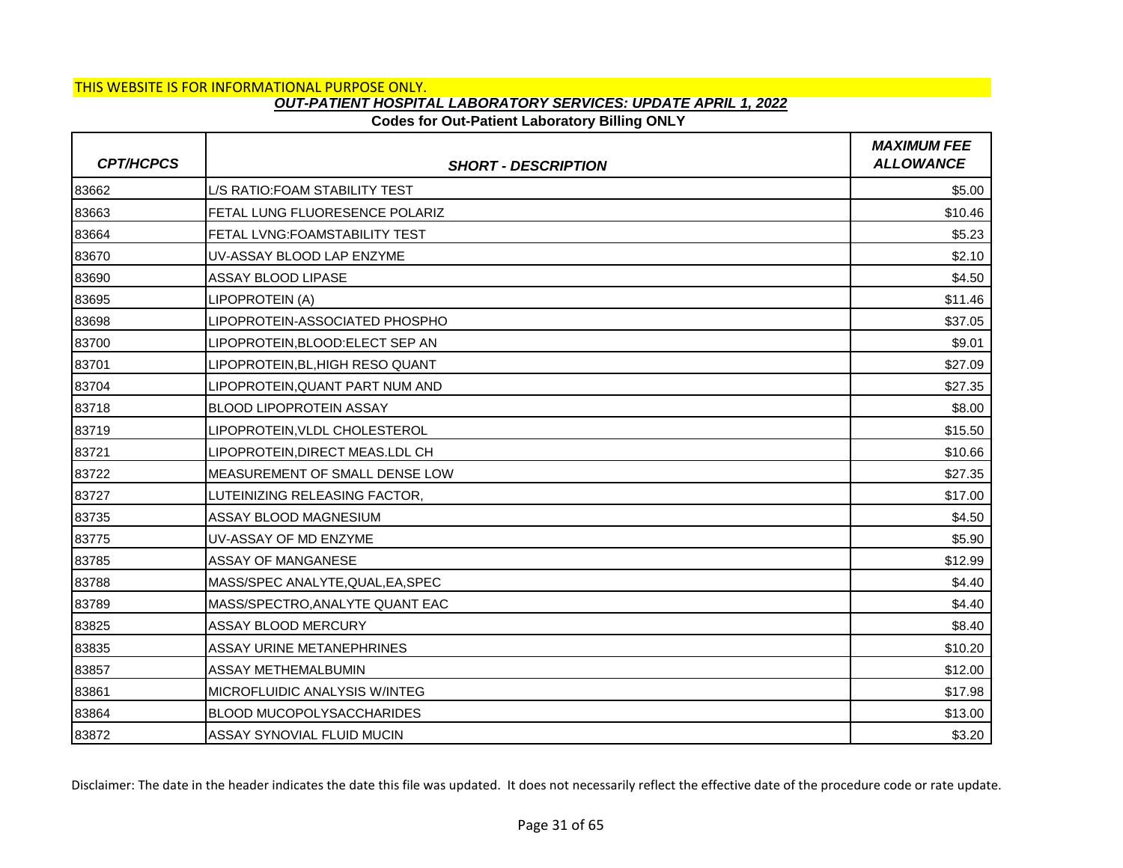## **Codes for Out-Patient Laboratory Billing ONLY**

| <b>CPT/HCPCS</b> | <b>SHORT - DESCRIPTION</b>        | <b>MAXIMUM FEE</b><br><b>ALLOWANCE</b> |
|------------------|-----------------------------------|----------------------------------------|
| 83662            | L/S RATIO:FOAM STABILITY TEST     | \$5.00                                 |
| 83663            | FETAL LUNG FLUORESENCE POLARIZ    | \$10.46                                |
| 83664            | FETAL LVNG: FOAMSTABILITY TEST    | \$5.23                                 |
| 83670            | UV-ASSAY BLOOD LAP ENZYME         | \$2.10                                 |
| 83690            | ASSAY BLOOD LIPASE                | \$4.50                                 |
| 83695            | LIPOPROTEIN (A)                   | \$11.46                                |
| 83698            | LIPOPROTEIN-ASSOCIATED PHOSPHO    | \$37.05                                |
| 83700            | LIPOPROTEIN, BLOOD: ELECT SEP AN  | \$9.01                                 |
| 83701            | LIPOPROTEIN, BL, HIGH RESO QUANT  | \$27.09                                |
| 83704            | LIPOPROTEIN, QUANT PART NUM AND   | \$27.35                                |
| 83718            | <b>BLOOD LIPOPROTEIN ASSAY</b>    | \$8.00                                 |
| 83719            | LIPOPROTEIN, VLDL CHOLESTEROL     | \$15.50                                |
| 83721            | LIPOPROTEIN.DIRECT MEAS.LDL CH    | \$10.66                                |
| 83722            | MEASUREMENT OF SMALL DENSE LOW    | \$27.35                                |
| 83727            | LUTEINIZING RELEASING FACTOR,     | \$17.00                                |
| 83735            | ASSAY BLOOD MAGNESIUM             | \$4.50                                 |
| 83775            | UV-ASSAY OF MD ENZYME             | \$5.90                                 |
| 83785            | ASSAY OF MANGANESE                | \$12.99                                |
| 83788            | MASS/SPEC ANALYTE, QUAL, EA, SPEC | \$4.40                                 |
| 83789            | MASS/SPECTRO, ANALYTE QUANT EAC   | \$4.40                                 |
| 83825            | ASSAY BLOOD MERCURY               | \$8.40                                 |
| 83835            | <b>ASSAY URINE METANEPHRINES</b>  | \$10.20                                |
| 83857            | ASSAY METHEMALBUMIN               | \$12.00                                |
| 83861            | MICROFLUIDIC ANALYSIS W/INTEG     | \$17.98                                |
| 83864            | BLOOD MUCOPOLYSACCHARIDES         | \$13.00                                |
| 83872            | ASSAY SYNOVIAL FLUID MUCIN        | \$3.20                                 |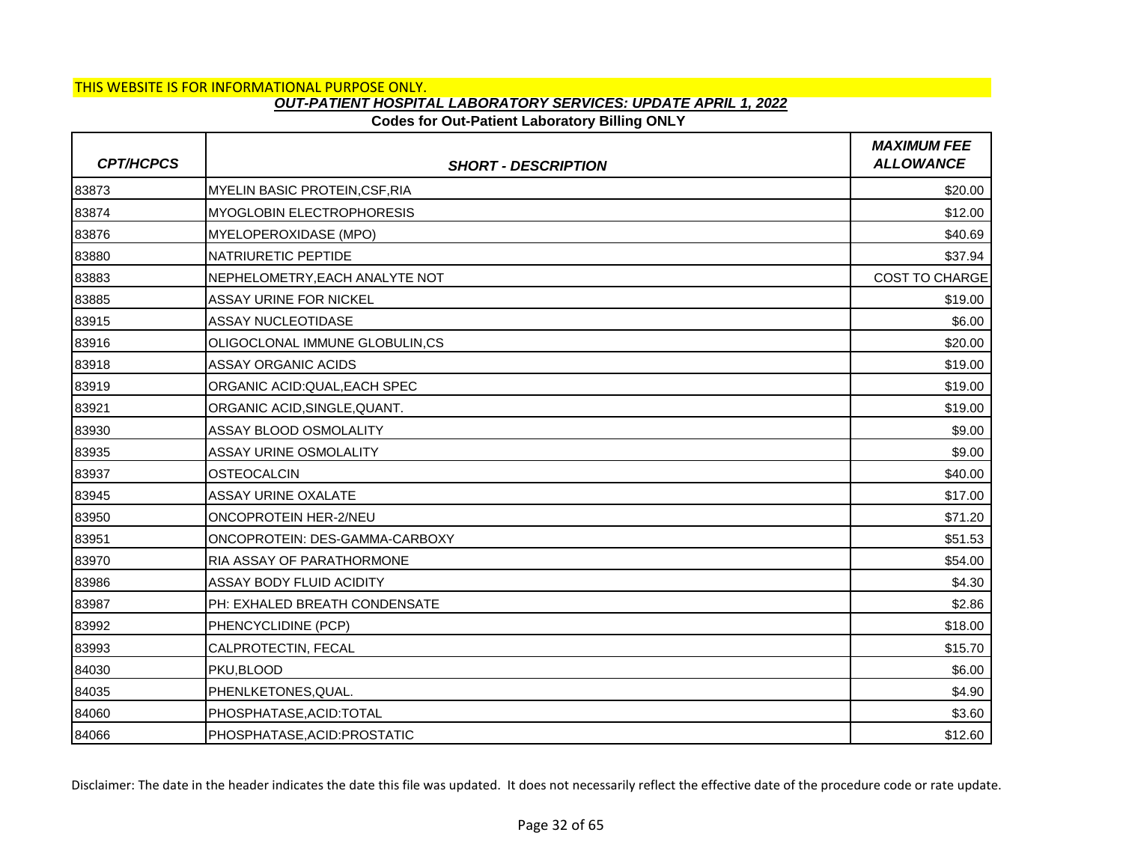### **Codes for Out-Patient Laboratory Billing ONLY**

| <b>CPT/HCPCS</b> | <b>SHORT - DESCRIPTION</b>            | <b>MAXIMUM FEE</b><br><b>ALLOWANCE</b> |
|------------------|---------------------------------------|----------------------------------------|
| 83873            | <b>MYELIN BASIC PROTEIN, CSF, RIA</b> | \$20.00                                |
| 83874            | <b>MYOGLOBIN ELECTROPHORESIS</b>      | \$12.00                                |
| 83876            | <b>MYELOPEROXIDASE (MPO)</b>          | \$40.69                                |
| 83880            | NATRIURETIC PEPTIDE                   | \$37.94                                |
| 83883            | NEPHELOMETRY, EACH ANALYTE NOT        | <b>COST TO CHARGE</b>                  |
| 83885            | <b>ASSAY URINE FOR NICKEL</b>         | \$19.00                                |
| 83915            | <b>ASSAY NUCLEOTIDASE</b>             | \$6.00                                 |
| 83916            | OLIGOCLONAL IMMUNE GLOBULIN,CS        | \$20.00                                |
| 83918            | ASSAY ORGANIC ACIDS                   | \$19.00                                |
| 83919            | ORGANIC ACID:QUAL, EACH SPEC          | \$19.00                                |
| 83921            | ORGANIC ACID, SINGLE, QUANT.          | \$19.00                                |
| 83930            | ASSAY BLOOD OSMOLALITY                | \$9.00                                 |
| 83935            | ASSAY URINE OSMOLALITY                | \$9.00                                 |
| 83937            | <b>OSTEOCALCIN</b>                    | \$40.00                                |
| 83945            | <b>ASSAY URINE OXALATE</b>            | \$17.00                                |
| 83950            | ONCOPROTEIN HER-2/NEU                 | \$71.20                                |
| 83951            | ONCOPROTEIN: DES-GAMMA-CARBOXY        | \$51.53                                |
| 83970            | <b>RIA ASSAY OF PARATHORMONE</b>      | \$54.00                                |
| 83986            | ASSAY BODY FLUID ACIDITY              | \$4.30                                 |
| 83987            | PH: EXHALED BREATH CONDENSATE         | \$2.86                                 |
| 83992            | PHENCYCLIDINE (PCP)                   | \$18.00                                |
| 83993            | CALPROTECTIN, FECAL                   | \$15.70                                |
| 84030            | PKU, BLOOD                            | \$6.00                                 |
| 84035            | PHENLKETONES, QUAL.                   | \$4.90                                 |
| 84060            | PHOSPHATASE, ACID: TOTAL              | \$3.60                                 |
| 84066            | PHOSPHATASE, ACID: PROSTATIC          | \$12.60                                |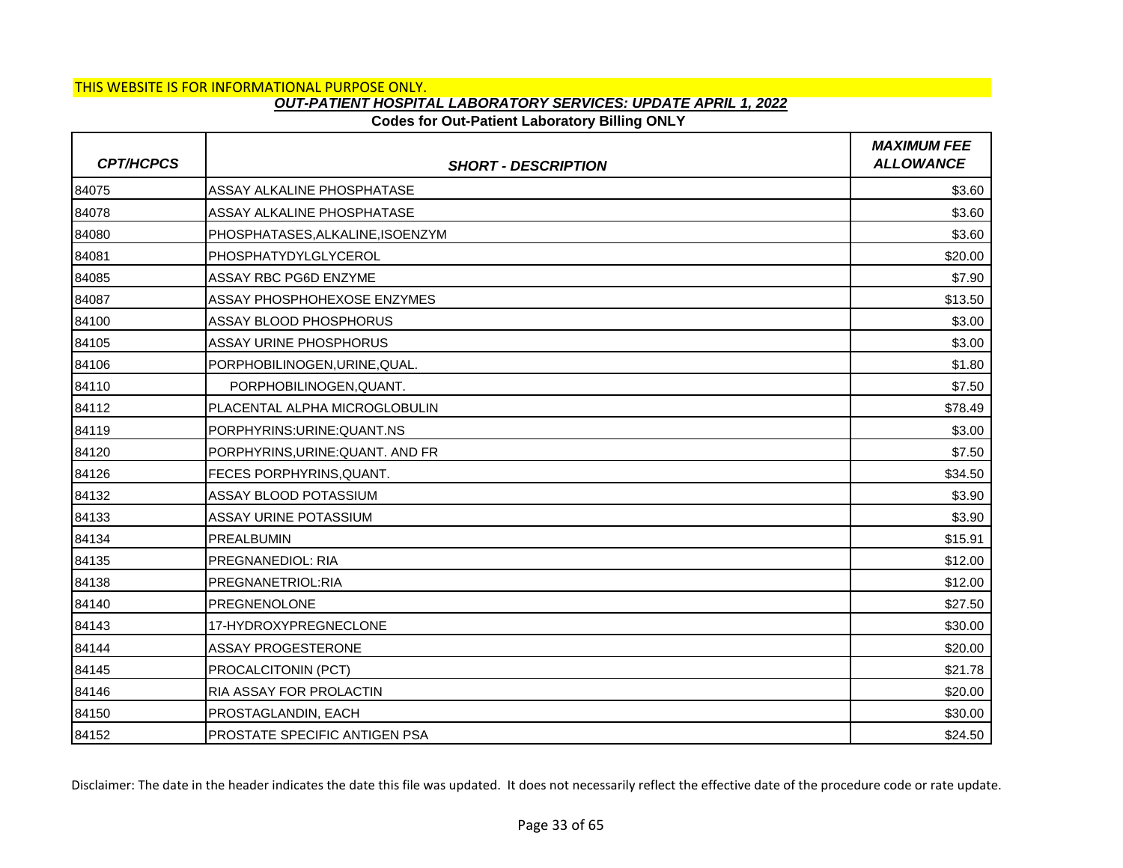## **Codes for Out-Patient Laboratory Billing ONLY**

| <b>CPT/HCPCS</b> | <b>SHORT - DESCRIPTION</b>           | <b>MAXIMUM FEE</b><br><b>ALLOWANCE</b> |
|------------------|--------------------------------------|----------------------------------------|
| 84075            | ASSAY ALKALINE PHOSPHATASE           | \$3.60                                 |
| 84078            | ASSAY ALKALINE PHOSPHATASE           | \$3.60                                 |
| 84080            | PHOSPHATASES, ALKALINE, ISOENZYM     | \$3.60                                 |
| 84081            | PHOSPHATYDYLGLYCEROL                 | \$20.00                                |
| 84085            | ASSAY RBC PG6D ENZYME                | \$7.90                                 |
| 84087            | ASSAY PHOSPHOHEXOSE ENZYMES          | \$13.50                                |
| 84100            | ASSAY BLOOD PHOSPHORUS               | \$3.00                                 |
| 84105            | <b>ASSAY URINE PHOSPHORUS</b>        | \$3.00                                 |
| 84106            | PORPHOBILINOGEN, URINE, QUAL.        | \$1.80                                 |
| 84110            | PORPHOBILINOGEN, QUANT.              | \$7.50                                 |
| 84112            | PLACENTAL ALPHA MICROGLOBULIN        | \$78.49                                |
| 84119            | PORPHYRINS: URINE: QUANT.NS          | \$3.00                                 |
| 84120            | PORPHYRINS, URINE: QUANT. AND FR     | \$7.50                                 |
| 84126            | FECES PORPHYRINS, QUANT.             | \$34.50                                |
| 84132            | ASSAY BLOOD POTASSIUM                | \$3.90                                 |
| 84133            | ASSAY URINE POTASSIUM                | \$3.90                                 |
| 84134            | <b>PREALBUMIN</b>                    | \$15.91                                |
| 84135            | <b>PREGNANEDIOL: RIA</b>             | \$12.00                                |
| 84138            | PREGNANETRIOL:RIA                    | \$12.00                                |
| 84140            | <b>PREGNENOLONE</b>                  | \$27.50                                |
| 84143            | 17-HYDROXYPREGNECLONE                | \$30.00                                |
| 84144            | <b>ASSAY PROGESTERONE</b>            | \$20.00                                |
| 84145            | PROCALCITONIN (PCT)                  | \$21.78                                |
| 84146            | <b>RIA ASSAY FOR PROLACTIN</b>       | \$20.00                                |
| 84150            | PROSTAGLANDIN, EACH                  | \$30.00                                |
| 84152            | <b>PROSTATE SPECIFIC ANTIGEN PSA</b> | \$24.50                                |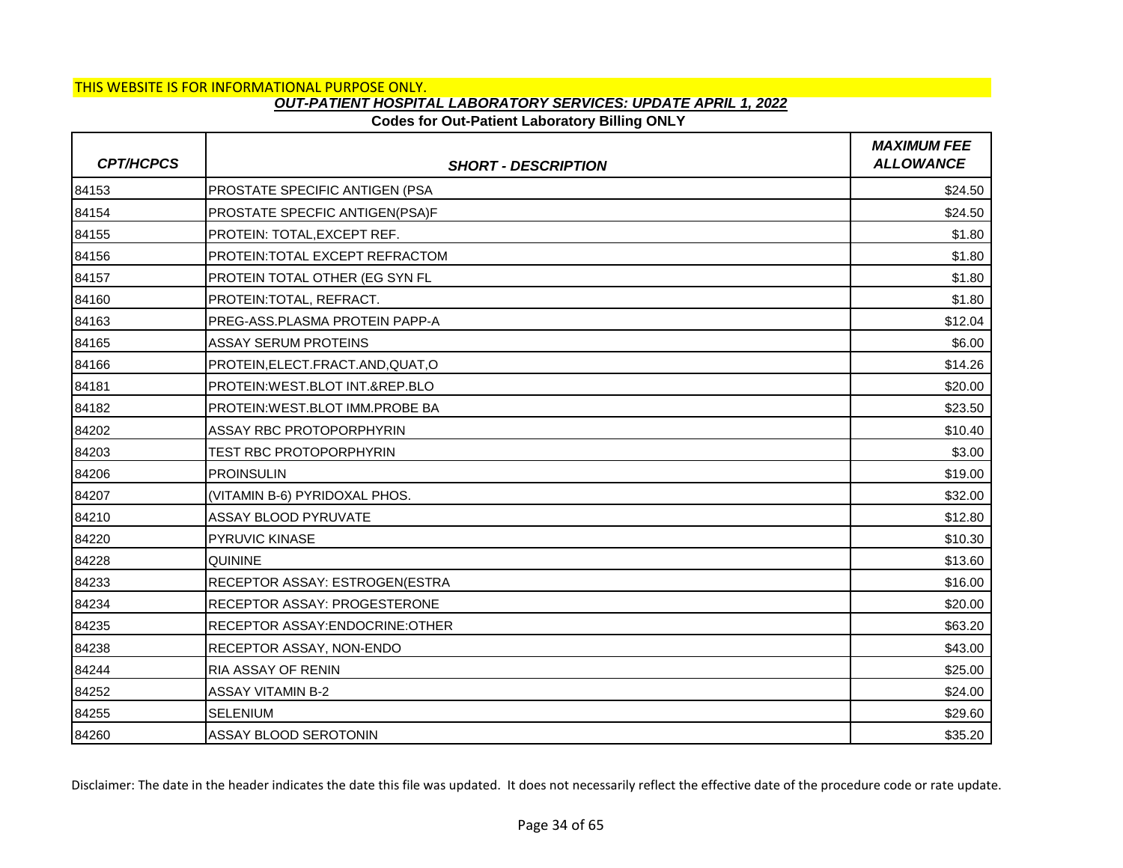## **Codes for Out-Patient Laboratory Billing ONLY**

| <b>CPT/HCPCS</b> | <b>SHORT - DESCRIPTION</b>          | <b>MAXIMUM FEE</b><br><b>ALLOWANCE</b> |
|------------------|-------------------------------------|----------------------------------------|
| 84153            | PROSTATE SPECIFIC ANTIGEN (PSA      | \$24.50                                |
| 84154            | PROSTATE SPECFIC ANTIGEN(PSA)F      | \$24.50                                |
| 84155            | PROTEIN: TOTAL, EXCEPT REF.         | \$1.80                                 |
| 84156            | PROTEIN: TOTAL EXCEPT REFRACTOM     | \$1.80                                 |
| 84157            | PROTEIN TOTAL OTHER (EG SYN FL      | \$1.80                                 |
| 84160            | PROTEIN: TOTAL, REFRACT.            | \$1.80                                 |
| 84163            | PREG-ASS.PLASMA PROTEIN PAPP-A      | \$12.04                                |
| 84165            | <b>ASSAY SERUM PROTEINS</b>         | \$6.00                                 |
| 84166            | PROTEIN, ELECT. FRACT. AND, QUAT, O | \$14.26                                |
| 84181            | PROTEIN:WEST.BLOT INT.&REP.BLO      | \$20.00                                |
| 84182            | PROTEIN: WEST.BLOT IMM. PROBE BA    | \$23.50                                |
| 84202            | <b>ASSAY RBC PROTOPORPHYRIN</b>     | \$10.40                                |
| 84203            | TEST RBC PROTOPORPHYRIN             | \$3.00                                 |
| 84206            | <b>PROINSULIN</b>                   | \$19.00                                |
| 84207            | (VITAMIN B-6) PYRIDOXAL PHOS.       | \$32.00                                |
| 84210            | ASSAY BLOOD PYRUVATE                | \$12.80                                |
| 84220            | PYRUVIC KINASE                      | \$10.30                                |
| 84228            | <b>QUININE</b>                      | \$13.60                                |
| 84233            | RECEPTOR ASSAY: ESTROGEN(ESTRA      | \$16.00                                |
| 84234            | RECEPTOR ASSAY: PROGESTERONE        | \$20.00                                |
| 84235            | RECEPTOR ASSAY: ENDOCRINE: OTHER    | \$63.20                                |
| 84238            | RECEPTOR ASSAY, NON-ENDO            | \$43.00                                |
| 84244            | RIA ASSAY OF RENIN                  | \$25.00                                |
| 84252            | <b>ASSAY VITAMIN B-2</b>            | \$24.00                                |
| 84255            | <b>SELENIUM</b>                     | \$29.60                                |
| 84260            | <b>ASSAY BLOOD SEROTONIN</b>        | \$35.20                                |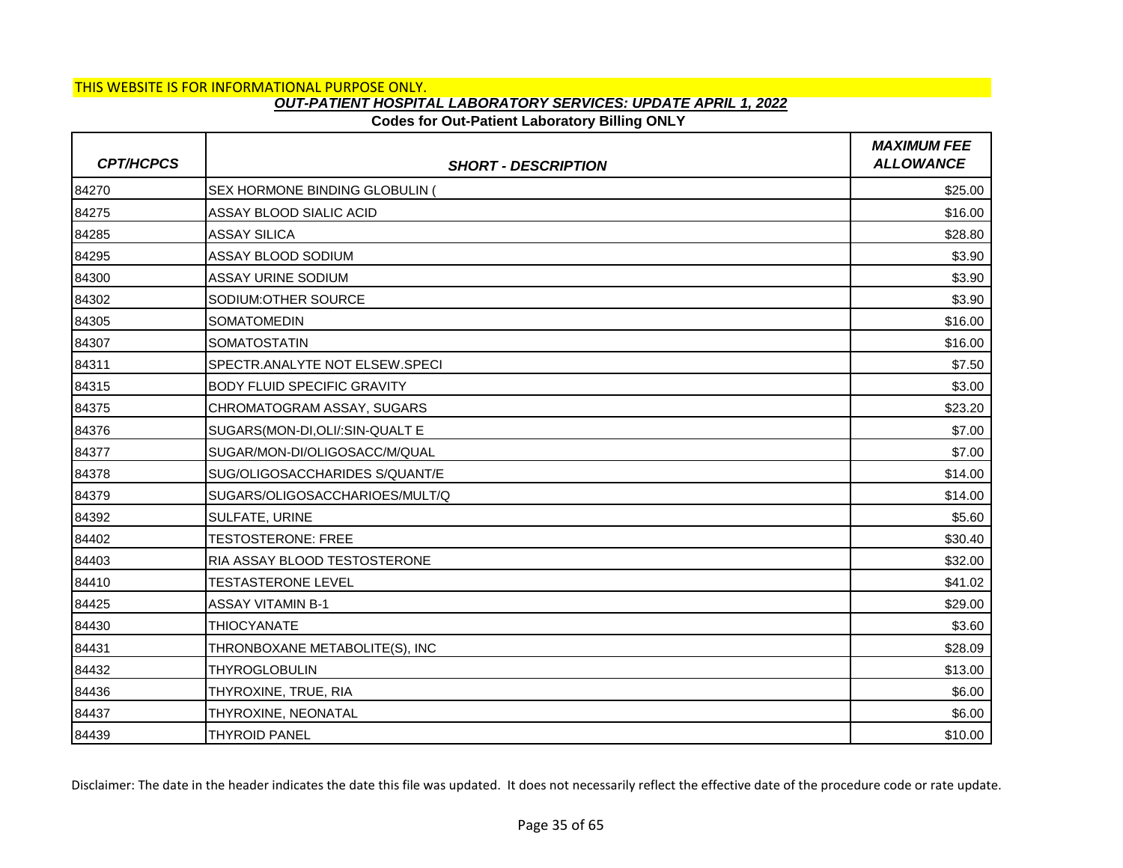### **Codes for Out-Patient Laboratory Billing ONLY**

| <b>CPT/HCPCS</b> | <b>SHORT - DESCRIPTION</b>         | <b>MAXIMUM FEE</b><br><b>ALLOWANCE</b> |
|------------------|------------------------------------|----------------------------------------|
| 84270            | SEX HORMONE BINDING GLOBULIN (     | \$25.00                                |
| 84275            | ASSAY BLOOD SIALIC ACID            | \$16.00                                |
| 84285            | <b>ASSAY SILICA</b>                | \$28.80                                |
| 84295            | ASSAY BLOOD SODIUM                 | \$3.90                                 |
| 84300            | <b>ASSAY URINE SODIUM</b>          | \$3.90                                 |
| 84302            | SODIUM: OTHER SOURCE               | \$3.90                                 |
| 84305            | SOMATOMEDIN                        | \$16.00                                |
| 84307            | SOMATOSTATIN                       | \$16.00                                |
| 84311            | SPECTR.ANALYTE NOT ELSEW.SPECI     | \$7.50                                 |
| 84315            | <b>BODY FLUID SPECIFIC GRAVITY</b> | \$3.00                                 |
| 84375            | CHROMATOGRAM ASSAY, SUGARS         | \$23.20                                |
| 84376            | SUGARS (MON-DI, OLI /: SIN-QUALT E | \$7.00                                 |
| 84377            | SUGAR/MON-DI/OLIGOSACC/M/QUAL      | \$7.00                                 |
| 84378            | SUG/OLIGOSACCHARIDES S/QUANT/E     | \$14.00                                |
| 84379            | SUGARS/OLIGOSACCHARIOES/MULT/Q     | \$14.00                                |
| 84392            | SULFATE, URINE                     | \$5.60                                 |
| 84402            | <b>TESTOSTERONE: FREE</b>          | \$30.40                                |
| 84403            | RIA ASSAY BLOOD TESTOSTERONE       | \$32.00                                |
| 84410            | <b>TESTASTERONE LEVEL</b>          | \$41.02                                |
| 84425            | <b>ASSAY VITAMIN B-1</b>           | \$29.00                                |
| 84430            | <b>THIOCYANATE</b>                 | \$3.60                                 |
| 84431            | THRONBOXANE METABOLITE(S), INC     | \$28.09                                |
| 84432            | <b>THYROGLOBULIN</b>               | \$13.00                                |
| 84436            | THYROXINE, TRUE, RIA               | \$6.00                                 |
| 84437            | THYROXINE, NEONATAL                | \$6.00                                 |
| 84439            | <b>THYROID PANEL</b>               | \$10.00                                |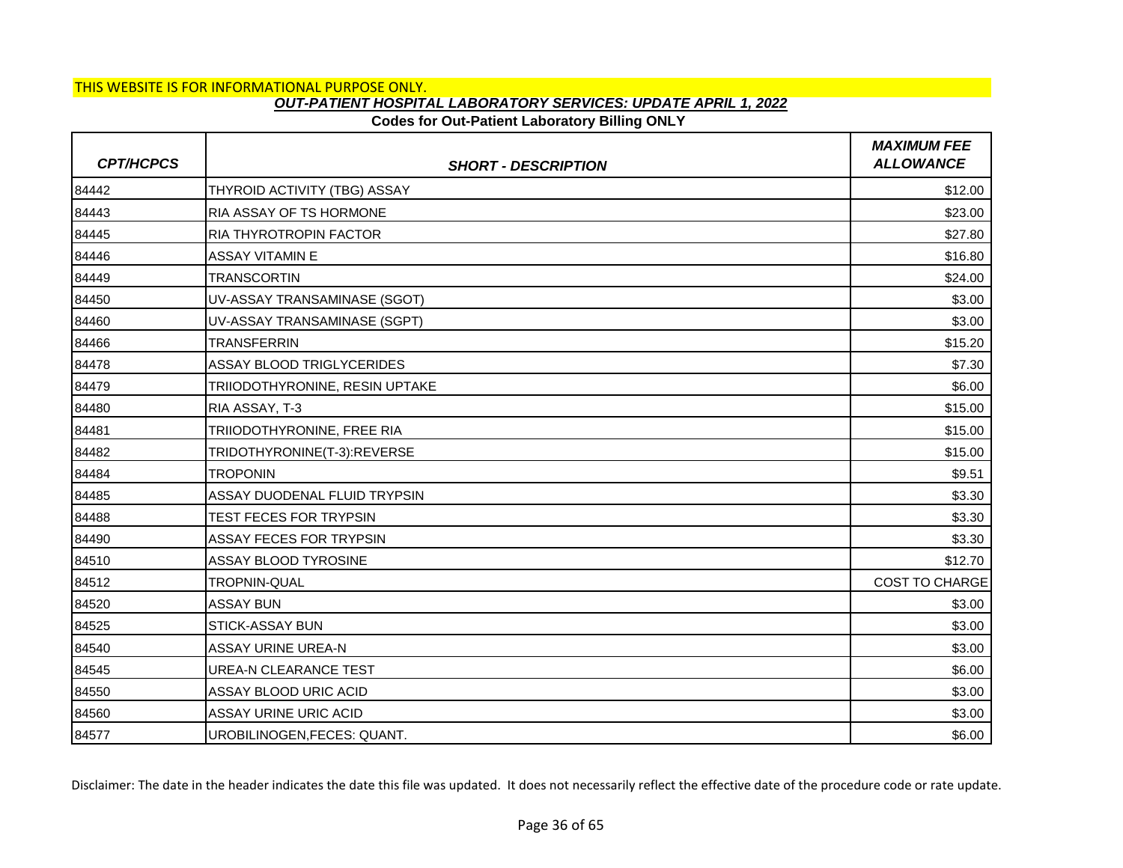## **Codes for Out-Patient Laboratory Billing ONLY**

| <b>CPT/HCPCS</b> | <b>SHORT - DESCRIPTION</b>       | <b>MAXIMUM FEE</b><br><b>ALLOWANCE</b> |
|------------------|----------------------------------|----------------------------------------|
| 84442            | THYROID ACTIVITY (TBG) ASSAY     | \$12.00                                |
| 84443            | RIA ASSAY OF TS HORMONE          | \$23.00                                |
| 84445            | RIA THYROTROPIN FACTOR           | \$27.80                                |
| 84446            | <b>ASSAY VITAMIN E</b>           | \$16.80                                |
| 84449            | <b>TRANSCORTIN</b>               | \$24.00                                |
| 84450            | UV-ASSAY TRANSAMINASE (SGOT)     | \$3.00                                 |
| 84460            | UV-ASSAY TRANSAMINASE (SGPT)     | \$3.00                                 |
| 84466            | <b>TRANSFERRIN</b>               | \$15.20                                |
| 84478            | <b>ASSAY BLOOD TRIGLYCERIDES</b> | \$7.30                                 |
| 84479            | TRIIODOTHYRONINE, RESIN UPTAKE   | \$6.00                                 |
| 84480            | RIA ASSAY, T-3                   | \$15.00                                |
| 84481            | TRIIODOTHYRONINE, FREE RIA       | \$15.00                                |
| 84482            | TRIDOTHYRONINE(T-3):REVERSE      | \$15.00                                |
| 84484            | <b>TROPONIN</b>                  | \$9.51                                 |
| 84485            | ASSAY DUODENAL FLUID TRYPSIN     | \$3.30                                 |
| 84488            | TEST FECES FOR TRYPSIN           | \$3.30                                 |
| 84490            | ASSAY FECES FOR TRYPSIN          | \$3.30                                 |
| 84510            | ASSAY BLOOD TYROSINE             | \$12.70                                |
| 84512            | TROPNIN-QUAL                     | <b>COST TO CHARGE</b>                  |
| 84520            | <b>ASSAY BUN</b>                 | \$3.00                                 |
| 84525            | <b>STICK-ASSAY BUN</b>           | \$3.00                                 |
| 84540            | ASSAY URINE UREA-N               | \$3.00                                 |
| 84545            | <b>UREA-N CLEARANCE TEST</b>     | \$6.00                                 |
| 84550            | ASSAY BLOOD URIC ACID            | \$3.00                                 |
| 84560            | <b>ASSAY URINE URIC ACID</b>     | \$3.00                                 |
| 84577            | UROBILINOGEN, FECES: QUANT.      | \$6.00                                 |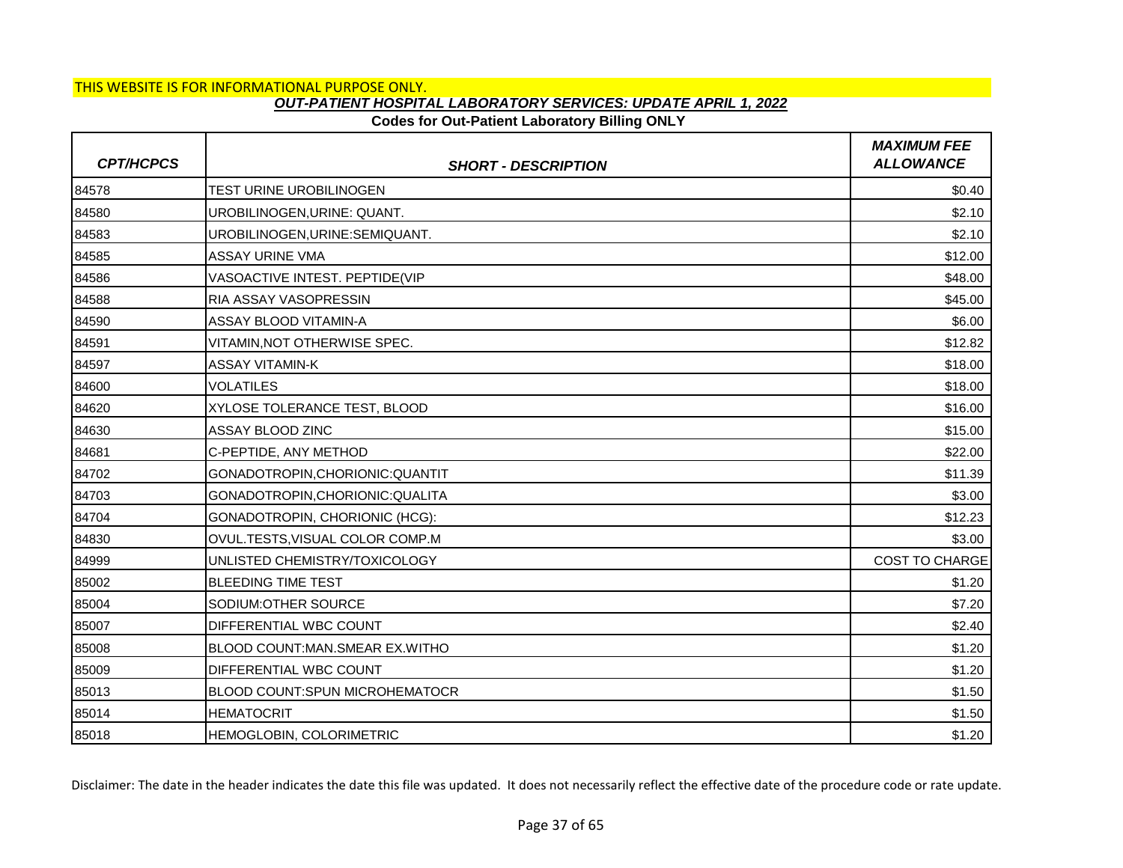## **Codes for Out-Patient Laboratory Billing ONLY**

| <b>CPT/HCPCS</b> | <b>SHORT - DESCRIPTION</b>       | <b>MAXIMUM FEE</b><br><b>ALLOWANCE</b> |
|------------------|----------------------------------|----------------------------------------|
| 84578            | TEST URINE UROBILINOGEN          | \$0.40                                 |
| 84580            | UROBILINOGEN, URINE: QUANT.      | \$2.10                                 |
| 84583            | UROBILINOGEN, URINE: SEMIQUANT.  | \$2.10                                 |
| 84585            | <b>ASSAY URINE VMA</b>           | \$12.00                                |
| 84586            | VASOACTIVE INTEST. PEPTIDE(VIP   | \$48.00                                |
| 84588            | RIA ASSAY VASOPRESSIN            | \$45.00                                |
| 84590            | ASSAY BLOOD VITAMIN-A            | \$6.00                                 |
| 84591            | VITAMIN, NOT OTHERWISE SPEC.     | \$12.82                                |
| 84597            | <b>ASSAY VITAMIN-K</b>           | \$18.00                                |
| 84600            | VOLATILES                        | \$18.00                                |
| 84620            | XYLOSE TOLERANCE TEST, BLOOD     | \$16.00                                |
| 84630            | ASSAY BLOOD ZINC                 | \$15.00                                |
| 84681            | C-PEPTIDE, ANY METHOD            | \$22.00                                |
| 84702            | GONADOTROPIN, CHORIONIC: QUANTIT | \$11.39                                |
| 84703            | GONADOTROPIN, CHORIONIC: QUALITA | \$3.00                                 |
| 84704            | GONADOTROPIN, CHORIONIC (HCG):   | \$12.23                                |
| 84830            | OVUL.TESTS, VISUAL COLOR COMP.M  | \$3.00                                 |
| 84999            | UNLISTED CHEMISTRY/TOXICOLOGY    | <b>COST TO CHARGE</b>                  |
| 85002            | <b>BLEEDING TIME TEST</b>        | \$1.20                                 |
| 85004            | SODIUM: OTHER SOURCE             | \$7.20                                 |
| 85007            | DIFFERENTIAL WBC COUNT           | \$2.40                                 |
| 85008            | BLOOD COUNT:MAN.SMEAR EX.WITHO   | \$1.20                                 |
| 85009            | DIFFERENTIAL WBC COUNT           | \$1.20                                 |
| 85013            | BLOOD COUNT:SPUN MICROHEMATOCR   | \$1.50                                 |
| 85014            | <b>HEMATOCRIT</b>                | \$1.50                                 |
| 85018            | HEMOGLOBIN, COLORIMETRIC         | \$1.20                                 |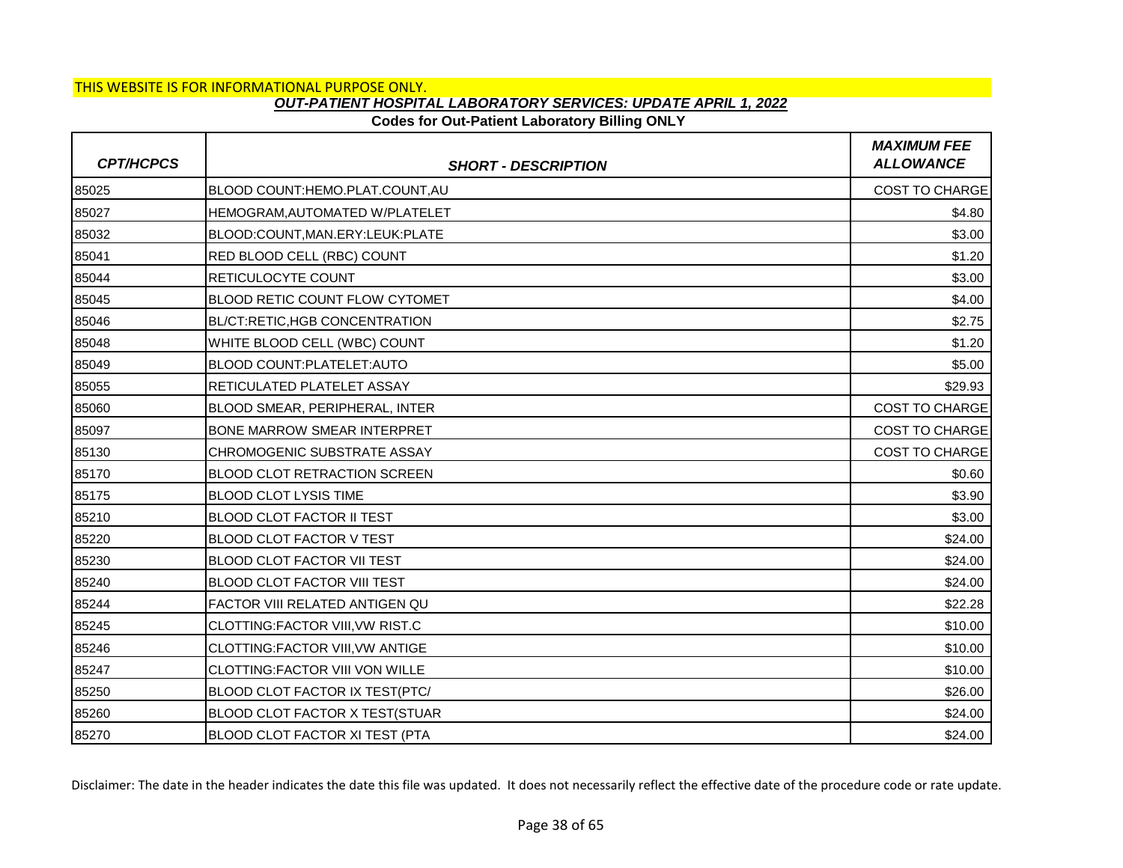## **Codes for Out-Patient Laboratory Billing ONLY**

| <b>CPT/HCPCS</b> | <b>SHORT - DESCRIPTION</b>            | <b>MAXIMUM FEE</b><br><b>ALLOWANCE</b> |
|------------------|---------------------------------------|----------------------------------------|
| 85025            | BLOOD COUNT:HEMO.PLAT.COUNT.AU        | <b>COST TO CHARGE</b>                  |
| 85027            | HEMOGRAM, AUTOMATED W/PLATELET        | \$4.80                                 |
| 85032            | BLOOD:COUNT, MAN.ERY:LEUK: PLATE      | \$3.00                                 |
| 85041            | RED BLOOD CELL (RBC) COUNT            | \$1.20                                 |
| 85044            | RETICULOCYTE COUNT                    | \$3.00                                 |
| 85045            | BLOOD RETIC COUNT FLOW CYTOMET        | \$4.00                                 |
| 85046            | BL/CT:RETIC,HGB CONCENTRATION         | \$2.75                                 |
| 85048            | WHITE BLOOD CELL (WBC) COUNT          | \$1.20                                 |
| 85049            | BLOOD COUNT:PLATELET:AUTO             | \$5.00                                 |
| 85055            | RETICULATED PLATELET ASSAY            | \$29.93                                |
| 85060            | BLOOD SMEAR, PERIPHERAL, INTER        | COST TO CHARGE                         |
| 85097            | <b>BONE MARROW SMEAR INTERPRET</b>    | <b>COST TO CHARGE</b>                  |
| 85130            | CHROMOGENIC SUBSTRATE ASSAY           | <b>COST TO CHARGE</b>                  |
| 85170            | <b>BLOOD CLOT RETRACTION SCREEN</b>   | \$0.60                                 |
| 85175            | <b>BLOOD CLOT LYSIS TIME</b>          | \$3.90                                 |
| 85210            | <b>BLOOD CLOT FACTOR II TEST</b>      | \$3.00                                 |
| 85220            | <b>BLOOD CLOT FACTOR V TEST</b>       | \$24.00                                |
| 85230            | <b>BLOOD CLOT FACTOR VII TEST</b>     | \$24.00                                |
| 85240            | <b>BLOOD CLOT FACTOR VIII TEST</b>    | \$24.00                                |
| 85244            | FACTOR VIII RELATED ANTIGEN QU        | \$22.28                                |
| 85245            | CLOTTING:FACTOR VIII, VW RIST.C       | \$10.00                                |
| 85246            | CLOTTING:FACTOR VIII, VW ANTIGE       | \$10.00                                |
| 85247            | CLOTTING:FACTOR VIII VON WILLE        | \$10.00                                |
| 85250            | <b>BLOOD CLOT FACTOR IX TEST(PTC/</b> | \$26.00                                |
| 85260            | BLOOD CLOT FACTOR X TEST(STUAR        | \$24.00                                |
| 85270            | <b>BLOOD CLOT FACTOR XI TEST (PTA</b> | \$24.00                                |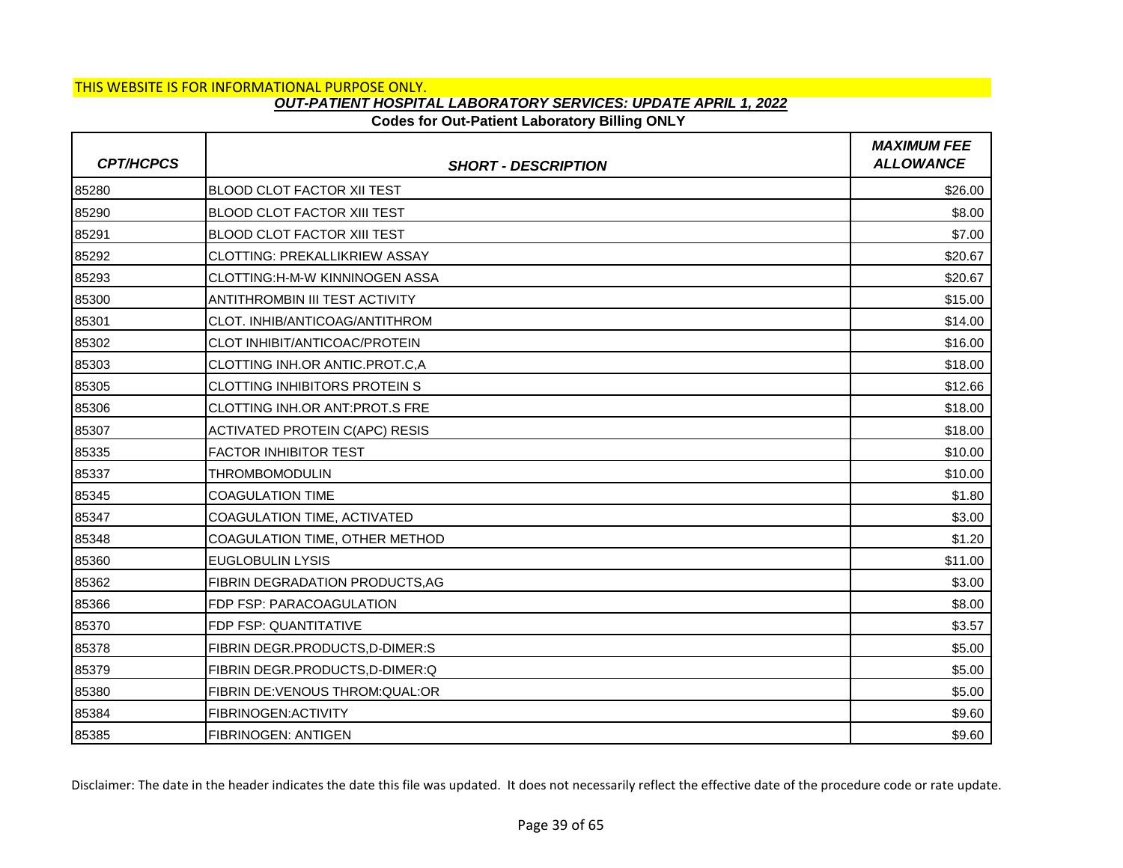## **Codes for Out-Patient Laboratory Billing ONLY**

| <b>CPT/HCPCS</b> | <b>SHORT - DESCRIPTION</b>            | <b>MAXIMUM FEE</b><br><b>ALLOWANCE</b> |
|------------------|---------------------------------------|----------------------------------------|
| 85280            | <b>BLOOD CLOT FACTOR XII TEST</b>     | \$26.00                                |
| 85290            | <b>BLOOD CLOT FACTOR XIII TEST</b>    | \$8.00                                 |
| 85291            | <b>BLOOD CLOT FACTOR XIII TEST</b>    | \$7.00                                 |
| 85292            | <b>CLOTTING: PREKALLIKRIEW ASSAY</b>  | \$20.67                                |
| 85293            | CLOTTING:H-M-W KINNINOGEN ASSA        | \$20.67                                |
| 85300            | <b>ANTITHROMBIN III TEST ACTIVITY</b> | \$15.00                                |
| 85301            | CLOT. INHIB/ANTICOAG/ANTITHROM        | \$14.00                                |
| 85302            | CLOT INHIBIT/ANTICOAC/PROTEIN         | \$16.00                                |
| 85303            | CLOTTING INH.OR ANTIC.PROT.C,A        | \$18.00                                |
| 85305            | <b>CLOTTING INHIBITORS PROTEIN S</b>  | \$12.66                                |
| 85306            | CLOTTING INH.OR ANT: PROT.S FRE       | \$18.00                                |
| 85307            | <b>ACTIVATED PROTEIN C(APC) RESIS</b> | \$18.00                                |
| 85335            | <b>FACTOR INHIBITOR TEST</b>          | \$10.00                                |
| 85337            | THROMBOMODULIN                        | \$10.00                                |
| 85345            | <b>COAGULATION TIME</b>               | \$1.80                                 |
| 85347            | COAGULATION TIME, ACTIVATED           | \$3.00                                 |
| 85348            | COAGULATION TIME, OTHER METHOD        | \$1.20                                 |
| 85360            | <b>EUGLOBULIN LYSIS</b>               | \$11.00                                |
| 85362            | FIBRIN DEGRADATION PRODUCTS, AG       | \$3.00                                 |
| 85366            | FDP FSP: PARACOAGULATION              | \$8.00                                 |
| 85370            | FDP FSP: QUANTITATIVE                 | \$3.57                                 |
| 85378            | FIBRIN DEGR.PRODUCTS,D-DIMER:S        | \$5.00                                 |
| 85379            | FIBRIN DEGR.PRODUCTS, D-DIMER: Q      | \$5.00                                 |
| 85380            | FIBRIN DE: VENOUS THROM: QUAL: OR     | \$5.00                                 |
| 85384            | FIBRINOGEN: ACTIVITY                  | \$9.60                                 |
| 85385            | <b>FIBRINOGEN: ANTIGEN</b>            | \$9.60                                 |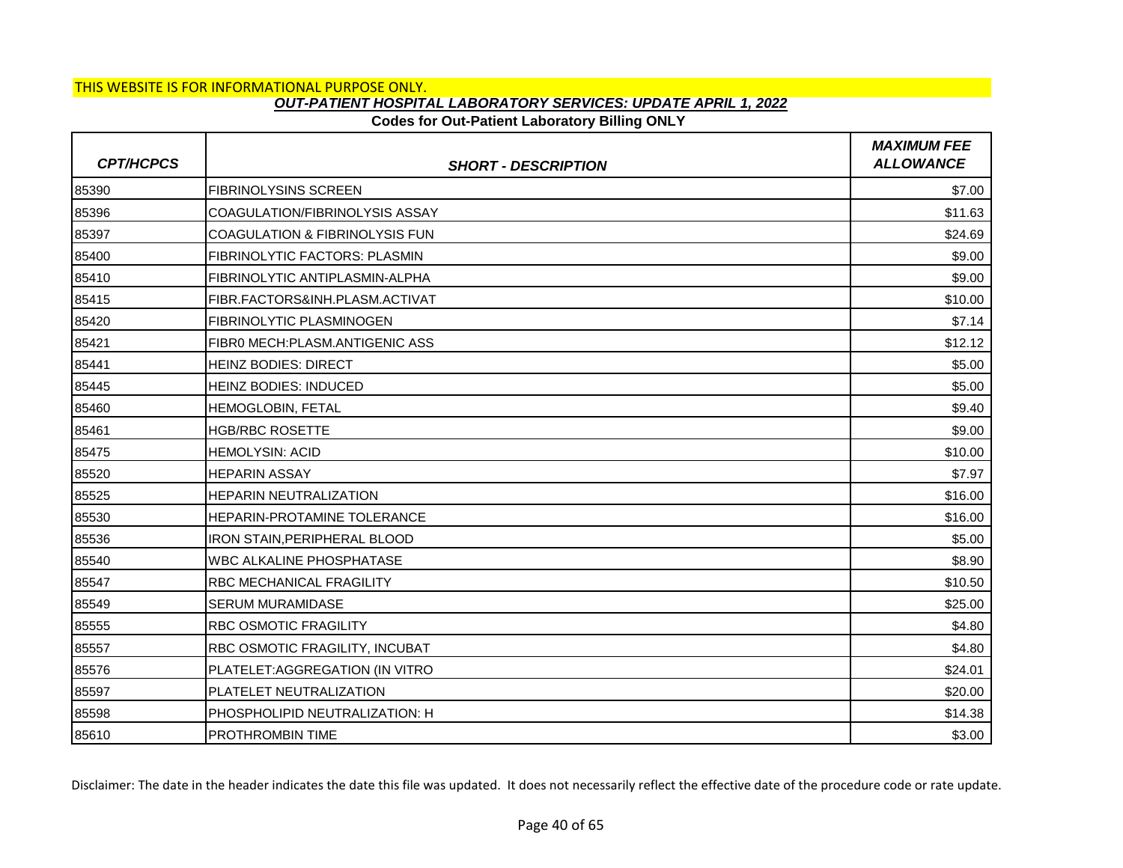## **Codes for Out-Patient Laboratory Billing ONLY**

| <b>CPT/HCPCS</b> | <b>SHORT - DESCRIPTION</b>                | <b>MAXIMUM FEE</b><br><b>ALLOWANCE</b> |
|------------------|-------------------------------------------|----------------------------------------|
| 85390            | <b>FIBRINOLYSINS SCREEN</b>               | \$7.00                                 |
| 85396            | COAGULATION/FIBRINOLYSIS ASSAY            | \$11.63                                |
| 85397            | <b>COAGULATION &amp; FIBRINOLYSIS FUN</b> | \$24.69                                |
| 85400            | <b>FIBRINOLYTIC FACTORS: PLASMIN</b>      | \$9.00                                 |
| 85410            | FIBRINOLYTIC ANTIPLASMIN-ALPHA            | \$9.00                                 |
| 85415            | FIBR.FACTORS&INH.PLASM.ACTIVAT            | \$10.00                                |
| 85420            | FIBRINOLYTIC PLASMINOGEN                  | \$7.14                                 |
| 85421            | FIBRO MECH:PLASM.ANTIGENIC ASS            | \$12.12                                |
| 85441            | <b>HEINZ BODIES: DIRECT</b>               | \$5.00                                 |
| 85445            | <b>HEINZ BODIES: INDUCED</b>              | \$5.00                                 |
| 85460            | HEMOGLOBIN, FETAL                         | \$9.40                                 |
| 85461            | <b>HGB/RBC ROSETTE</b>                    | \$9.00                                 |
| 85475            | <b>HEMOLYSIN: ACID</b>                    | \$10.00                                |
| 85520            | <b>HEPARIN ASSAY</b>                      | \$7.97                                 |
| 85525            | <b>HEPARIN NEUTRALIZATION</b>             | \$16.00                                |
| 85530            | HEPARIN-PROTAMINE TOLERANCE               | \$16.00                                |
| 85536            | IRON STAIN, PERIPHERAL BLOOD              | \$5.00                                 |
| 85540            | <b>WBC ALKALINE PHOSPHATASE</b>           | \$8.90                                 |
| 85547            | <b>RBC MECHANICAL FRAGILITY</b>           | \$10.50                                |
| 85549            | SERUM MURAMIDASE                          | \$25.00                                |
| 85555            | <b>RBC OSMOTIC FRAGILITY</b>              | \$4.80                                 |
| 85557            | RBC OSMOTIC FRAGILITY, INCUBAT            | \$4.80                                 |
| 85576            | PLATELET: AGGREGATION (IN VITRO           | \$24.01                                |
| 85597            | PLATELET NEUTRALIZATION                   | \$20.00                                |
| 85598            | PHOSPHOLIPID NEUTRALIZATION: H            | \$14.38                                |
| 85610            | <b>PROTHROMBIN TIME</b>                   | \$3.00                                 |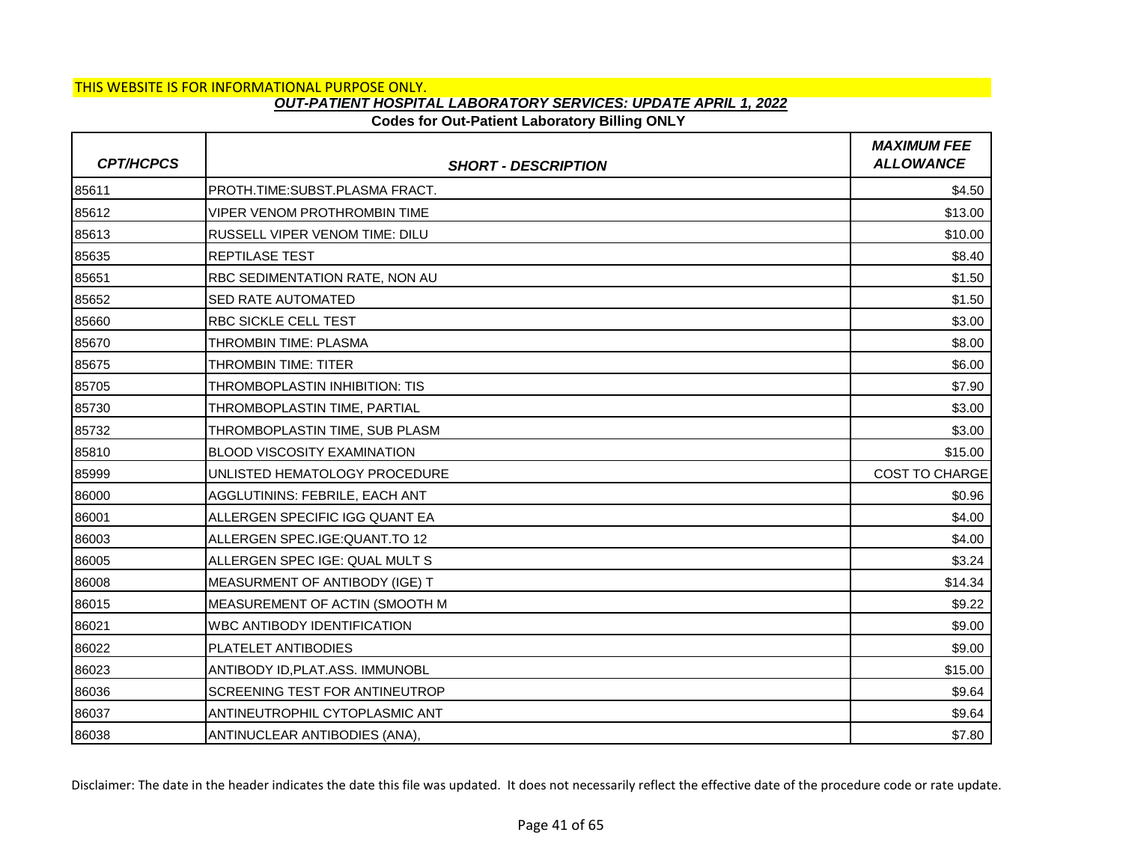## **Codes for Out-Patient Laboratory Billing ONLY**

| <b>CPT/HCPCS</b> | <b>SHORT - DESCRIPTION</b>            | <b>MAXIMUM FEE</b><br><b>ALLOWANCE</b> |
|------------------|---------------------------------------|----------------------------------------|
| 85611            | PROTH.TIME:SUBST.PLASMA FRACT.        | \$4.50                                 |
| 85612            | <b>VIPER VENOM PROTHROMBIN TIME</b>   | \$13.00                                |
| 85613            | <b>RUSSELL VIPER VENOM TIME: DILU</b> | \$10.00                                |
| 85635            | <b>REPTILASE TEST</b>                 | \$8.40                                 |
| 85651            | RBC SEDIMENTATION RATE, NON AU        | \$1.50                                 |
| 85652            | <b>SED RATE AUTOMATED</b>             | \$1.50                                 |
| 85660            | <b>RBC SICKLE CELL TEST</b>           | \$3.00                                 |
| 85670            | THROMBIN TIME: PLASMA                 | \$8.00                                 |
| 85675            | <b>THROMBIN TIME: TITER</b>           | \$6.00                                 |
| 85705            | THROMBOPLASTIN INHIBITION: TIS        | \$7.90                                 |
| 85730            | THROMBOPLASTIN TIME, PARTIAL          | \$3.00                                 |
| 85732            | THROMBOPLASTIN TIME, SUB PLASM        | \$3.00                                 |
| 85810            | <b>BLOOD VISCOSITY EXAMINATION</b>    | \$15.00                                |
| 85999            | UNLISTED HEMATOLOGY PROCEDURE         | COST TO CHARGE                         |
| 86000            | AGGLUTININS: FEBRILE, EACH ANT        | \$0.96                                 |
| 86001            | ALLERGEN SPECIFIC IGG QUANT EA        | \$4.00                                 |
| 86003            | ALLERGEN SPEC.IGE: QUANT.TO 12        | \$4.00                                 |
| 86005            | ALLERGEN SPEC IGE: QUAL MULT S        | \$3.24                                 |
| 86008            | MEASURMENT OF ANTIBODY (IGE) T        | \$14.34                                |
| 86015            | MEASUREMENT OF ACTIN (SMOOTH M        | \$9.22                                 |
| 86021            | <b>WBC ANTIBODY IDENTIFICATION</b>    | \$9.00                                 |
| 86022            | PLATELET ANTIBODIES                   | \$9.00                                 |
| 86023            | ANTIBODY ID, PLAT.ASS. IMMUNOBL       | \$15.00                                |
| 86036            | SCREENING TEST FOR ANTINEUTROP        | \$9.64                                 |
| 86037            | ANTINEUTROPHIL CYTOPLASMIC ANT        | \$9.64                                 |
| 86038            | ANTINUCLEAR ANTIBODIES (ANA),         | \$7.80                                 |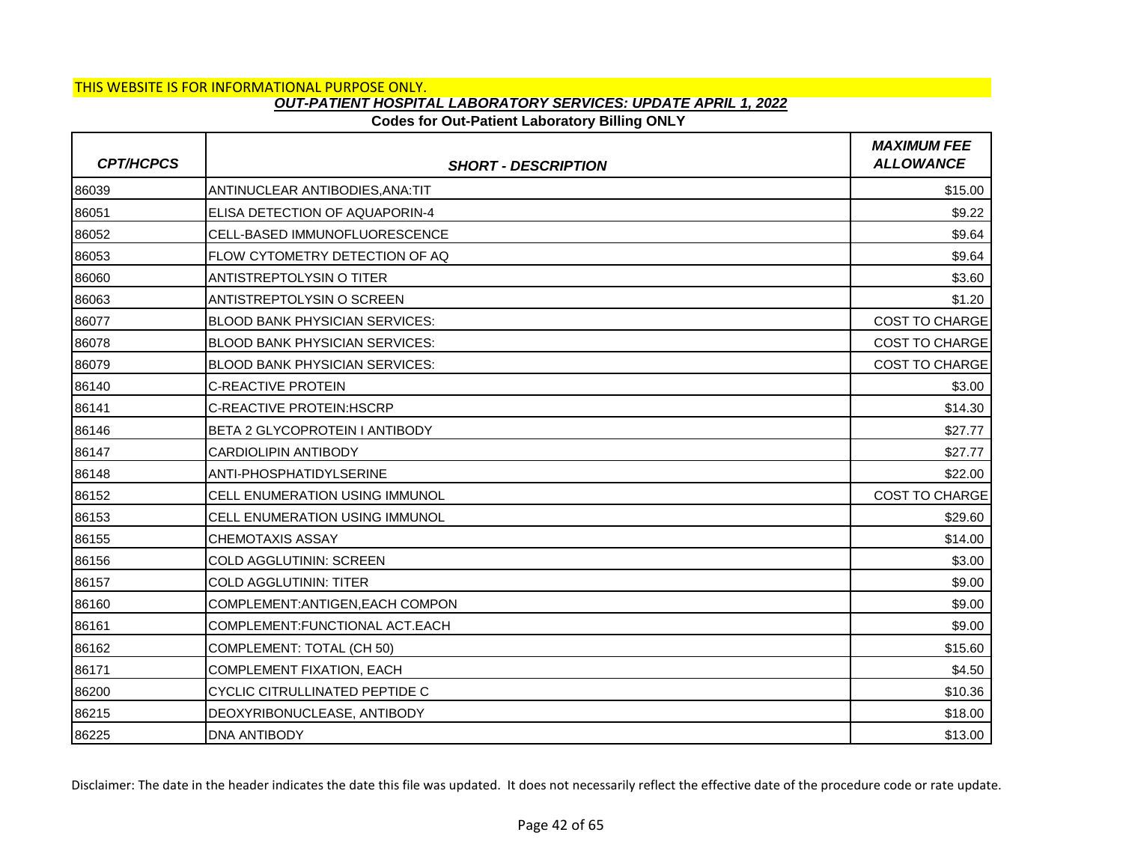## **Codes for Out-Patient Laboratory Billing ONLY**

| <b>CPT/HCPCS</b> | <b>SHORT - DESCRIPTION</b>            | <b>MAXIMUM FEE</b><br><b>ALLOWANCE</b> |
|------------------|---------------------------------------|----------------------------------------|
| 86039            | ANTINUCLEAR ANTIBODIES, ANA: TIT      | \$15.00                                |
| 86051            | ELISA DETECTION OF AQUAPORIN-4        | \$9.22                                 |
| 86052            | CELL-BASED IMMUNOFLUORESCENCE         | \$9.64                                 |
| 86053            | FLOW CYTOMETRY DETECTION OF AQ        | \$9.64                                 |
| 86060            | <b>ANTISTREPTOLYSIN O TITER</b>       | \$3.60                                 |
| 86063            | IANTISTREPTOLYSIN O SCREEN            | \$1.20                                 |
| 86077            | <b>BLOOD BANK PHYSICIAN SERVICES:</b> | <b>COST TO CHARGE</b>                  |
| 86078            | <b>BLOOD BANK PHYSICIAN SERVICES:</b> | <b>COST TO CHARGE</b>                  |
| 86079            | <b>BLOOD BANK PHYSICIAN SERVICES:</b> | <b>COST TO CHARGE</b>                  |
| 86140            | <b>C-REACTIVE PROTEIN</b>             | \$3.00                                 |
| 86141            | C-REACTIVE PROTEIN: HSCRP             | \$14.30                                |
| 86146            | BETA 2 GLYCOPROTEIN I ANTIBODY        | \$27.77                                |
| 86147            | <b>CARDIOLIPIN ANTIBODY</b>           | \$27.77                                |
| 86148            | ANTI-PHOSPHATIDYLSERINE               | \$22.00                                |
| 86152            | <b>CELL ENUMERATION USING IMMUNOL</b> | <b>COST TO CHARGE</b>                  |
| 86153            | CELL ENUMERATION USING IMMUNOL        | \$29.60                                |
| 86155            | <b>CHEMOTAXIS ASSAY</b>               | \$14.00                                |
| 86156            | <b>COLD AGGLUTININ: SCREEN</b>        | \$3.00                                 |
| 86157            | <b>COLD AGGLUTININ: TITER</b>         | \$9.00                                 |
| 86160            | COMPLEMENT: ANTIGEN, EACH COMPON      | \$9.00                                 |
| 86161            | COMPLEMENT: FUNCTIONAL ACT. EACH      | \$9.00                                 |
| 86162            | COMPLEMENT: TOTAL (CH 50)             | \$15.60                                |
| 86171            | <b>COMPLEMENT FIXATION, EACH</b>      | \$4.50                                 |
| 86200            | <b>CYCLIC CITRULLINATED PEPTIDE C</b> | \$10.36                                |
| 86215            | DEOXYRIBONUCLEASE, ANTIBODY           | \$18.00                                |
| 86225            | <b>DNA ANTIBODY</b>                   | \$13.00                                |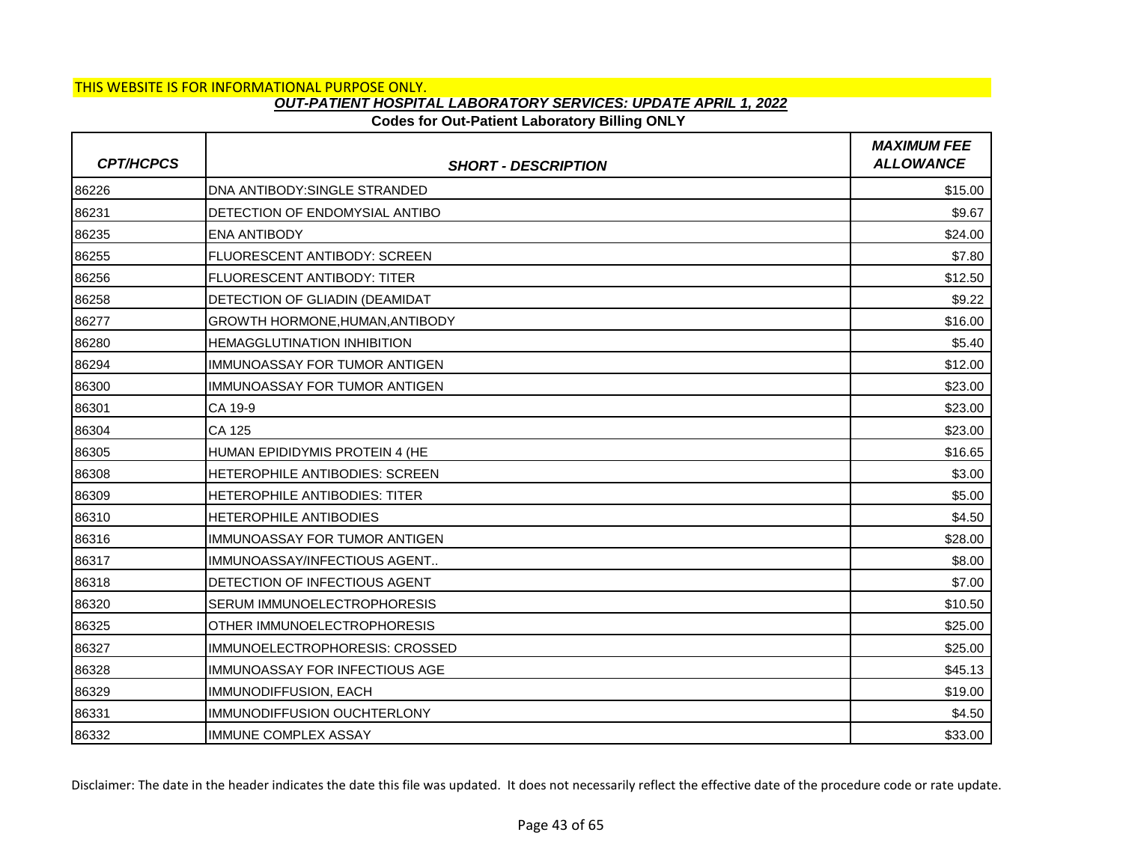## **Codes for Out-Patient Laboratory Billing ONLY**

| <b>CPT/HCPCS</b> | <b>SHORT - DESCRIPTION</b>             | <b>MAXIMUM FEE</b><br><b>ALLOWANCE</b> |
|------------------|----------------------------------------|----------------------------------------|
| 86226            | DNA ANTIBODY: SINGLE STRANDED          | \$15.00                                |
| 86231            | DETECTION OF ENDOMYSIAL ANTIBO         | \$9.67                                 |
| 86235            | IENA ANTIBODY                          | \$24.00                                |
| 86255            | FLUORESCENT ANTIBODY: SCREEN           | \$7.80                                 |
| 86256            | <b>FLUORESCENT ANTIBODY: TITER</b>     | \$12.50                                |
| 86258            | DETECTION OF GLIADIN (DEAMIDAT         | \$9.22                                 |
| 86277            | <b>GROWTH HORMONE, HUMAN, ANTIBODY</b> | \$16.00                                |
| 86280            | <b>HEMAGGLUTINATION INHIBITION</b>     | \$5.40                                 |
| 86294            | <b>IMMUNOASSAY FOR TUMOR ANTIGEN</b>   | \$12.00                                |
| 86300            | IMMUNOASSAY FOR TUMOR ANTIGEN          | \$23.00                                |
| 86301            | CA 19-9                                | \$23.00                                |
| 86304            | CA 125                                 | \$23.00                                |
| 86305            | HUMAN EPIDIDYMIS PROTEIN 4 (HE         | \$16.65                                |
| 86308            | HETEROPHILE ANTIBODIES: SCREEN         | \$3.00                                 |
| 86309            | <b>HETEROPHILE ANTIBODIES: TITER</b>   | \$5.00                                 |
| 86310            | <b>HETEROPHILE ANTIBODIES</b>          | \$4.50                                 |
| 86316            | IMMUNOASSAY FOR TUMOR ANTIGEN          | \$28.00                                |
| 86317            | IMMUNOASSAY/INFECTIOUS AGENT           | \$8.00                                 |
| 86318            | DETECTION OF INFECTIOUS AGENT          | \$7.00                                 |
| 86320            | SERUM IMMUNOELECTROPHORESIS            | \$10.50                                |
| 86325            | OTHER IMMUNOELECTROPHORESIS            | \$25.00                                |
| 86327            | IMMUNOELECTROPHORESIS: CROSSED         | \$25.00                                |
| 86328            | IMMUNOASSAY FOR INFECTIOUS AGE         | \$45.13                                |
| 86329            | IMMUNODIFFUSION, EACH                  | \$19.00                                |
| 86331            | IMMUNODIFFUSION OUCHTERLONY            | \$4.50                                 |
| 86332            | <b>IMMUNE COMPLEX ASSAY</b>            | \$33.00                                |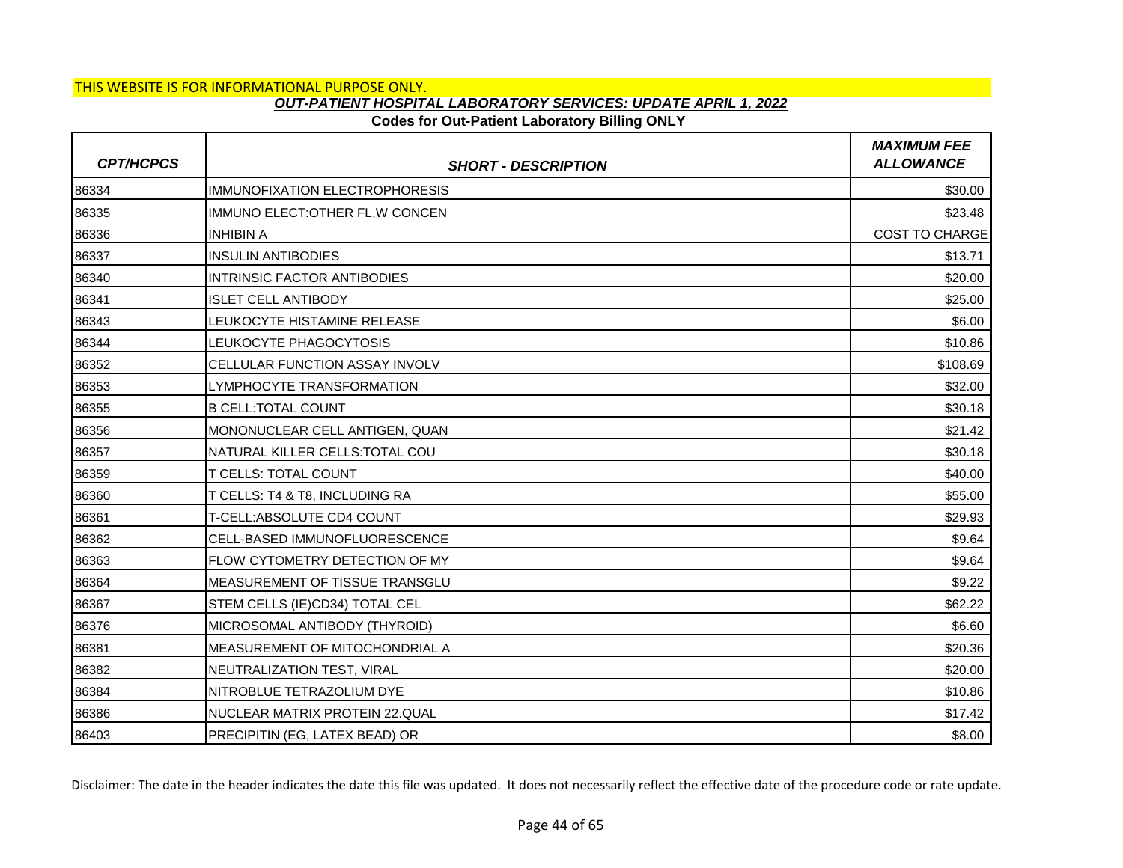## **Codes for Out-Patient Laboratory Billing ONLY**

| <b>CPT/HCPCS</b> | <b>SHORT - DESCRIPTION</b>            | <b>MAXIMUM FEE</b><br><b>ALLOWANCE</b> |
|------------------|---------------------------------------|----------------------------------------|
| 86334            | <b>IMMUNOFIXATION ELECTROPHORESIS</b> | \$30.00                                |
| 86335            | IMMUNO ELECT: OTHER FL, W CONCEN      | \$23.48                                |
| 86336            | <b>INHIBIN A</b>                      | <b>COST TO CHARGE</b>                  |
| 86337            | <b>INSULIN ANTIBODIES</b>             | \$13.71                                |
| 86340            | <b>INTRINSIC FACTOR ANTIBODIES</b>    | \$20.00                                |
| 86341            | <b>ISLET CELL ANTIBODY</b>            | \$25.00                                |
| 86343            | LEUKOCYTE HISTAMINE RELEASE           | \$6.00                                 |
| 86344            | LEUKOCYTE PHAGOCYTOSIS                | \$10.86                                |
| 86352            | <b>CELLULAR FUNCTION ASSAY INVOLV</b> | \$108.69                               |
| 86353            | LYMPHOCYTE TRANSFORMATION             | \$32.00                                |
| 86355            | <b>B CELL: TOTAL COUNT</b>            | \$30.18                                |
| 86356            | MONONUCLEAR CELL ANTIGEN, QUAN        | \$21.42                                |
| 86357            | NATURAL KILLER CELLS: TOTAL COU       | \$30.18                                |
| 86359            | T CELLS: TOTAL COUNT                  | \$40.00                                |
| 86360            | T CELLS: T4 & T8, INCLUDING RA        | \$55.00                                |
| 86361            | T-CELL:ABSOLUTE CD4 COUNT             | \$29.93                                |
| 86362            | CELL-BASED IMMUNOFLUORESCENCE         | \$9.64                                 |
| 86363            | FLOW CYTOMETRY DETECTION OF MY        | \$9.64                                 |
| 86364            | MEASUREMENT OF TISSUE TRANSGLU        | \$9.22                                 |
| 86367            | STEM CELLS (IE)CD34) TOTAL CEL        | \$62.22                                |
| 86376            | MICROSOMAL ANTIBODY (THYROID)         | \$6.60                                 |
| 86381            | MEASUREMENT OF MITOCHONDRIAL A        | \$20.36                                |
| 86382            | NEUTRALIZATION TEST, VIRAL            | \$20.00                                |
| 86384            | NITROBLUE TETRAZOLIUM DYE             | \$10.86                                |
| 86386            | NUCLEAR MATRIX PROTEIN 22.QUAL        | \$17.42                                |
| 86403            | PRECIPITIN (EG, LATEX BEAD) OR        | \$8.00                                 |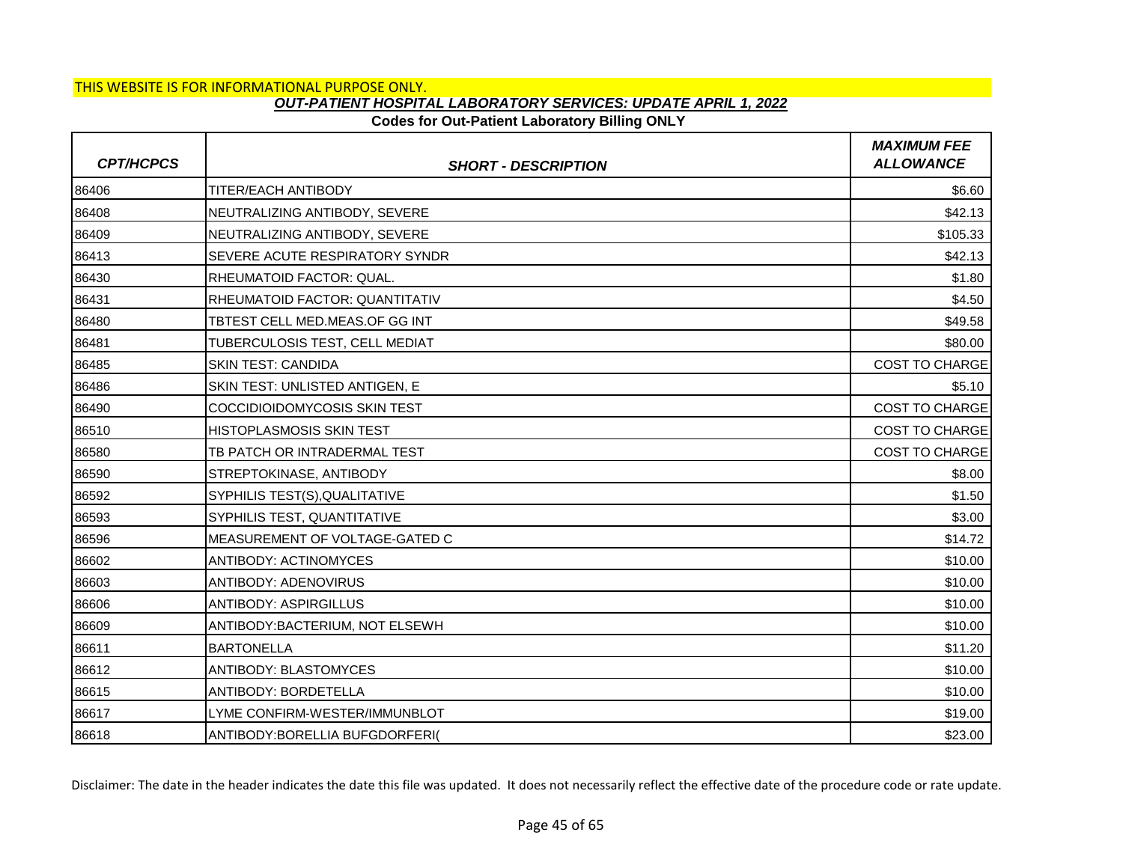## **Codes for Out-Patient Laboratory Billing ONLY**

| <b>CPT/HCPCS</b> | <b>SHORT - DESCRIPTION</b>            | <b>MAXIMUM FEE</b><br><b>ALLOWANCE</b> |
|------------------|---------------------------------------|----------------------------------------|
| 86406            | <b>TITER/EACH ANTIBODY</b>            | \$6.60                                 |
| 86408            | NEUTRALIZING ANTIBODY, SEVERE         | \$42.13                                |
| 86409            | NEUTRALIZING ANTIBODY, SEVERE         | \$105.33                               |
| 86413            | SEVERE ACUTE RESPIRATORY SYNDR        | \$42.13                                |
| 86430            | <b>RHEUMATOID FACTOR: QUAL.</b>       | \$1.80                                 |
| 86431            | <b>RHEUMATOID FACTOR: QUANTITATIV</b> | \$4.50                                 |
| 86480            | TBTEST CELL MED.MEAS.OF GG INT        | \$49.58                                |
| 86481            | TUBERCULOSIS TEST, CELL MEDIAT        | \$80.00                                |
| 86485            | <b>SKIN TEST: CANDIDA</b>             | <b>COST TO CHARGE</b>                  |
| 86486            | SKIN TEST: UNLISTED ANTIGEN, E        | \$5.10                                 |
| 86490            | <b>COCCIDIOIDOMYCOSIS SKIN TEST</b>   | COST TO CHARGE                         |
| 86510            | <b>HISTOPLASMOSIS SKIN TEST</b>       | <b>COST TO CHARGE</b>                  |
| 86580            | TB PATCH OR INTRADERMAL TEST          | <b>COST TO CHARGE</b>                  |
| 86590            | STREPTOKINASE, ANTIBODY               | \$8.00                                 |
| 86592            | SYPHILIS TEST(S), QUALITATIVE         | \$1.50                                 |
| 86593            | SYPHILIS TEST, QUANTITATIVE           | \$3.00                                 |
| 86596            | MEASUREMENT OF VOLTAGE-GATED C        | \$14.72                                |
| 86602            | <b>ANTIBODY: ACTINOMYCES</b>          | \$10.00                                |
| 86603            | <b>ANTIBODY: ADENOVIRUS</b>           | \$10.00                                |
| 86606            | <b>ANTIBODY: ASPIRGILLUS</b>          | \$10.00                                |
| 86609            | ANTIBODY: BACTERIUM, NOT ELSEWH       | \$10.00                                |
| 86611            | <b>BARTONELLA</b>                     | \$11.20                                |
| 86612            | <b>ANTIBODY: BLASTOMYCES</b>          | \$10.00                                |
| 86615            | <b>ANTIBODY: BORDETELLA</b>           | \$10.00                                |
| 86617            | LYME CONFIRM-WESTER/IMMUNBLOT         | \$19.00                                |
| 86618            | ANTIBODY: BORELLIA BUFGDORFERI(       | \$23.00                                |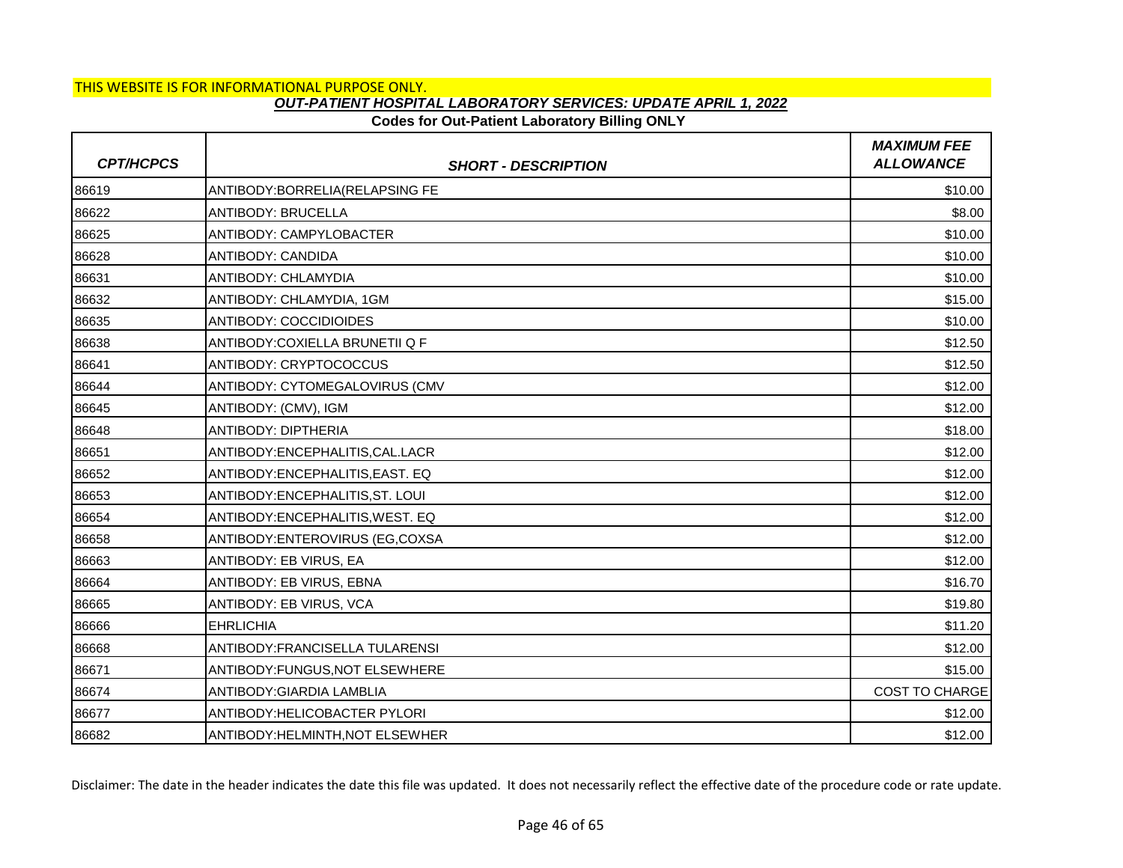## **Codes for Out-Patient Laboratory Billing ONLY**

| <b>CPT/HCPCS</b> | <b>SHORT - DESCRIPTION</b>       | <b>MAXIMUM FEE</b><br><b>ALLOWANCE</b> |
|------------------|----------------------------------|----------------------------------------|
| 86619            | ANTIBODY: BORRELIA (RELAPSING FE | \$10.00                                |
| 86622            | <b>ANTIBODY: BRUCELLA</b>        | \$8.00                                 |
| 86625            | ANTIBODY: CAMPYLOBACTER          | \$10.00                                |
| 86628            | ANTIBODY: CANDIDA                | \$10.00                                |
| 86631            | <b>ANTIBODY: CHLAMYDIA</b>       | \$10.00                                |
| 86632            | ANTIBODY: CHLAMYDIA, 1GM         | \$15.00                                |
| 86635            | <b>ANTIBODY: COCCIDIOIDES</b>    | \$10.00                                |
| 86638            | ANTIBODY:COXIELLA BRUNETII Q F   | \$12.50                                |
| 86641            | <b>ANTIBODY: CRYPTOCOCCUS</b>    | \$12.50                                |
| 86644            | ANTIBODY: CYTOMEGALOVIRUS (CMV   | \$12.00                                |
| 86645            | ANTIBODY: (CMV), IGM             | \$12.00                                |
| 86648            | <b>ANTIBODY: DIPTHERIA</b>       | \$18.00                                |
| 86651            | ANTIBODY:ENCEPHALITIS, CAL.LACR  | \$12.00                                |
| 86652            | ANTIBODY: ENCEPHALITIS, EAST. EQ | \$12.00                                |
| 86653            | ANTIBODY: ENCEPHALITIS, ST. LOUI | \$12.00                                |
| 86654            | ANTIBODY: ENCEPHALITIS, WEST. EQ | \$12.00                                |
| 86658            | ANTIBODY: ENTEROVIRUS (EG, COXSA | \$12.00                                |
| 86663            | ANTIBODY: EB VIRUS, EA           | \$12.00                                |
| 86664            | ANTIBODY: EB VIRUS, EBNA         | \$16.70                                |
| 86665            | ANTIBODY: EB VIRUS, VCA          | \$19.80                                |
| 86666            | <b>EHRLICHIA</b>                 | \$11.20                                |
| 86668            | ANTIBODY: FRANCISELLA TULARENSI  | \$12.00                                |
| 86671            | ANTIBODY:FUNGUS, NOT ELSEWHERE   | \$15.00                                |
| 86674            | <b>ANTIBODY:GIARDIA LAMBLIA</b>  | <b>COST TO CHARGE</b>                  |
| 86677            | ANTIBODY: HELICOBACTER PYLORI    | \$12.00                                |
| 86682            | ANTIBODY: HELMINTH, NOT ELSEWHER | \$12.00                                |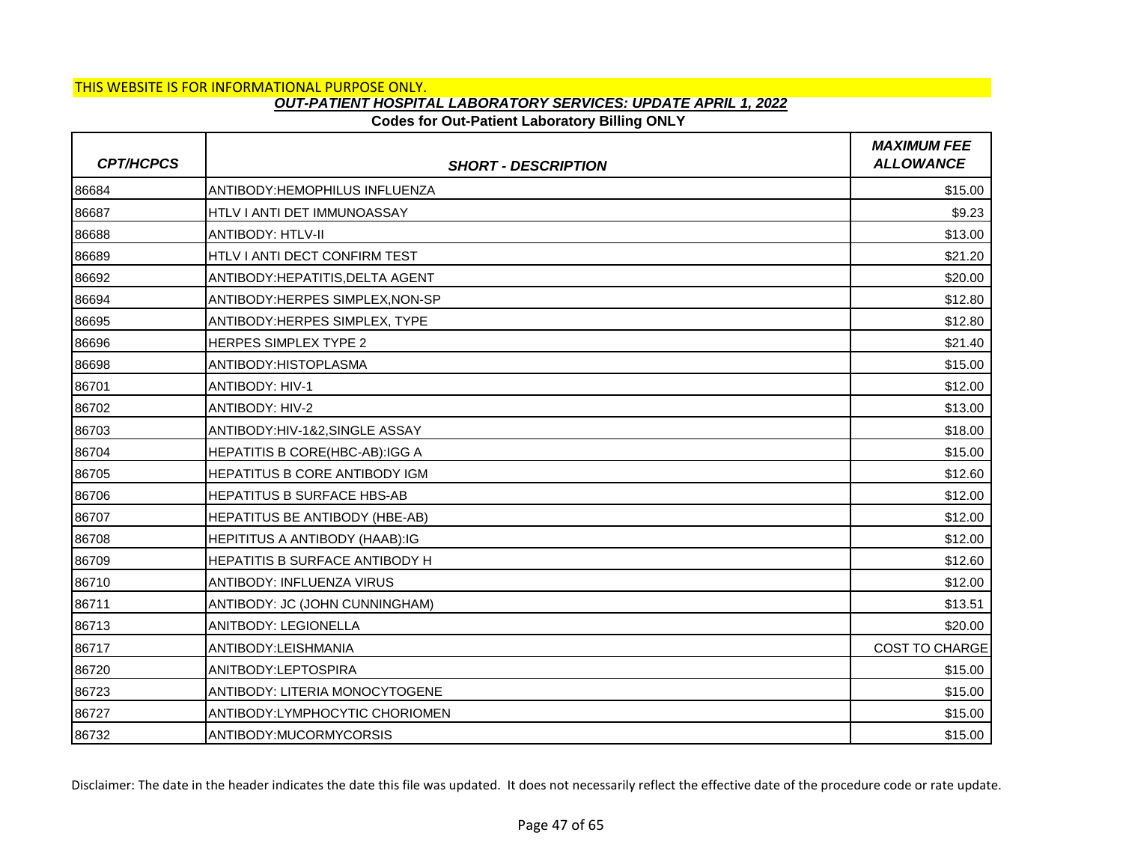## **Codes for Out-Patient Laboratory Billing ONLY**

| <b>CPT/HCPCS</b> | <b>SHORT - DESCRIPTION</b>            | <b>MAXIMUM FEE</b><br><b>ALLOWANCE</b> |
|------------------|---------------------------------------|----------------------------------------|
| 86684            | <b>ANTIBODY:HEMOPHILUS INFLUENZA</b>  | \$15.00                                |
| 86687            | HTLV I ANTI DET IMMUNOASSAY           | \$9.23                                 |
| 86688            | <b>ANTIBODY: HTLV-II</b>              | \$13.00                                |
| 86689            | <b>HTLV I ANTI DECT CONFIRM TEST</b>  | \$21.20                                |
| 86692            | ANTIBODY: HEPATITIS, DELTA AGENT      | \$20.00                                |
| 86694            | ANTIBODY:HERPES SIMPLEX, NON-SP       | \$12.80                                |
| 86695            | ANTIBODY: HERPES SIMPLEX, TYPE        | \$12.80                                |
| 86696            | <b>HERPES SIMPLEX TYPE 2</b>          | \$21.40                                |
| 86698            | ANTIBODY: HISTOPLASMA                 | \$15.00                                |
| 86701            | <b>ANTIBODY: HIV-1</b>                | \$12.00                                |
| 86702            | <b>ANTIBODY: HIV-2</b>                | \$13.00                                |
| 86703            | ANTIBODY: HIV-1&2. SINGLE ASSAY       | \$18.00                                |
| 86704            | <b>HEPATITIS B CORE(HBC-AB):IGG A</b> | \$15.00                                |
| 86705            | <b>HEPATITUS B CORE ANTIBODY IGM</b>  | \$12.60                                |
| 86706            | <b>HEPATITUS B SURFACE HBS-AB</b>     | \$12.00                                |
| 86707            | <b>HEPATITUS BE ANTIBODY (HBE-AB)</b> | \$12.00                                |
| 86708            | HEPITITUS A ANTIBODY (HAAB):IG        | \$12.00                                |
| 86709            | HEPATITIS B SURFACE ANTIBODY H        | \$12.60                                |
| 86710            | <b>ANTIBODY: INFLUENZA VIRUS</b>      | \$12.00                                |
| 86711            | ANTIBODY: JC (JOHN CUNNINGHAM)        | \$13.51                                |
| 86713            | ANITBODY: LEGIONELLA                  | \$20.00                                |
| 86717            | ANTIBODY:LEISHMANIA                   | <b>COST TO CHARGE</b>                  |
| 86720            | ANITBODY:LEPTOSPIRA                   | \$15.00                                |
| 86723            | <b>ANTIBODY: LITERIA MONOCYTOGENE</b> | \$15.00                                |
| 86727            | ANTIBODY:LYMPHOCYTIC CHORIOMEN        | \$15.00                                |
| 86732            | ANTIBODY:MUCORMYCORSIS                | \$15.00                                |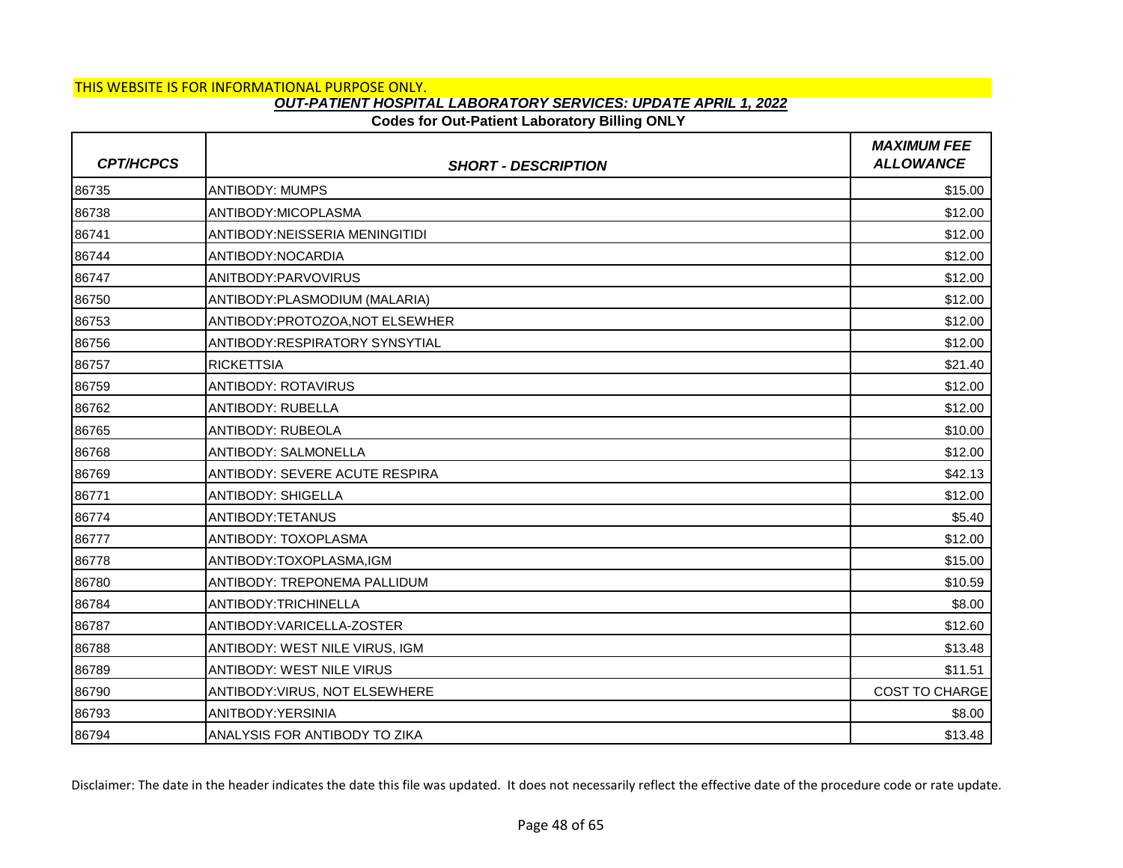### **Codes for Out-Patient Laboratory Billing ONLY**

| <b>CPT/HCPCS</b> | <b>SHORT - DESCRIPTION</b>            | <b>MAXIMUM FEE</b><br><b>ALLOWANCE</b> |
|------------------|---------------------------------------|----------------------------------------|
| 86735            | <b>ANTIBODY: MUMPS</b>                | \$15.00                                |
| 86738            | ANTIBODY:MICOPLASMA                   | \$12.00                                |
| 86741            | <b>ANTIBODY:NEISSERIA MENINGITIDI</b> | \$12.00                                |
| 86744            | ANTIBODY:NOCARDIA                     | \$12.00                                |
| 86747            | ANITBODY:PARVOVIRUS                   | \$12.00                                |
| 86750            | ANTIBODY: PLASMODIUM (MALARIA)        | \$12.00                                |
| 86753            | ANTIBODY:PROTOZOA, NOT ELSEWHER       | \$12.00                                |
| 86756            | ANTIBODY:RESPIRATORY SYNSYTIAL        | \$12.00                                |
| 86757            | <b>RICKETTSIA</b>                     | \$21.40                                |
| 86759            | <b>ANTIBODY: ROTAVIRUS</b>            | \$12.00                                |
| 86762            | <b>ANTIBODY: RUBELLA</b>              | \$12.00                                |
| 86765            | <b>ANTIBODY: RUBEOLA</b>              | \$10.00                                |
| 86768            | <b>ANTIBODY: SALMONELLA</b>           | \$12.00                                |
| 86769            | ANTIBODY: SEVERE ACUTE RESPIRA        | \$42.13                                |
| 86771            | <b>ANTIBODY: SHIGELLA</b>             | \$12.00                                |
| 86774            | ANTIBODY:TETANUS                      | \$5.40                                 |
| 86777            | ANTIBODY: TOXOPLASMA                  | \$12.00                                |
| 86778            | ANTIBODY:TOXOPLASMA,IGM               | \$15.00                                |
| 86780            | ANTIBODY: TREPONEMA PALLIDUM          | \$10.59                                |
| 86784            | ANTIBODY:TRICHINELLA                  | \$8.00                                 |
| 86787            | ANTIBODY:VARICELLA-ZOSTER             | \$12.60                                |
| 86788            | <b>ANTIBODY: WEST NILE VIRUS, IGM</b> | \$13.48                                |
| 86789            | <b>ANTIBODY: WEST NILE VIRUS</b>      | \$11.51                                |
| 86790            | ANTIBODY: VIRUS, NOT ELSEWHERE        | <b>COST TO CHARGE</b>                  |
| 86793            | ANITBODY: YERSINIA                    | \$8.00                                 |
| 86794            | ANALYSIS FOR ANTIBODY TO ZIKA         | \$13.48                                |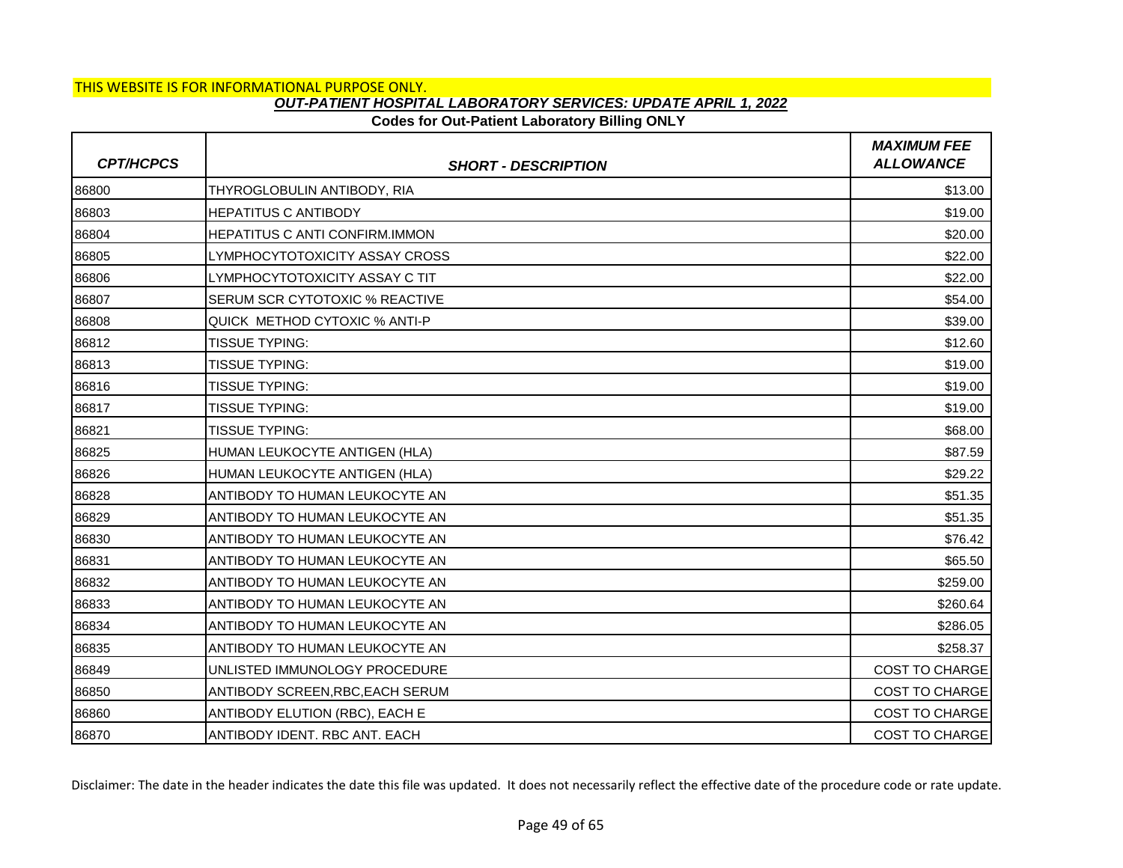## **Codes for Out-Patient Laboratory Billing ONLY**

| <b>CPT/HCPCS</b> | <b>SHORT - DESCRIPTION</b>            | <b>MAXIMUM FEE</b><br><b>ALLOWANCE</b> |
|------------------|---------------------------------------|----------------------------------------|
| 86800            | THYROGLOBULIN ANTIBODY, RIA           | \$13.00                                |
| 86803            | <b>HEPATITUS C ANTIBODY</b>           | \$19.00                                |
| 86804            | <b>HEPATITUS C ANTI CONFIRM.IMMON</b> | \$20.00                                |
| 86805            | LYMPHOCYTOTOXICITY ASSAY CROSS        | \$22.00                                |
| 86806            | LYMPHOCYTOTOXICITY ASSAY C TIT        | \$22.00                                |
| 86807            | <b>SERUM SCR CYTOTOXIC % REACTIVE</b> | \$54.00                                |
| 86808            | QUICK METHOD CYTOXIC % ANTI-P         | \$39.00                                |
| 86812            | <b>TISSUE TYPING:</b>                 | \$12.60                                |
| 86813            | <b>TISSUE TYPING:</b>                 | \$19.00                                |
| 86816            | <b>TISSUE TYPING:</b>                 | \$19.00                                |
| 86817            | <b>TISSUE TYPING:</b>                 | \$19.00                                |
| 86821            | <b>TISSUE TYPING:</b>                 | \$68.00                                |
| 86825            | HUMAN LEUKOCYTE ANTIGEN (HLA)         | \$87.59                                |
| 86826            | HUMAN LEUKOCYTE ANTIGEN (HLA)         | \$29.22                                |
| 86828            | ANTIBODY TO HUMAN LEUKOCYTE AN        | \$51.35                                |
| 86829            | ANTIBODY TO HUMAN LEUKOCYTE AN        | \$51.35                                |
| 86830            | ANTIBODY TO HUMAN LEUKOCYTE AN        | \$76.42                                |
| 86831            | ANTIBODY TO HUMAN LEUKOCYTE AN        | \$65.50                                |
| 86832            | ANTIBODY TO HUMAN LEUKOCYTE AN        | \$259.00                               |
| 86833            | ANTIBODY TO HUMAN LEUKOCYTE AN        | \$260.64                               |
| 86834            | ANTIBODY TO HUMAN LEUKOCYTE AN        | \$286.05                               |
| 86835            | ANTIBODY TO HUMAN LEUKOCYTE AN        | \$258.37                               |
| 86849            | UNLISTED IMMUNOLOGY PROCEDURE         | <b>COST TO CHARGE</b>                  |
| 86850            | ANTIBODY SCREEN, RBC, EACH SERUM      | <b>COST TO CHARGE</b>                  |
| 86860            | ANTIBODY ELUTION (RBC), EACH E        | <b>COST TO CHARGE</b>                  |
| 86870            | ANTIBODY IDENT. RBC ANT. EACH         | <b>COST TO CHARGE</b>                  |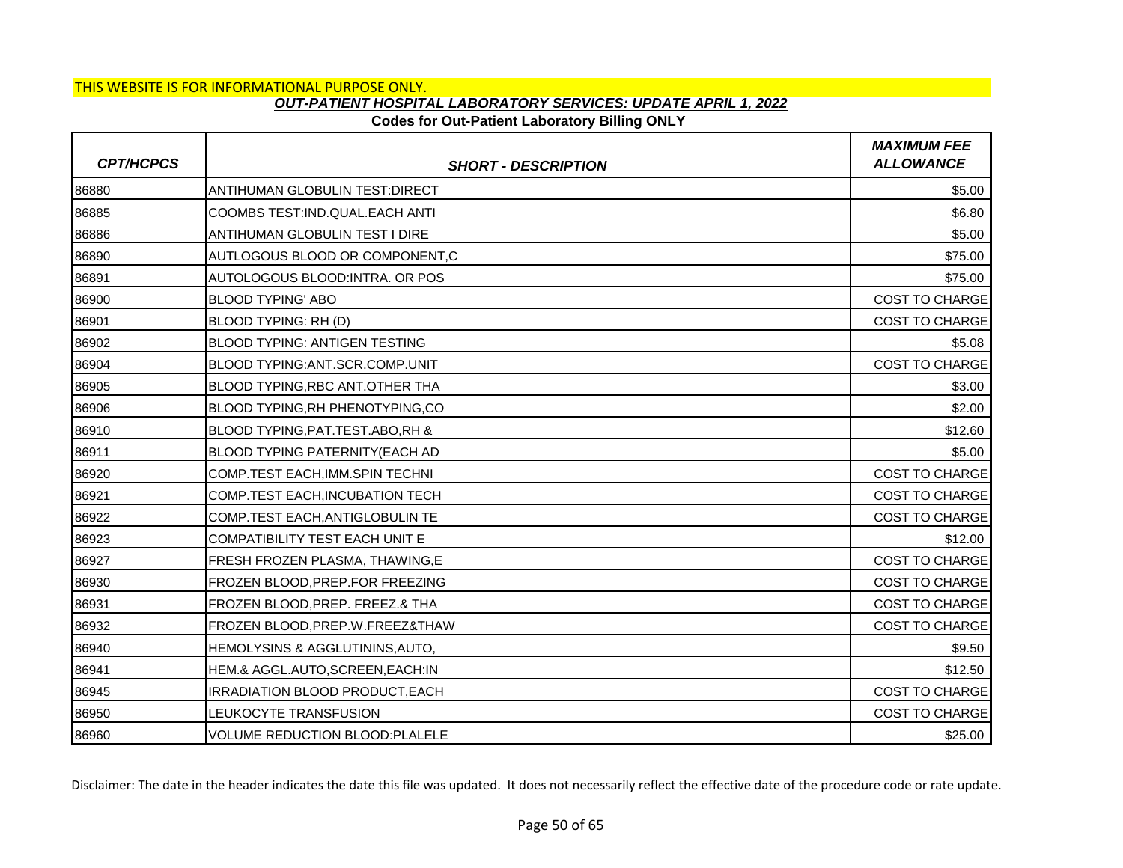## **Codes for Out-Patient Laboratory Billing ONLY**

| <b>CPT/HCPCS</b> | <b>SHORT - DESCRIPTION</b>                 | <b>MAXIMUM FEE</b><br><b>ALLOWANCE</b> |
|------------------|--------------------------------------------|----------------------------------------|
| 86880            | ANTIHUMAN GLOBULIN TEST: DIRECT            | \$5.00                                 |
| 86885            | COOMBS TEST:IND.QUAL.EACH ANTI             | \$6.80                                 |
| 86886            | ANTIHUMAN GLOBULIN TEST I DIRE             | \$5.00                                 |
| 86890            | AUTLOGOUS BLOOD OR COMPONENT,C             | \$75.00                                |
| 86891            | AUTOLOGOUS BLOOD: INTRA. OR POS            | \$75.00                                |
| 86900            | <b>BLOOD TYPING' ABO</b>                   | <b>COST TO CHARGE</b>                  |
| 86901            | BLOOD TYPING: RH (D)                       | <b>COST TO CHARGE</b>                  |
| 86902            | <b>BLOOD TYPING: ANTIGEN TESTING</b>       | \$5.08                                 |
| 86904            | BLOOD TYPING: ANT. SCR. COMP. UNIT         | <b>COST TO CHARGE</b>                  |
| 86905            | BLOOD TYPING, RBC ANT. OTHER THA           | \$3.00                                 |
| 86906            | BLOOD TYPING, RH PHENOTYPING, CO           | \$2.00                                 |
| 86910            | BLOOD TYPING, PAT. TEST. ABO, RH &         | \$12.60                                |
| 86911            | BLOOD TYPING PATERNITY(EACH AD             | \$5.00                                 |
| 86920            | COMP.TEST EACH, IMM.SPIN TECHNI            | <b>COST TO CHARGE</b>                  |
| 86921            | COMP.TEST EACH, INCUBATION TECH            | <b>COST TO CHARGE</b>                  |
| 86922            | COMP.TEST EACH, ANTIGLOBULIN TE            | <b>COST TO CHARGE</b>                  |
| 86923            | <b>COMPATIBILITY TEST EACH UNIT E</b>      | \$12.00                                |
| 86927            | FRESH FROZEN PLASMA, THAWING,E             | <b>COST TO CHARGE</b>                  |
| 86930            | FROZEN BLOOD, PREP. FOR FREEZING           | <b>COST TO CHARGE</b>                  |
| 86931            | FROZEN BLOOD, PREP. FREEZ.& THA            | <b>COST TO CHARGE</b>                  |
| 86932            | FROZEN BLOOD, PREP. W. FREEZ& THAW         | <b>COST TO CHARGE</b>                  |
| 86940            | <b>HEMOLYSINS &amp; AGGLUTININS, AUTO,</b> | \$9.50                                 |
| 86941            | HEM.& AGGL.AUTO, SCREEN, EACH:IN           | \$12.50                                |
| 86945            | <b>IRRADIATION BLOOD PRODUCT.EACH</b>      | <b>COST TO CHARGE</b>                  |
| 86950            | LEUKOCYTE TRANSFUSION                      | COST TO CHARGE                         |
| 86960            | VOLUME REDUCTION BLOOD:PLALELE             | \$25.00                                |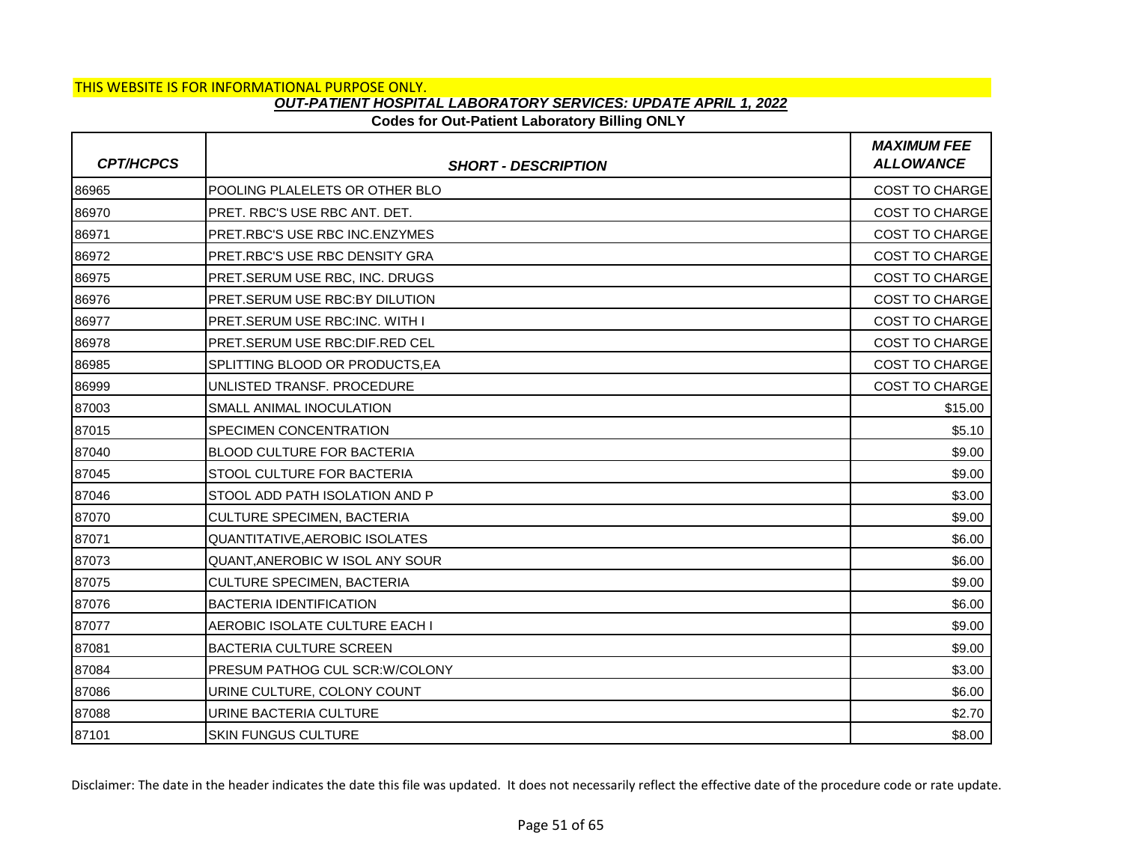### **Codes for Out-Patient Laboratory Billing ONLY**

| <b>CPT/HCPCS</b> | <b>SHORT - DESCRIPTION</b>            | <b>MAXIMUM FEE</b><br><b>ALLOWANCE</b> |
|------------------|---------------------------------------|----------------------------------------|
| 86965            | POOLING PLALELETS OR OTHER BLO        | <b>COST TO CHARGE</b>                  |
| 86970            | PRET. RBC'S USE RBC ANT. DET.         | <b>COST TO CHARGE</b>                  |
| 86971            | PRET.RBC'S USE RBC INC.ENZYMES        | <b>COST TO CHARGE</b>                  |
| 86972            | PRET.RBC'S USE RBC DENSITY GRA        | <b>COST TO CHARGE</b>                  |
| 86975            | PRET.SERUM USE RBC, INC. DRUGS        | <b>COST TO CHARGE</b>                  |
| 86976            | <b>PRET.SERUM USE RBC:BY DILUTION</b> | <b>COST TO CHARGE</b>                  |
| 86977            | PRET.SERUM USE RBC:INC. WITH I        | <b>COST TO CHARGE</b>                  |
| 86978            | PRET.SERUM USE RBC:DIF.RED CEL        | <b>COST TO CHARGE</b>                  |
| 86985            | SPLITTING BLOOD OR PRODUCTS.EA        | <b>COST TO CHARGE</b>                  |
| 86999            | UNLISTED TRANSF, PROCEDURE            | <b>COST TO CHARGE</b>                  |
| 87003            | SMALL ANIMAL INOCULATION              | \$15.00                                |
| 87015            | <b>SPECIMEN CONCENTRATION</b>         | \$5.10                                 |
| 87040            | <b>BLOOD CULTURE FOR BACTERIA</b>     | \$9.00                                 |
| 87045            | <b>STOOL CULTURE FOR BACTERIA</b>     | \$9.00                                 |
| 87046            | STOOL ADD PATH ISOLATION AND P        | \$3.00                                 |
| 87070            | <b>CULTURE SPECIMEN, BACTERIA</b>     | \$9.00                                 |
| 87071            | <b>QUANTITATIVE, AEROBIC ISOLATES</b> | \$6.00                                 |
| 87073            | QUANT, ANEROBIC W ISOL ANY SOUR       | \$6.00                                 |
| 87075            | <b>CULTURE SPECIMEN, BACTERIA</b>     | \$9.00                                 |
| 87076            | <b>BACTERIA IDENTIFICATION</b>        | \$6.00                                 |
| 87077            | AEROBIC ISOLATE CULTURE EACH I        | \$9.00                                 |
| 87081            | <b>BACTERIA CULTURE SCREEN</b>        | \$9.00                                 |
| 87084            | PRESUM PATHOG CUL SCR: W/COLONY       | \$3.00                                 |
| 87086            | URINE CULTURE, COLONY COUNT           | \$6.00                                 |
| 87088            | URINE BACTERIA CULTURE                | \$2.70                                 |
| 87101            | <b>SKIN FUNGUS CULTURE</b>            | \$8.00                                 |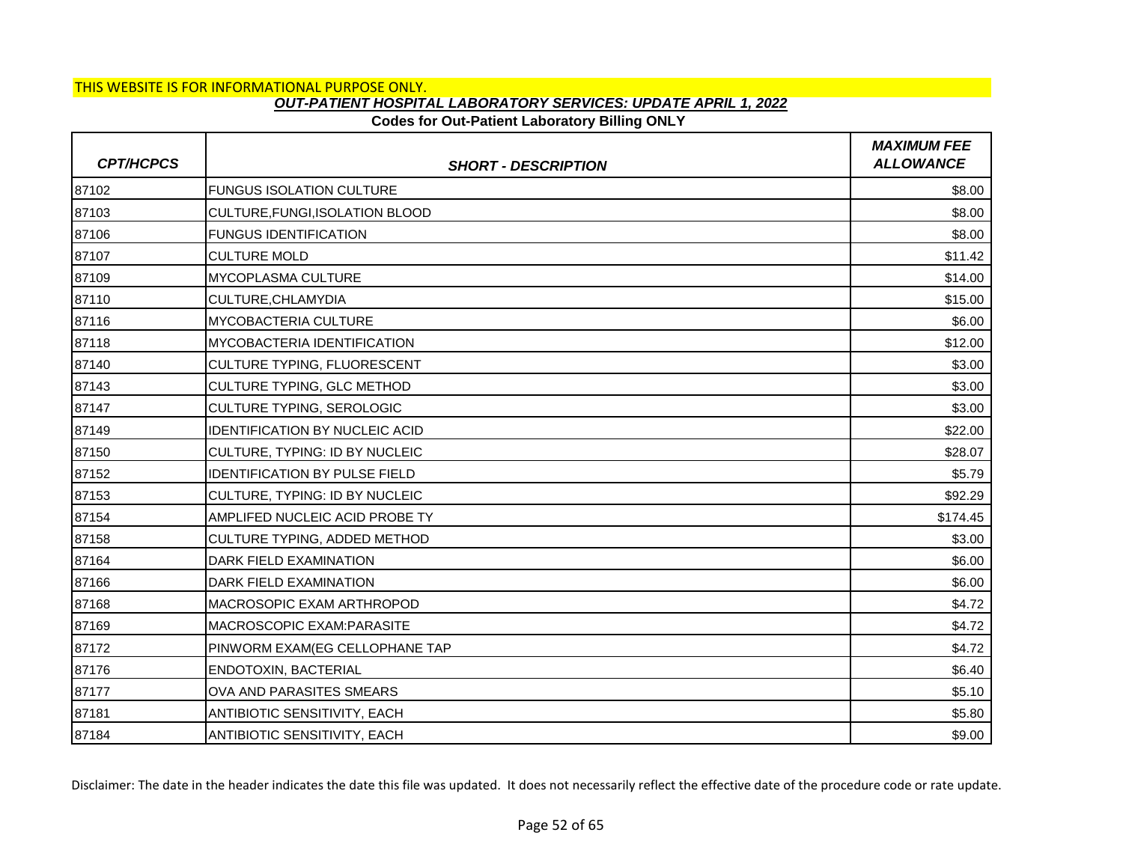### THIS WEBSITE IS FOR INFORMATIONAL PURPOSE ONLY.

### *OUT-PATIENT HOSPITAL LABORATORY SERVICES: UPDATE APRIL 1, 2022*

### **Codes for Out-Patient Laboratory Billing ONLY**

| <b>CPT/HCPCS</b> | <b>SHORT - DESCRIPTION</b>            | <b>MAXIMUM FEE</b><br><b>ALLOWANCE</b> |
|------------------|---------------------------------------|----------------------------------------|
| 87102            | <b>FUNGUS ISOLATION CULTURE</b>       | \$8.00                                 |
| 87103            | CULTURE, FUNGI, ISOLATION BLOOD       | \$8.00                                 |
| 87106            | <b>FUNGUS IDENTIFICATION</b>          | \$8.00                                 |
| 87107            | <b>CULTURE MOLD</b>                   | \$11.42                                |
| 87109            | MYCOPLASMA CULTURE                    | \$14.00                                |
| 87110            | CULTURE, CHLAMYDIA                    | \$15.00                                |
| 87116            | MYCOBACTERIA CULTURE                  | \$6.00                                 |
| 87118            | <b>MYCOBACTERIA IDENTIFICATION</b>    | \$12.00                                |
| 87140            | CULTURE TYPING, FLUORESCENT           | \$3.00                                 |
| 87143            | CULTURE TYPING, GLC METHOD            | \$3.00                                 |
| 87147            | CULTURE TYPING, SEROLOGIC             | \$3.00                                 |
| 87149            | <b>IDENTIFICATION BY NUCLEIC ACID</b> | \$22.00                                |
| 87150            | CULTURE, TYPING: ID BY NUCLEIC        | \$28.07                                |
| 87152            | <b>IDENTIFICATION BY PULSE FIELD</b>  | \$5.79                                 |
| 87153            | CULTURE, TYPING: ID BY NUCLEIC        | \$92.29                                |
| 87154            | AMPLIFED NUCLEIC ACID PROBE TY        | \$174.45                               |
| 87158            | CULTURE TYPING, ADDED METHOD          | \$3.00                                 |
| 87164            | DARK FIELD EXAMINATION                | \$6.00                                 |
| 87166            | DARK FIELD EXAMINATION                | \$6.00                                 |
| 87168            | MACROSOPIC EXAM ARTHROPOD             | \$4.72                                 |
| 87169            | MACROSCOPIC EXAM: PARASITE            | \$4.72                                 |
| 87172            | PINWORM EXAM(EG CELLOPHANE TAP        | \$4.72                                 |
| 87176            | ENDOTOXIN, BACTERIAL                  | \$6.40                                 |
| 87177            | OVA AND PARASITES SMEARS              | \$5.10                                 |
| 87181            | ANTIBIOTIC SENSITIVITY, EACH          | \$5.80                                 |
| 87184            | ANTIBIOTIC SENSITIVITY, EACH          | \$9.00                                 |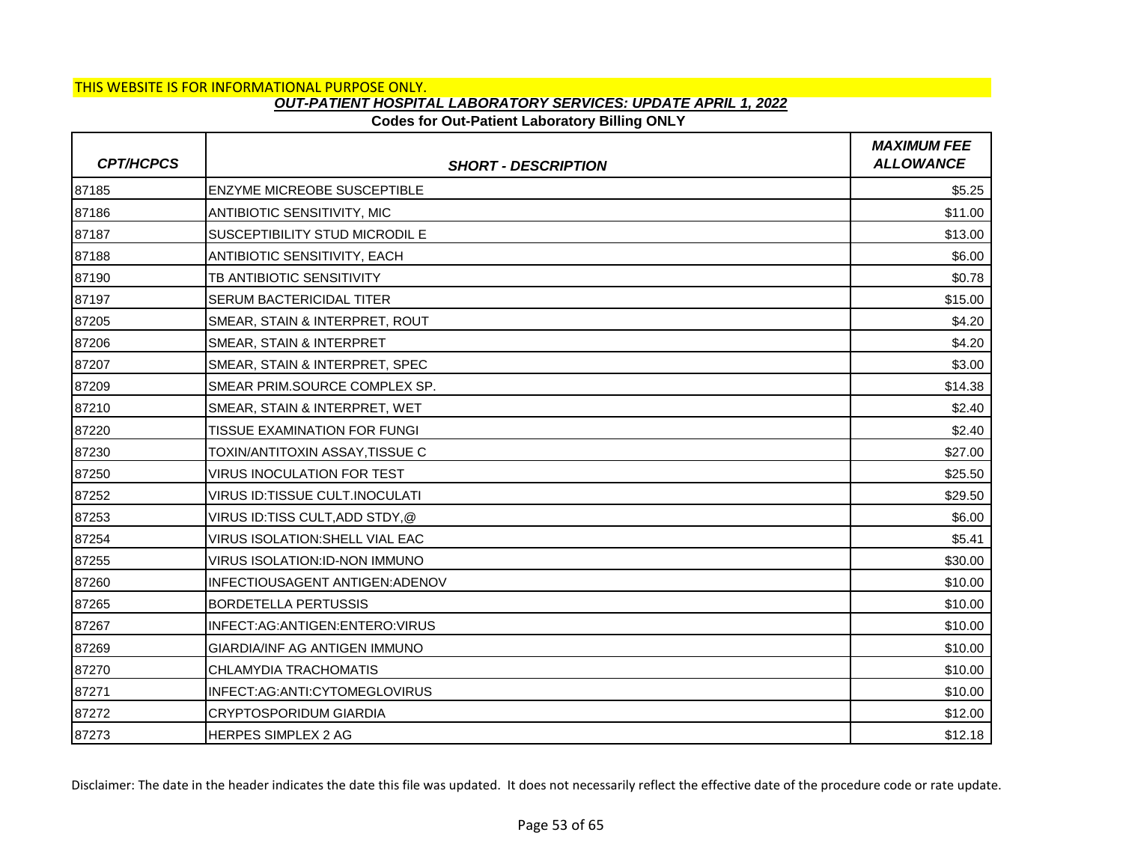#### **Codes for Out-Patient Laboratory Billing ONLY**

| <b>CPT/HCPCS</b> | <b>SHORT - DESCRIPTION</b>           | <b>MAXIMUM FEE</b><br><b>ALLOWANCE</b> |
|------------------|--------------------------------------|----------------------------------------|
| 87185            | <b>ENZYME MICREOBE SUSCEPTIBLE</b>   | \$5.25                                 |
| 87186            | ANTIBIOTIC SENSITIVITY, MIC          | \$11.00                                |
| 87187            | SUSCEPTIBILITY STUD MICRODIL E       | \$13.00                                |
| 87188            | ANTIBIOTIC SENSITIVITY, EACH         | \$6.00                                 |
| 87190            | TB ANTIBIOTIC SENSITIVITY            | \$0.78                                 |
| 87197            | <b>SERUM BACTERICIDAL TITER</b>      | \$15.00                                |
| 87205            | SMEAR, STAIN & INTERPRET, ROUT       | \$4.20                                 |
| 87206            | SMEAR, STAIN & INTERPRET             | \$4.20                                 |
| 87207            | SMEAR, STAIN & INTERPRET, SPEC       | \$3.00                                 |
| 87209            | SMEAR PRIM.SOURCE COMPLEX SP.        | \$14.38                                |
| 87210            | SMEAR, STAIN & INTERPRET, WET        | \$2.40                                 |
| 87220            | <b>TISSUE EXAMINATION FOR FUNGI</b>  | \$2.40                                 |
| 87230            | TOXIN/ANTITOXIN ASSAY.TISSUE C       | \$27.00                                |
| 87250            | <b>VIRUS INOCULATION FOR TEST</b>    | \$25.50                                |
| 87252            | VIRUS ID:TISSUE CULT.INOCULATI       | \$29.50                                |
| 87253            | VIRUS ID:TISS CULT,ADD STDY,@        | \$6.00                                 |
| 87254            | VIRUS ISOLATION: SHELL VIAL EAC      | \$5.41                                 |
| 87255            | <b>VIRUS ISOLATION:ID-NON IMMUNO</b> | \$30.00                                |
| 87260            | INFECTIOUSAGENT ANTIGEN: ADENOV      | \$10.00                                |
| 87265            | <b>BORDETELLA PERTUSSIS</b>          | \$10.00                                |
| 87267            | INFECT:AG:ANTIGEN:ENTERO:VIRUS       | \$10.00                                |
| 87269            | GIARDIA/INF AG ANTIGEN IMMUNO        | \$10.00                                |
| 87270            | CHLAMYDIA TRACHOMATIS                | \$10.00                                |
| 87271            | INFECT:AG:ANTI:CYTOMEGLOVIRUS        | \$10.00                                |
| 87272            | <b>CRYPTOSPORIDUM GIARDIA</b>        | \$12.00                                |
| 87273            | <b>HERPES SIMPLEX 2 AG</b>           | \$12.18                                |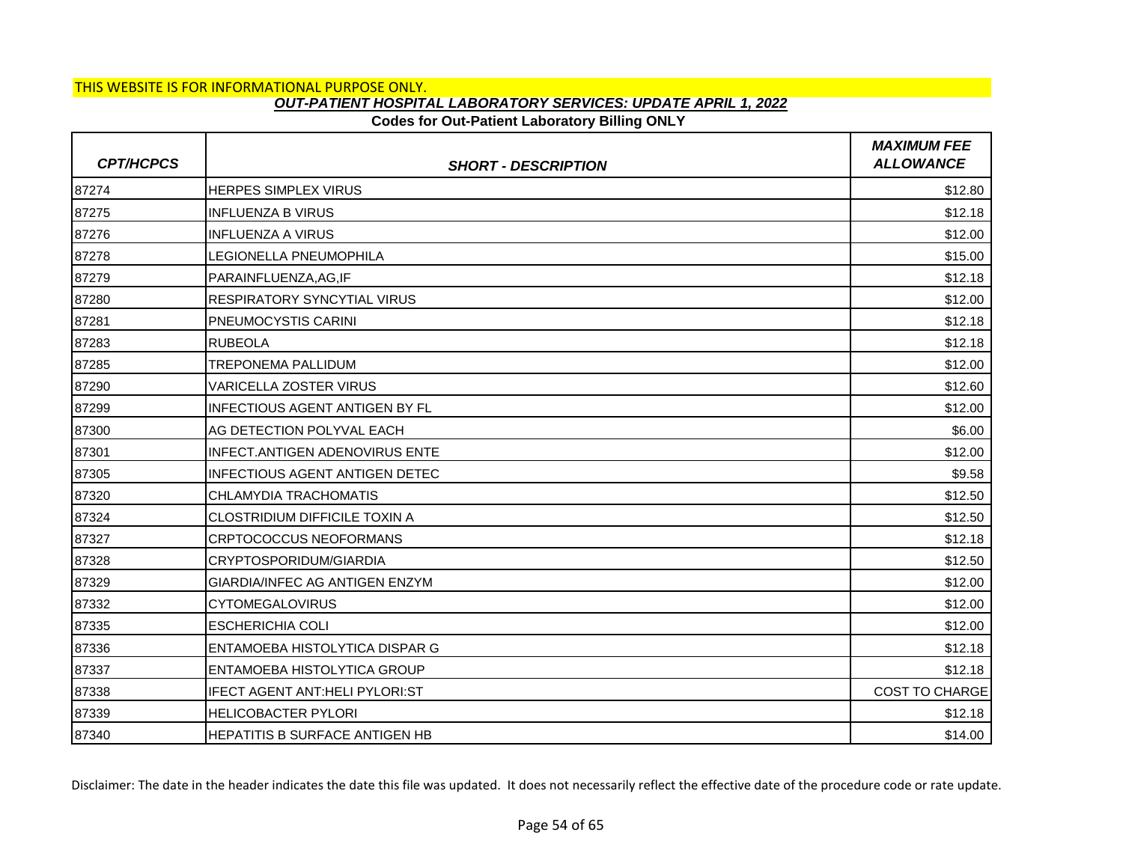## **Codes for Out-Patient Laboratory Billing ONLY**

| <b>CPT/HCPCS</b> | <b>SHORT - DESCRIPTION</b>            | <b>MAXIMUM FEE</b><br><b>ALLOWANCE</b> |
|------------------|---------------------------------------|----------------------------------------|
| 87274            | <b>HERPES SIMPLEX VIRUS</b>           | \$12.80                                |
| 87275            | <b>INFLUENZA B VIRUS</b>              | \$12.18                                |
| 87276            | <b>INFLUENZA A VIRUS</b>              | \$12.00                                |
| 87278            | LEGIONELLA PNEUMOPHILA                | \$15.00                                |
| 87279            | PARAINFLUENZA, AG, IF                 | \$12.18                                |
| 87280            | <b>RESPIRATORY SYNCYTIAL VIRUS</b>    | \$12.00                                |
| 87281            | <b>PNEUMOCYSTIS CARINI</b>            | \$12.18                                |
| 87283            | <b>RUBEOLA</b>                        | \$12.18                                |
| 87285            | <b>TREPONEMA PALLIDUM</b>             | \$12.00                                |
| 87290            | <b>VARICELLA ZOSTER VIRUS</b>         | \$12.60                                |
| 87299            | <b>INFECTIOUS AGENT ANTIGEN BY FL</b> | \$12.00                                |
| 87300            | AG DETECTION POLYVAL EACH             | \$6.00                                 |
| 87301            | INFECT.ANTIGEN ADENOVIRUS ENTE        | \$12.00                                |
| 87305            | IINFECTIOUS AGENT ANTIGEN DETEC       | \$9.58                                 |
| 87320            | CHLAMYDIA TRACHOMATIS                 | \$12.50                                |
| 87324            | <b>CLOSTRIDIUM DIFFICILE TOXIN A</b>  | \$12.50                                |
| 87327            | <b>CRPTOCOCCUS NEOFORMANS</b>         | \$12.18                                |
| 87328            | CRYPTOSPORIDUM/GIARDIA                | \$12.50                                |
| 87329            | <b>GIARDIA/INFEC AG ANTIGEN ENZYM</b> | \$12.00                                |
| 87332            | <b>CYTOMEGALOVIRUS</b>                | \$12.00                                |
| 87335            | <b>ESCHERICHIA COLI</b>               | \$12.00                                |
| 87336            | <b>ENTAMOEBA HISTOLYTICA DISPAR G</b> | \$12.18                                |
| 87337            | <b>ENTAMOEBA HISTOLYTICA GROUP</b>    | \$12.18                                |
| 87338            | IFECT AGENT ANT:HELI PYLORI:ST        | <b>COST TO CHARGE</b>                  |
| 87339            | <b>HELICOBACTER PYLORI</b>            | \$12.18                                |
| 87340            | HEPATITIS B SURFACE ANTIGEN HB        | \$14.00                                |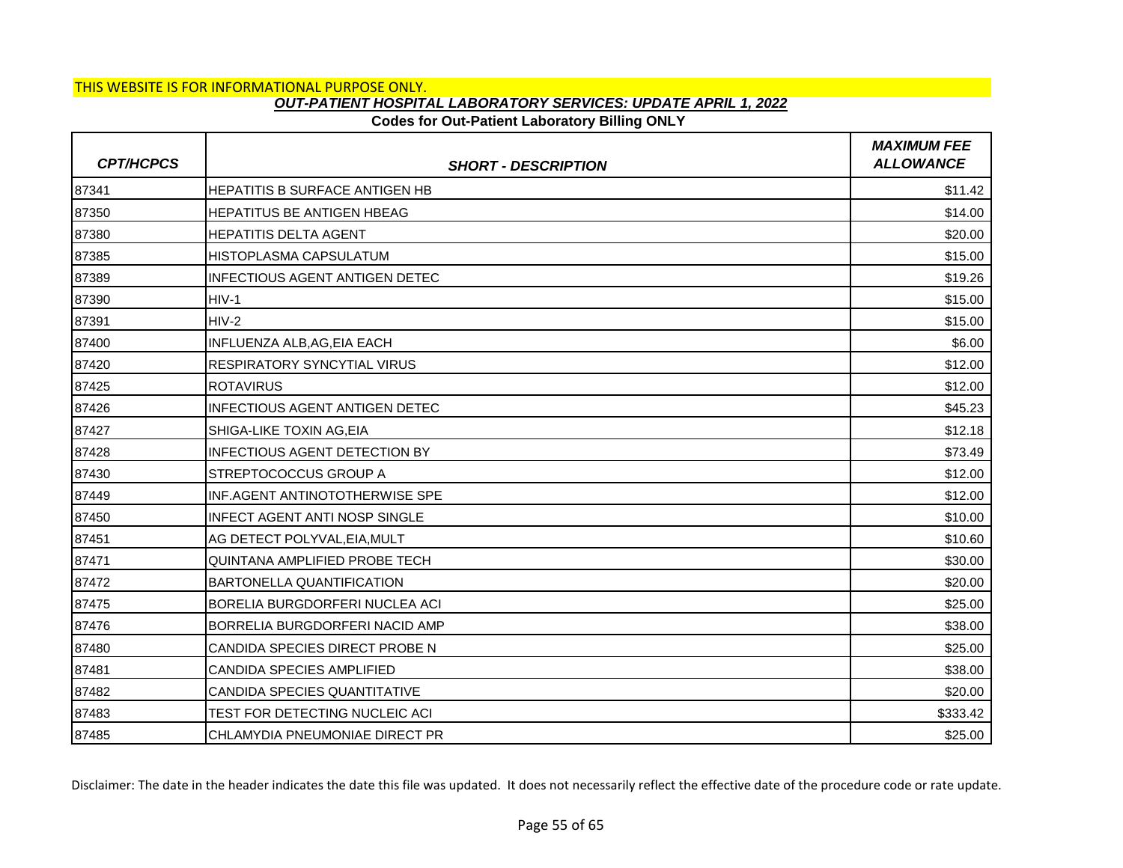## **Codes for Out-Patient Laboratory Billing ONLY**

| <b>CPT/HCPCS</b> | <b>SHORT - DESCRIPTION</b>            | <b>MAXIMUM FEE</b><br><b>ALLOWANCE</b> |
|------------------|---------------------------------------|----------------------------------------|
| 87341            | <b>HEPATITIS B SURFACE ANTIGEN HB</b> | \$11.42                                |
| 87350            | <b>HEPATITUS BE ANTIGEN HBEAG</b>     | \$14.00                                |
| 87380            | <b>HEPATITIS DELTA AGENT</b>          | \$20.00                                |
| 87385            | <b>HISTOPLASMA CAPSULATUM</b>         | \$15.00                                |
| 87389            | <b>INFECTIOUS AGENT ANTIGEN DETEC</b> | \$19.26                                |
| 87390            | HIV-1                                 | \$15.00                                |
| 87391            | HIV-2                                 | \$15.00                                |
| 87400            | <b>INFLUENZA ALB, AG, EIA EACH</b>    | \$6.00                                 |
| 87420            | <b>RESPIRATORY SYNCYTIAL VIRUS</b>    | \$12.00                                |
| 87425            | <b>ROTAVIRUS</b>                      | \$12.00                                |
| 87426            | <b>INFECTIOUS AGENT ANTIGEN DETEC</b> | \$45.23                                |
| 87427            | SHIGA-LIKE TOXIN AG.EIA               | \$12.18                                |
| 87428            | <b>INFECTIOUS AGENT DETECTION BY</b>  | \$73.49                                |
| 87430            | STREPTOCOCCUS GROUP A                 | \$12.00                                |
| 87449            | <b>INF.AGENT ANTINOTOTHERWISE SPE</b> | \$12.00                                |
| 87450            | INFECT AGENT ANTI NOSP SINGLE         | \$10.00                                |
| 87451            | AG DETECT POLYVAL, EIA, MULT          | \$10.60                                |
| 87471            | QUINTANA AMPLIFIED PROBE TECH         | \$30.00                                |
| 87472            | <b>BARTONELLA QUANTIFICATION</b>      | \$20.00                                |
| 87475            | <b>BORELIA BURGDORFERI NUCLEA ACI</b> | \$25.00                                |
| 87476            | BORRELIA BURGDORFERI NACID AMP        | \$38.00                                |
| 87480            | CANDIDA SPECIES DIRECT PROBE N        | \$25.00                                |
| 87481            | CANDIDA SPECIES AMPLIFIED             | \$38.00                                |
| 87482            | CANDIDA SPECIES QUANTITATIVE          | \$20.00                                |
| 87483            | TEST FOR DETECTING NUCLEIC ACI        | \$333.42                               |
| 87485            | CHLAMYDIA PNEUMONIAE DIRECT PR        | \$25.00                                |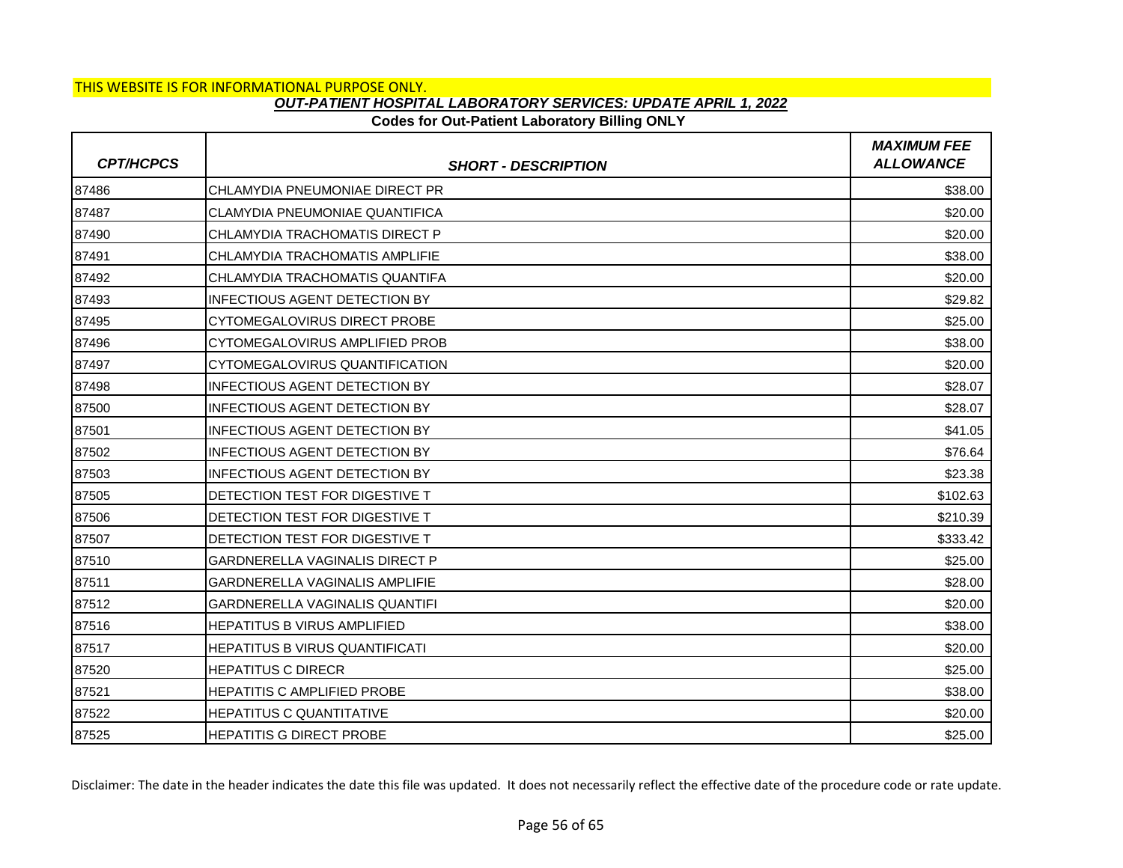## **Codes for Out-Patient Laboratory Billing ONLY**

| <b>CPT/HCPCS</b> | <b>SHORT - DESCRIPTION</b>            | <b>MAXIMUM FEE</b><br><b>ALLOWANCE</b> |
|------------------|---------------------------------------|----------------------------------------|
| 87486            | CHLAMYDIA PNEUMONIAE DIRECT PR        | \$38.00                                |
| 87487            | CLAMYDIA PNEUMONIAE QUANTIFICA        | \$20.00                                |
| 87490            | CHLAMYDIA TRACHOMATIS DIRECT P        | \$20.00                                |
| 87491            | CHLAMYDIA TRACHOMATIS AMPLIFIE        | \$38.00                                |
| 87492            | CHLAMYDIA TRACHOMATIS QUANTIFA        | \$20.00                                |
| 87493            | <b>INFECTIOUS AGENT DETECTION BY</b>  | \$29.82                                |
| 87495            | CYTOMEGALOVIRUS DIRECT PROBE          | \$25.00                                |
| 87496            | CYTOMEGALOVIRUS AMPLIFIED PROB        | \$38.00                                |
| 87497            | CYTOMEGALOVIRUS QUANTIFICATION        | \$20.00                                |
| 87498            | <b>INFECTIOUS AGENT DETECTION BY</b>  | \$28.07                                |
| 87500            | <b>INFECTIOUS AGENT DETECTION BY</b>  | \$28.07                                |
| 87501            | <b>INFECTIOUS AGENT DETECTION BY</b>  | \$41.05                                |
| 87502            | <b>INFECTIOUS AGENT DETECTION BY</b>  | \$76.64                                |
| 87503            | <b>INFECTIOUS AGENT DETECTION BY</b>  | \$23.38                                |
| 87505            | DETECTION TEST FOR DIGESTIVE T        | \$102.63                               |
| 87506            | DETECTION TEST FOR DIGESTIVE T        | \$210.39                               |
| 87507            | DETECTION TEST FOR DIGESTIVE T        | \$333.42                               |
| 87510            | <b>GARDNERELLA VAGINALIS DIRECT P</b> | \$25.00                                |
| 87511            | <b>GARDNERELLA VAGINALIS AMPLIFIE</b> | \$28.00                                |
| 87512            | <b>GARDNERELLA VAGINALIS QUANTIFI</b> | \$20.00                                |
| 87516            | <b>HEPATITUS B VIRUS AMPLIFIED</b>    | \$38.00                                |
| 87517            | <b>HEPATITUS B VIRUS QUANTIFICATI</b> | \$20.00                                |
| 87520            | <b>HEPATITUS C DIRECR</b>             | \$25.00                                |
| 87521            | <b>HEPATITIS C AMPLIFIED PROBE</b>    | \$38.00                                |
| 87522            | <b>HEPATITUS C QUANTITATIVE</b>       | \$20.00                                |
| 87525            | <b>HEPATITIS G DIRECT PROBE</b>       | \$25.00                                |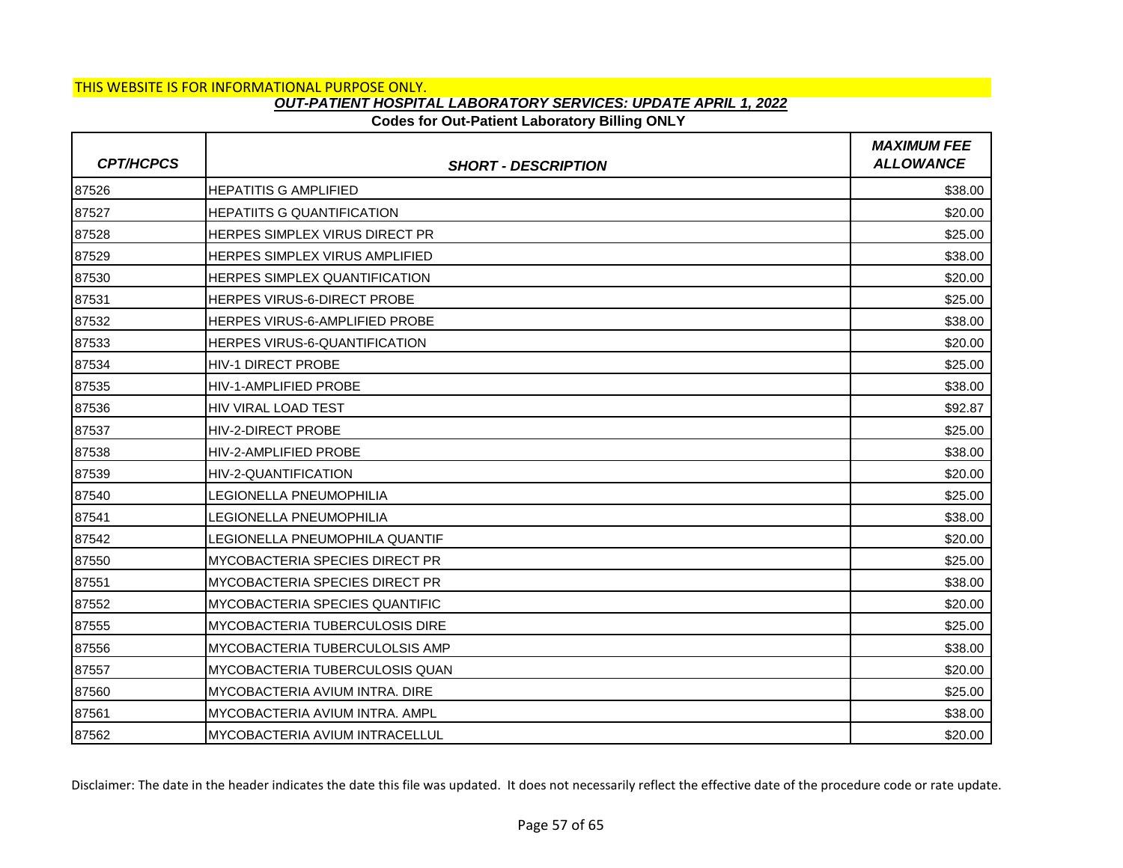## **Codes for Out-Patient Laboratory Billing ONLY**

| <b>CPT/HCPCS</b> | <b>SHORT - DESCRIPTION</b>            | <b>MAXIMUM FEE</b><br><b>ALLOWANCE</b> |
|------------------|---------------------------------------|----------------------------------------|
| 87526            | <b>HEPATITIS G AMPLIFIED</b>          | \$38.00                                |
| 87527            | <b>HEPATIITS G QUANTIFICATION</b>     | \$20.00                                |
| 87528            | <b>HERPES SIMPLEX VIRUS DIRECT PR</b> | \$25.00                                |
| 87529            | <b>HERPES SIMPLEX VIRUS AMPLIFIED</b> | \$38.00                                |
| 87530            | HERPES SIMPLEX QUANTIFICATION         | \$20.00                                |
| 87531            | <b>HERPES VIRUS-6-DIRECT PROBE</b>    | \$25.00                                |
| 87532            | <b>HERPES VIRUS-6-AMPLIFIED PROBE</b> | \$38.00                                |
| 87533            | HERPES VIRUS-6-QUANTIFICATION         | \$20.00                                |
| 87534            | <b>HIV-1 DIRECT PROBE</b>             | \$25.00                                |
| 87535            | <b>HIV-1-AMPLIFIED PROBE</b>          | \$38.00                                |
| 87536            | HIV VIRAL LOAD TEST                   | \$92.87                                |
| 87537            | <b>HIV-2-DIRECT PROBE</b>             | \$25.00                                |
| 87538            | <b>HIV-2-AMPLIFIED PROBE</b>          | \$38.00                                |
| 87539            | HIV-2-QUANTIFICATION                  | \$20.00                                |
| 87540            | <b>LEGIONELLA PNEUMOPHILIA</b>        | \$25.00                                |
| 87541            | LEGIONELLA PNEUMOPHILIA               | \$38.00                                |
| 87542            | LEGIONELLA PNEUMOPHILA QUANTIF        | \$20.00                                |
| 87550            | <b>MYCOBACTERIA SPECIES DIRECT PR</b> | \$25.00                                |
| 87551            | MYCOBACTERIA SPECIES DIRECT PR        | \$38.00                                |
| 87552            | MYCOBACTERIA SPECIES QUANTIFIC        | \$20.00                                |
| 87555            | <b>MYCOBACTERIA TUBERCULOSIS DIRE</b> | \$25.00                                |
| 87556            | MYCOBACTERIA TUBERCULOLSIS AMP        | \$38.00                                |
| 87557            | MYCOBACTERIA TUBERCULOSIS QUAN        | \$20.00                                |
| 87560            | MYCOBACTERIA AVIUM INTRA. DIRE        | \$25.00                                |
| 87561            | MYCOBACTERIA AVIUM INTRA. AMPL        | \$38.00                                |
| 87562            | MYCOBACTERIA AVIUM INTRACELLUL        | \$20.00                                |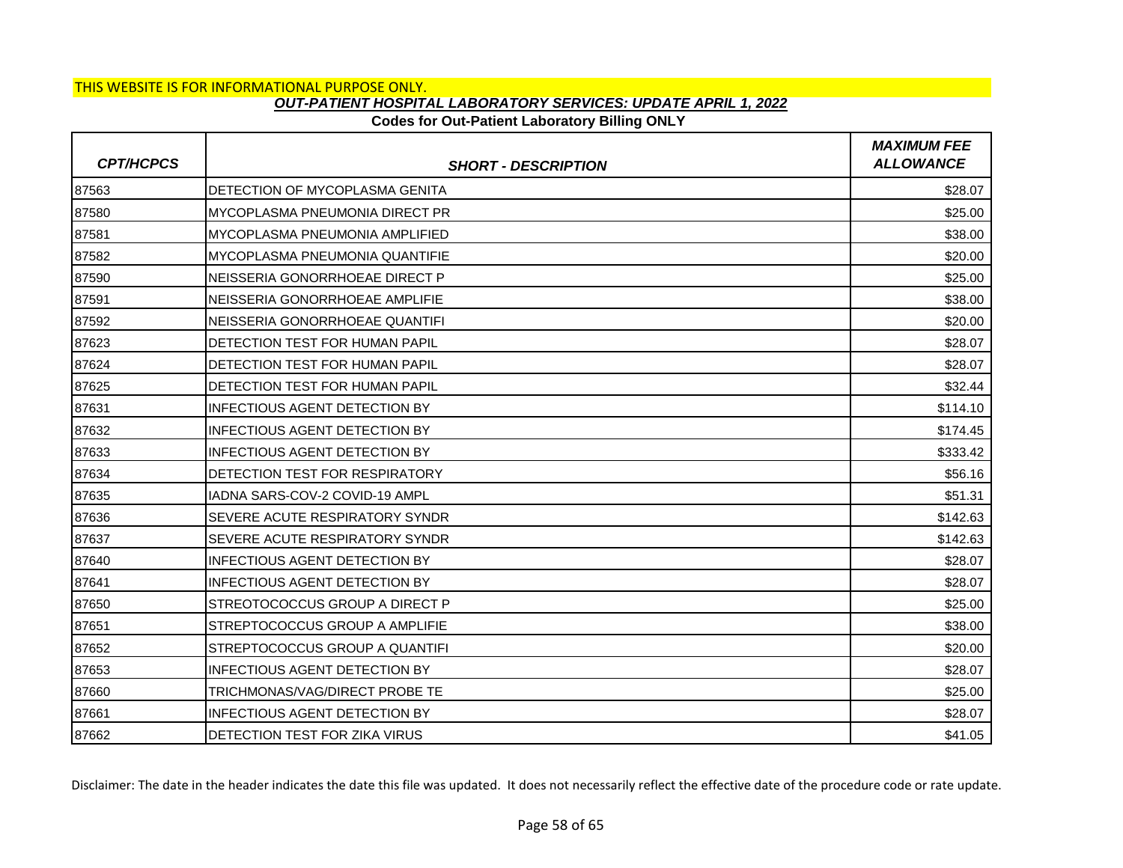## **Codes for Out-Patient Laboratory Billing ONLY**

| <b>CPT/HCPCS</b> | <b>SHORT - DESCRIPTION</b>             | <b>MAXIMUM FEE</b><br><b>ALLOWANCE</b> |
|------------------|----------------------------------------|----------------------------------------|
| 87563            | DETECTION OF MYCOPLASMA GENITA         | \$28.07                                |
| 87580            | <b>MYCOPLASMA PNEUMONIA DIRECT PR</b>  | \$25.00                                |
| 87581            | IMYCOPLASMA PNEUMONIA AMPLIFIED        | \$38.00                                |
| 87582            | IMYCOPLASMA PNEUMONIA QUANTIFIE        | \$20.00                                |
| 87590            | NEISSERIA GONORRHOEAE DIRECT P         | \$25.00                                |
| 87591            | INEISSERIA GONORRHOEAE AMPLIFIE        | \$38.00                                |
| 87592            | INEISSERIA GONORRHOEAE QUANTIFI        | \$20.00                                |
| 87623            | <b>IDETECTION TEST FOR HUMAN PAPIL</b> | \$28.07                                |
| 87624            | IDETECTION TEST FOR HUMAN PAPIL        | \$28.07                                |
| 87625            | IDETECTION TEST FOR HUMAN PAPIL        | \$32.44                                |
| 87631            | <b>INFECTIOUS AGENT DETECTION BY</b>   | \$114.10                               |
| 87632            | IINFECTIOUS AGENT DETECTION BY         | \$174.45                               |
| 87633            | INFECTIOUS AGENT DETECTION BY          | \$333.42                               |
| 87634            | DETECTION TEST FOR RESPIRATORY         | \$56.16                                |
| 87635            | IIADNA SARS-COV-2 COVID-19 AMPL        | \$51.31                                |
| 87636            | SEVERE ACUTE RESPIRATORY SYNDR         | \$142.63                               |
| 87637            | SEVERE ACUTE RESPIRATORY SYNDR         | \$142.63                               |
| 87640            | INFECTIOUS AGENT DETECTION BY          | \$28.07                                |
| 87641            | INFECTIOUS AGENT DETECTION BY          | \$28.07                                |
| 87650            | ISTREOTOCOCCUS GROUP A DIRECT P        | \$25.00                                |
| 87651            | STREPTOCOCCUS GROUP A AMPLIFIE         | \$38.00                                |
| 87652            | STREPTOCOCCUS GROUP A QUANTIFI         | \$20.00                                |
| 87653            | <b>INFECTIOUS AGENT DETECTION BY</b>   | \$28.07                                |
| 87660            | TRICHMONAS/VAG/DIRECT PROBE TE         | \$25.00                                |
| 87661            | <b>INFECTIOUS AGENT DETECTION BY</b>   | \$28.07                                |
| 87662            | DETECTION TEST FOR ZIKA VIRUS          | \$41.05                                |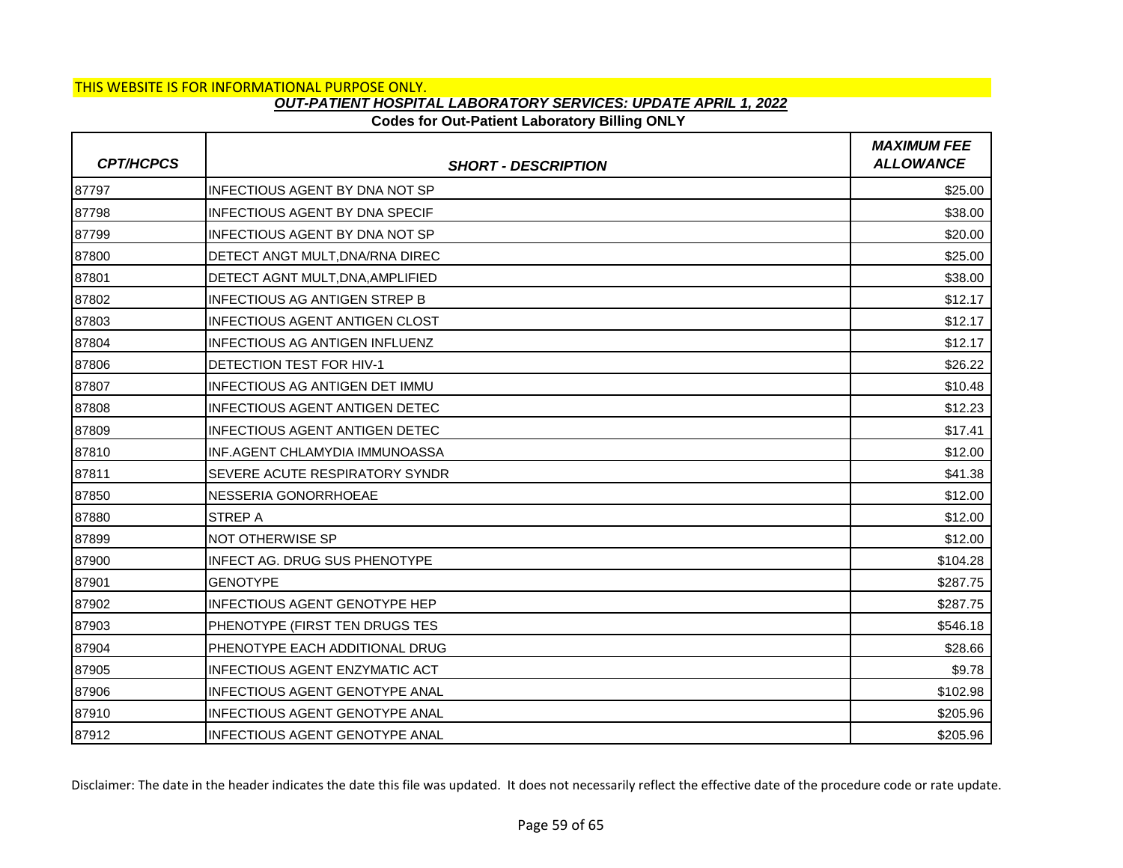#### **Codes for Out-Patient Laboratory Billing ONLY**

| <b>CPT/HCPCS</b> | <b>SHORT - DESCRIPTION</b>            | <b>MAXIMUM FEE</b><br><b>ALLOWANCE</b> |
|------------------|---------------------------------------|----------------------------------------|
| 87797            | <b>INFECTIOUS AGENT BY DNA NOT SP</b> | \$25.00                                |
| 87798            | <b>INFECTIOUS AGENT BY DNA SPECIF</b> | \$38.00                                |
| 87799            | <b>INFECTIOUS AGENT BY DNA NOT SP</b> | \$20.00                                |
| 87800            | DETECT ANGT MULT, DNA/RNA DIREC       | \$25.00                                |
| 87801            | DETECT AGNT MULT, DNA, AMPLIFIED      | \$38.00                                |
| 87802            | <b>INFECTIOUS AG ANTIGEN STREP B</b>  | \$12.17                                |
| 87803            | <b>INFECTIOUS AGENT ANTIGEN CLOST</b> | \$12.17                                |
| 87804            | INFECTIOUS AG ANTIGEN INFLUENZ        | \$12.17                                |
| 87806            | <b>DETECTION TEST FOR HIV-1</b>       | \$26.22                                |
| 87807            | INFECTIOUS AG ANTIGEN DET IMMU        | \$10.48                                |
| 87808            | <b>INFECTIOUS AGENT ANTIGEN DETEC</b> | \$12.23                                |
| 87809            | <b>INFECTIOUS AGENT ANTIGEN DETEC</b> | \$17.41                                |
| 87810            | INF.AGENT CHLAMYDIA IMMUNOASSA        | \$12.00                                |
| 87811            | SEVERE ACUTE RESPIRATORY SYNDR        | \$41.38                                |
| 87850            | NESSERIA GONORRHOEAE                  | \$12.00                                |
| 87880            | <b>STREP A</b>                        | \$12.00                                |
| 87899            | NOT OTHERWISE SP                      | \$12.00                                |
| 87900            | <b>INFECT AG. DRUG SUS PHENOTYPE</b>  | \$104.28                               |
| 87901            | <b>GENOTYPE</b>                       | \$287.75                               |
| 87902            | <b>INFECTIOUS AGENT GENOTYPE HEP</b>  | \$287.75                               |
| 87903            | PHENOTYPE (FIRST TEN DRUGS TES        | \$546.18                               |
| 87904            | PHENOTYPE EACH ADDITIONAL DRUG        | \$28.66                                |
| 87905            | <b>INFECTIOUS AGENT ENZYMATIC ACT</b> | \$9.78                                 |
| 87906            | <b>INFECTIOUS AGENT GENOTYPE ANAL</b> | \$102.98                               |
| 87910            | INFECTIOUS AGENT GENOTYPE ANAL        | \$205.96                               |
| 87912            | INFECTIOUS AGENT GENOTYPE ANAL        | \$205.96                               |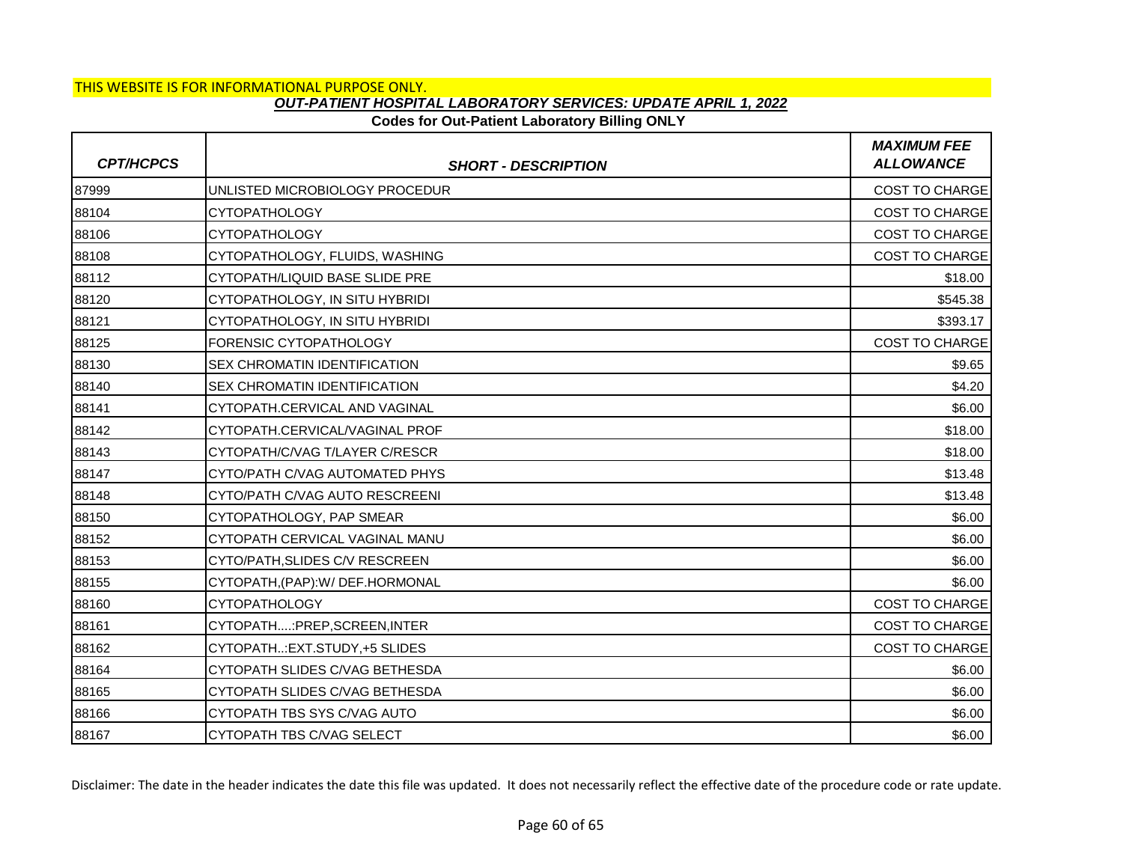### **Codes for Out-Patient Laboratory Billing ONLY**

| <b>CPT/HCPCS</b> | <b>SHORT - DESCRIPTION</b>          | <b>MAXIMUM FEE</b><br><b>ALLOWANCE</b> |
|------------------|-------------------------------------|----------------------------------------|
| 87999            | UNLISTED MICROBIOLOGY PROCEDUR      | <b>COST TO CHARGE</b>                  |
| 88104            | <b>CYTOPATHOLOGY</b>                | <b>COST TO CHARGE</b>                  |
| 88106            | <b>CYTOPATHOLOGY</b>                | <b>COST TO CHARGE</b>                  |
| 88108            | CYTOPATHOLOGY, FLUIDS, WASHING      | <b>COST TO CHARGE</b>                  |
| 88112            | CYTOPATH/LIQUID BASE SLIDE PRE      | \$18.00                                |
| 88120            | CYTOPATHOLOGY, IN SITU HYBRIDI      | \$545.38                               |
| 88121            | CYTOPATHOLOGY, IN SITU HYBRIDI      | \$393.17                               |
| 88125            | FORENSIC CYTOPATHOLOGY              | COST TO CHARGE                         |
| 88130            | <b>SEX CHROMATIN IDENTIFICATION</b> | \$9.65                                 |
| 88140            | <b>SEX CHROMATIN IDENTIFICATION</b> | \$4.20                                 |
| 88141            | CYTOPATH.CERVICAL AND VAGINAL       | \$6.00                                 |
| 88142            | CYTOPATH.CERVICAL/VAGINAL PROF      | \$18.00                                |
| 88143            | CYTOPATH/C/VAG T/LAYER C/RESCR      | \$18.00                                |
| 88147            | CYTO/PATH C/VAG AUTOMATED PHYS      | \$13.48                                |
| 88148            | CYTO/PATH C/VAG AUTO RESCREENI      | \$13.48                                |
| 88150            | CYTOPATHOLOGY, PAP SMEAR            | \$6.00                                 |
| 88152            | CYTOPATH CERVICAL VAGINAL MANU      | \$6.00                                 |
| 88153            | CYTO/PATH, SLIDES C/V RESCREEN      | \$6.00                                 |
| 88155            | CYTOPATH, (PAP): W/ DEF. HORMONAL   | \$6.00                                 |
| 88160            | <b>CYTOPATHOLOGY</b>                | COST TO CHARGE                         |
| 88161            | CYTOPATH:PREP,SCREEN,INTER          | <b>COST TO CHARGE</b>                  |
| 88162            | CYTOPATH:EXT.STUDY,+5 SLIDES        | <b>COST TO CHARGE</b>                  |
| 88164            | CYTOPATH SLIDES C/VAG BETHESDA      | \$6.00                                 |
| 88165            | CYTOPATH SLIDES C/VAG BETHESDA      | \$6.00                                 |
| 88166            | CYTOPATH TBS SYS C/VAG AUTO         | \$6.00                                 |
| 88167            | CYTOPATH TBS C/VAG SELECT           | \$6.00                                 |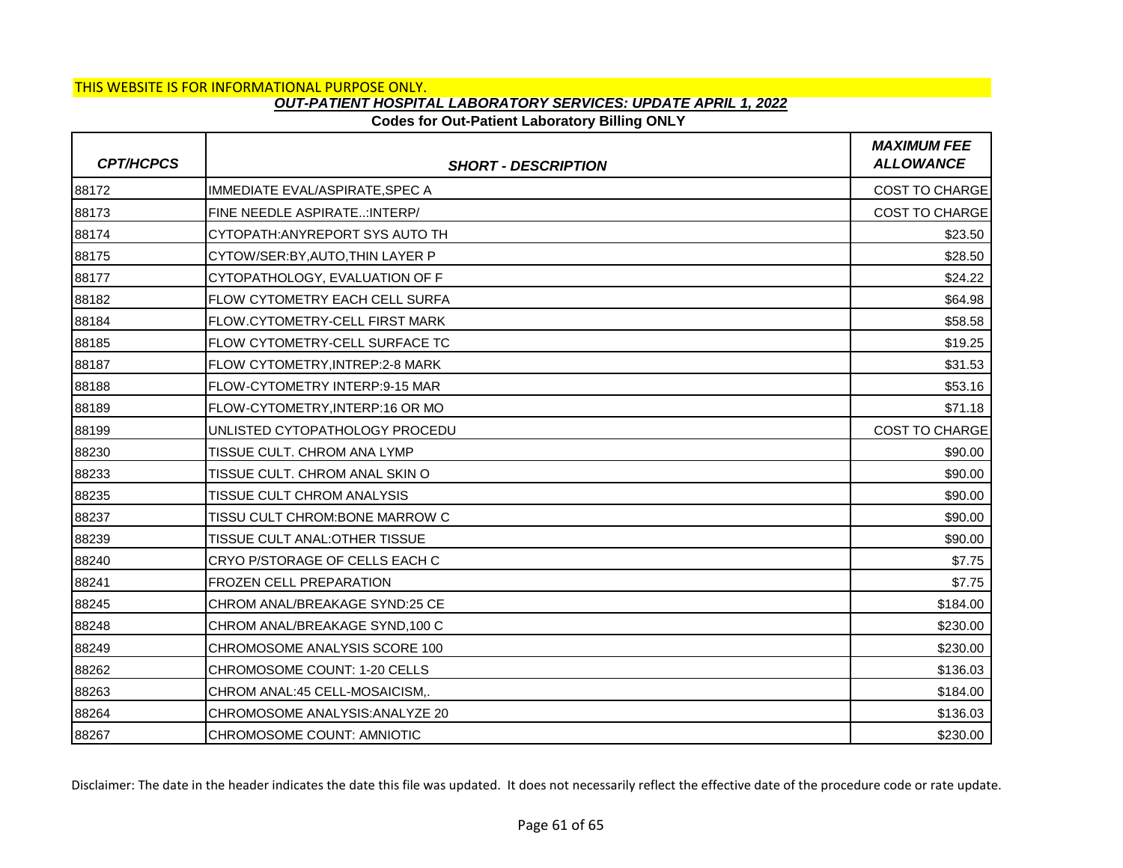## **Codes for Out-Patient Laboratory Billing ONLY**

| <b>CPT/HCPCS</b> | <b>SHORT - DESCRIPTION</b>            | <b>MAXIMUM FEE</b><br><b>ALLOWANCE</b> |
|------------------|---------------------------------------|----------------------------------------|
| 88172            | IMMEDIATE EVAL/ASPIRATE, SPEC A       | <b>COST TO CHARGE</b>                  |
| 88173            | FINE NEEDLE ASPIRATE: INTERP/         | <b>COST TO CHARGE</b>                  |
| 88174            | CYTOPATH: ANYREPORT SYS AUTO TH       | \$23.50                                |
| 88175            | CYTOW/SER:BY, AUTO, THIN LAYER P      | \$28.50                                |
| 88177            | CYTOPATHOLOGY, EVALUATION OF F        | \$24.22                                |
| 88182            | FLOW CYTOMETRY EACH CELL SURFA        | \$64.98                                |
| 88184            | FLOW.CYTOMETRY-CELL FIRST MARK        | \$58.58                                |
| 88185            | FLOW CYTOMETRY-CELL SURFACE TC        | \$19.25                                |
| 88187            | <b>FLOW CYTOMETRY.INTREP:2-8 MARK</b> | \$31.53                                |
| 88188            | FLOW-CYTOMETRY INTERP:9-15 MAR        | \$53.16                                |
| 88189            | FLOW-CYTOMETRY, INTERP:16 OR MO       | \$71.18                                |
| 88199            | UNLISTED CYTOPATHOLOGY PROCEDU        | <b>COST TO CHARGE</b>                  |
| 88230            | <b>TISSUE CULT, CHROM ANA LYMP</b>    | \$90.00                                |
| 88233            | TISSUE CULT. CHROM ANAL SKIN O        | \$90.00                                |
| 88235            | <b>TISSUE CULT CHROM ANALYSIS</b>     | \$90.00                                |
| 88237            | TISSU CULT CHROM: BONE MARROW C       | \$90.00                                |
| 88239            | TISSUE CULT ANAL: OTHER TISSUE        | \$90.00                                |
| 88240            | CRYO P/STORAGE OF CELLS EACH C        | \$7.75                                 |
| 88241            | <b>FROZEN CELL PREPARATION</b>        | \$7.75                                 |
| 88245            | CHROM ANAL/BREAKAGE SYND:25 CE        | \$184.00                               |
| 88248            | CHROM ANAL/BREAKAGE SYND, 100 C       | \$230.00                               |
| 88249            | CHROMOSOME ANALYSIS SCORE 100         | \$230.00                               |
| 88262            | CHROMOSOME COUNT: 1-20 CELLS          | \$136.03                               |
| 88263            | CHROM ANAL:45 CELL-MOSAICISM,.        | \$184.00                               |
| 88264            | CHROMOSOME ANALYSIS: ANALYZE 20       | \$136.03                               |
| 88267            | CHROMOSOME COUNT: AMNIOTIC            | \$230.00                               |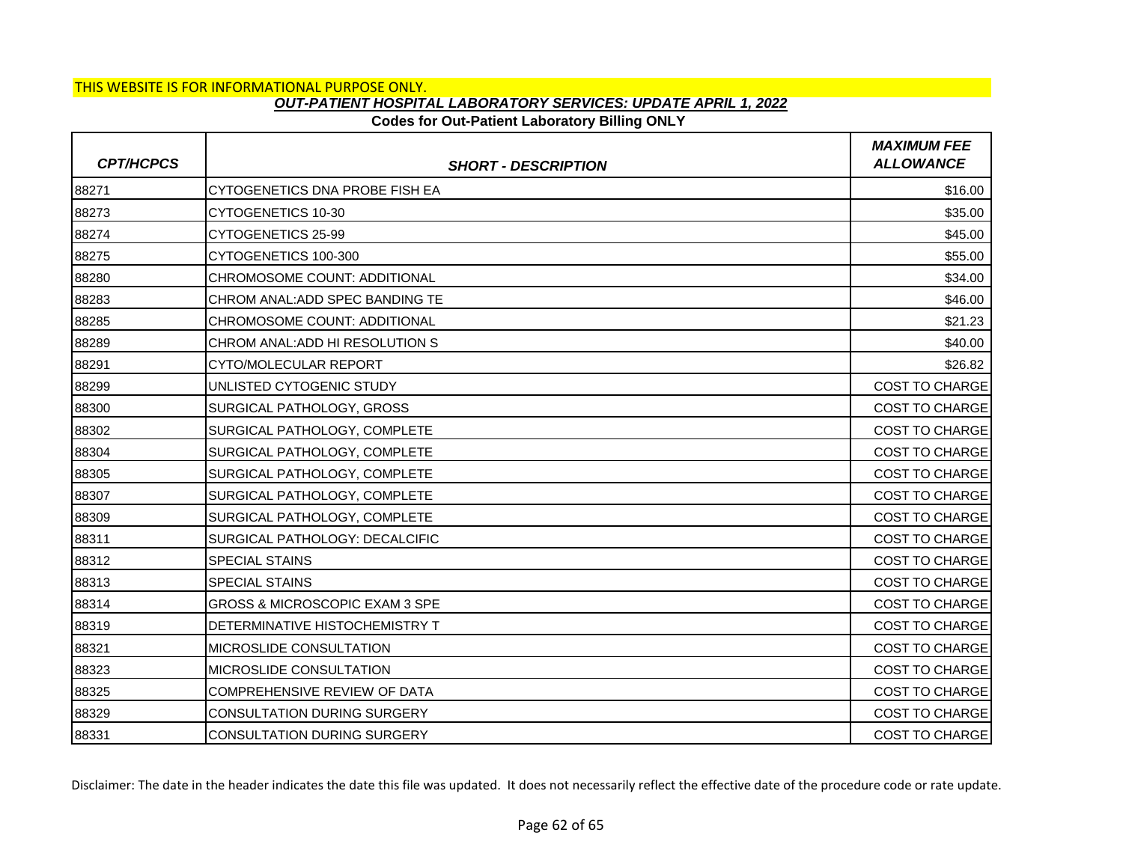## **Codes for Out-Patient Laboratory Billing ONLY**

| <b>CPT/HCPCS</b> | <b>SHORT - DESCRIPTION</b>          | <b>MAXIMUM FEE</b><br><b>ALLOWANCE</b> |
|------------------|-------------------------------------|----------------------------------------|
| 88271            | CYTOGENETICS DNA PROBE FISH EA      | \$16.00                                |
| 88273            | CYTOGENETICS 10-30                  | \$35.00                                |
| 88274            | CYTOGENETICS 25-99                  | \$45.00                                |
| 88275            | CYTOGENETICS 100-300                | \$55.00                                |
| 88280            | CHROMOSOME COUNT: ADDITIONAL        | \$34.00                                |
| 88283            | CHROM ANAL: ADD SPEC BANDING TE     | \$46.00                                |
| 88285            | CHROMOSOME COUNT: ADDITIONAL        | \$21.23                                |
| 88289            | CHROM ANAL: ADD HI RESOLUTION S     | \$40.00                                |
| 88291            | CYTO/MOLECULAR REPORT               | \$26.82                                |
| 88299            | UNLISTED CYTOGENIC STUDY            | COST TO CHARGE                         |
| 88300            | SURGICAL PATHOLOGY, GROSS           | COST TO CHARGE                         |
| 88302            | SURGICAL PATHOLOGY, COMPLETE        | <b>COST TO CHARGE</b>                  |
| 88304            | SURGICAL PATHOLOGY, COMPLETE        | COST TO CHARGE                         |
| 88305            | SURGICAL PATHOLOGY, COMPLETE        | COST TO CHARGE                         |
| 88307            | SURGICAL PATHOLOGY, COMPLETE        | <b>COST TO CHARGE</b>                  |
| 88309            | SURGICAL PATHOLOGY, COMPLETE        | <b>COST TO CHARGE</b>                  |
| 88311            | SURGICAL PATHOLOGY: DECALCIFIC      | <b>COST TO CHARGE</b>                  |
| 88312            | <b>SPECIAL STAINS</b>               | <b>COST TO CHARGE</b>                  |
| 88313            | <b>SPECIAL STAINS</b>               | <b>COST TO CHARGE</b>                  |
| 88314            | GROSS & MICROSCOPIC EXAM 3 SPE      | COST TO CHARGE                         |
| 88319            | DETERMINATIVE HISTOCHEMISTRY T      | <b>COST TO CHARGE</b>                  |
| 88321            | MICROSLIDE CONSULTATION             | <b>COST TO CHARGE</b>                  |
| 88323            | MICROSLIDE CONSULTATION             | COST TO CHARGE                         |
| 88325            | <b>COMPREHENSIVE REVIEW OF DATA</b> | <b>COST TO CHARGE</b>                  |
| 88329            | <b>CONSULTATION DURING SURGERY</b>  | <b>COST TO CHARGE</b>                  |
| 88331            | <b>CONSULTATION DURING SURGERY</b>  | <b>COST TO CHARGE</b>                  |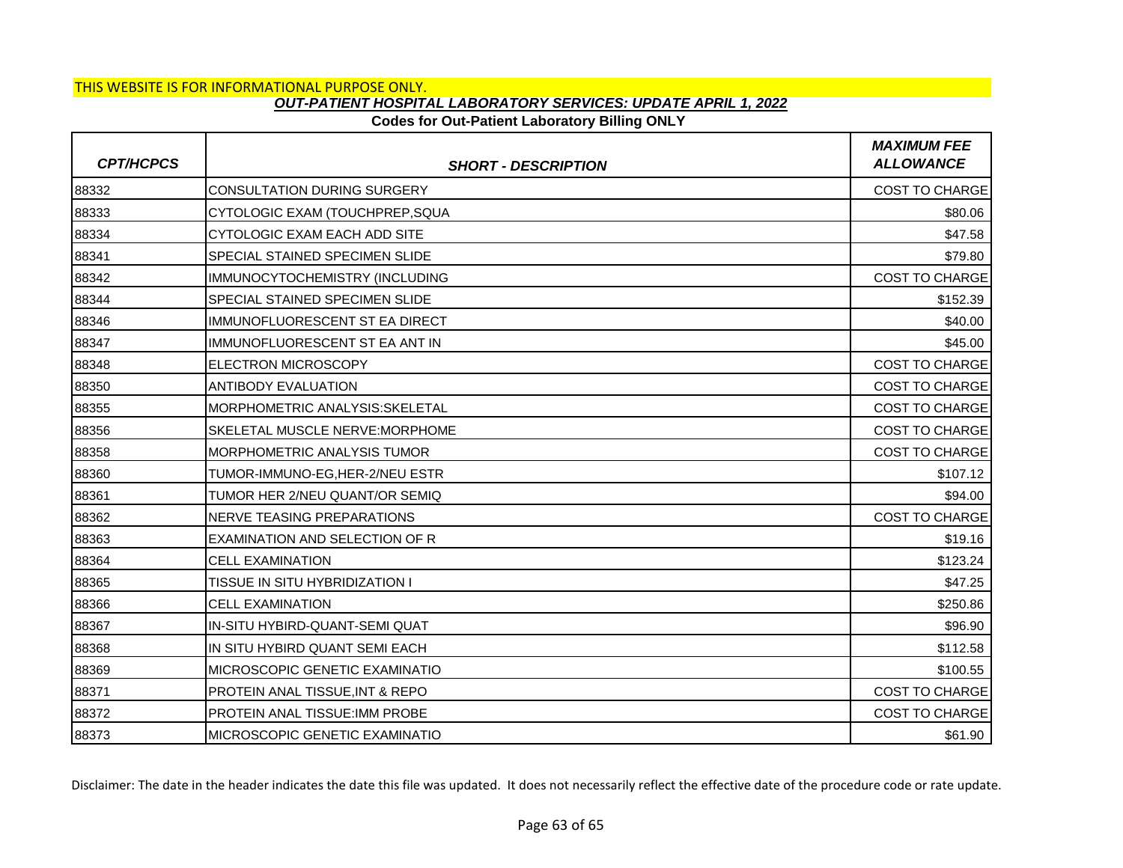### **Codes for Out-Patient Laboratory Billing ONLY**

| <b>CPT/HCPCS</b> | <b>SHORT - DESCRIPTION</b>                 | <b>MAXIMUM FEE</b><br><b>ALLOWANCE</b> |
|------------------|--------------------------------------------|----------------------------------------|
| 88332            | <b>CONSULTATION DURING SURGERY</b>         | <b>COST TO CHARGE</b>                  |
| 88333            | CYTOLOGIC EXAM (TOUCHPREP, SQUA            | \$80.06                                |
| 88334            | CYTOLOGIC EXAM EACH ADD SITE               | \$47.58                                |
| 88341            | SPECIAL STAINED SPECIMEN SLIDE             | \$79.80                                |
| 88342            | IMMUNOCYTOCHEMISTRY (INCLUDING             | <b>COST TO CHARGE</b>                  |
| 88344            | <b>SPECIAL STAINED SPECIMEN SLIDE</b>      | \$152.39                               |
| 88346            | <b>IMMUNOFLUORESCENT ST EA DIRECT</b>      | \$40.00                                |
| 88347            | IMMUNOFLUORESCENT ST EA ANT IN             | \$45.00                                |
| 88348            | <b>ELECTRON MICROSCOPY</b>                 | <b>COST TO CHARGE</b>                  |
| 88350            | <b>ANTIBODY EVALUATION</b>                 | <b>COST TO CHARGE</b>                  |
| 88355            | MORPHOMETRIC ANALYSIS: SKELETAL            | <b>COST TO CHARGE</b>                  |
| 88356            | <b>SKELETAL MUSCLE NERVE:MORPHOME</b>      | <b>COST TO CHARGE</b>                  |
| 88358            | <b>MORPHOMETRIC ANALYSIS TUMOR</b>         | <b>COST TO CHARGE</b>                  |
| 88360            | TUMOR-IMMUNO-EG, HER-2/NEU ESTR            | \$107.12                               |
| 88361            | TUMOR HER 2/NEU QUANT/OR SEMIQ             | \$94.00                                |
| 88362            | NERVE TEASING PREPARATIONS                 | <b>COST TO CHARGE</b>                  |
| 88363            | EXAMINATION AND SELECTION OF R             | \$19.16                                |
| 88364            | <b>CELL EXAMINATION</b>                    | \$123.24                               |
| 88365            | TISSUE IN SITU HYBRIDIZATION I             | \$47.25                                |
| 88366            | <b>CELL EXAMINATION</b>                    | \$250.86                               |
| 88367            | IN-SITU HYBIRD-QUANT-SEMI QUAT             | \$96.90                                |
| 88368            | IN SITU HYBIRD QUANT SEMI EACH             | \$112.58                               |
| 88369            | MICROSCOPIC GENETIC EXAMINATIO             | \$100.55                               |
| 88371            | <b>PROTEIN ANAL TISSUE, INT &amp; REPO</b> | <b>COST TO CHARGE</b>                  |
| 88372            | PROTEIN ANAL TISSUE: IMM PROBE             | <b>COST TO CHARGE</b>                  |
| 88373            | MICROSCOPIC GENETIC EXAMINATIO             | \$61.90                                |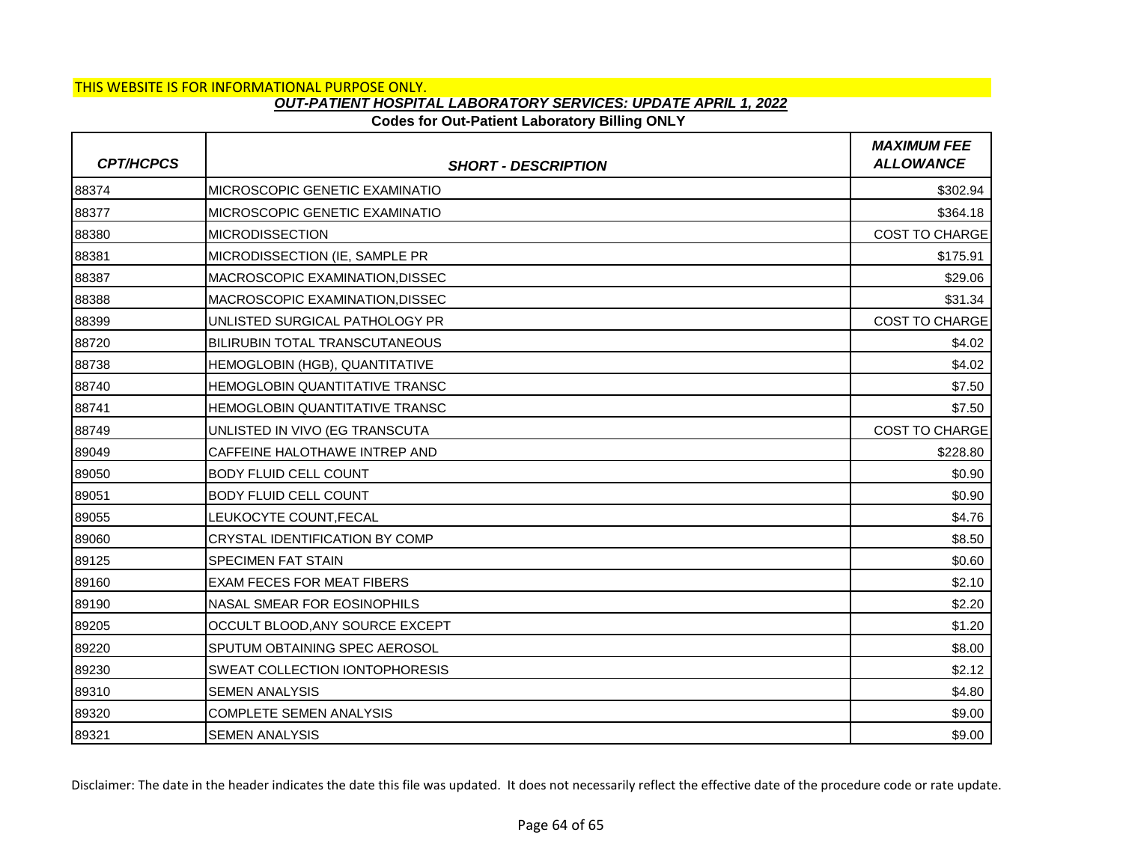## **Codes for Out-Patient Laboratory Billing ONLY**

| <b>CPT/HCPCS</b> | <b>SHORT - DESCRIPTION</b>             | <b>MAXIMUM FEE</b><br><b>ALLOWANCE</b> |
|------------------|----------------------------------------|----------------------------------------|
| 88374            | IMICROSCOPIC GENETIC EXAMINATIO        | \$302.94                               |
| 88377            | MICROSCOPIC GENETIC EXAMINATIO         | \$364.18                               |
| 88380            | <b>MICRODISSECTION</b>                 | <b>COST TO CHARGE</b>                  |
| 88381            | MICRODISSECTION (IE, SAMPLE PR         | \$175.91                               |
| 88387            | MACROSCOPIC EXAMINATION, DISSEC        | \$29.06                                |
| 88388            | <b>IMACROSCOPIC EXAMINATION.DISSEC</b> | \$31.34                                |
| 88399            | UNLISTED SURGICAL PATHOLOGY PR         | <b>COST TO CHARGE</b>                  |
| 88720            | <b>BILIRUBIN TOTAL TRANSCUTANEOUS</b>  | \$4.02                                 |
| 88738            | HEMOGLOBIN (HGB), QUANTITATIVE         | \$4.02                                 |
| 88740            | HEMOGLOBIN QUANTITATIVE TRANSC         | \$7.50                                 |
| 88741            | HEMOGLOBIN QUANTITATIVE TRANSC         | \$7.50                                 |
| 88749            | UNLISTED IN VIVO (EG TRANSCUTA         | <b>COST TO CHARGE</b>                  |
| 89049            | CAFFEINE HALOTHAWE INTREP AND          | \$228.80                               |
| 89050            | <b>BODY FLUID CELL COUNT</b>           | \$0.90                                 |
| 89051            | <b>BODY FLUID CELL COUNT</b>           | \$0.90                                 |
| 89055            | LEUKOCYTE COUNT, FECAL                 | \$4.76                                 |
| 89060            | CRYSTAL IDENTIFICATION BY COMP         | \$8.50                                 |
| 89125            | <b>SPECIMEN FAT STAIN</b>              | \$0.60                                 |
| 89160            | <b>EXAM FECES FOR MEAT FIBERS</b>      | \$2.10                                 |
| 89190            | NASAL SMEAR FOR EOSINOPHILS            | \$2.20                                 |
| 89205            | OCCULT BLOOD, ANY SOURCE EXCEPT        | \$1.20                                 |
| 89220            | SPUTUM OBTAINING SPEC AEROSOL          | \$8.00                                 |
| 89230            | <b>SWEAT COLLECTION IONTOPHORESIS</b>  | \$2.12                                 |
| 89310            | <b>SEMEN ANALYSIS</b>                  | \$4.80                                 |
| 89320            | <b>COMPLETE SEMEN ANALYSIS</b>         | \$9.00                                 |
| 89321            | <b>SEMEN ANALYSIS</b>                  | \$9.00                                 |